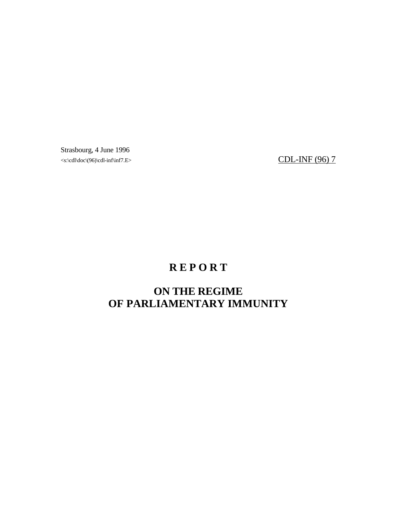Strasbourg, 4 June 1996  $\langle\sigma\rangle<sub>1</sub>\langle\sigma\rangle<sub>2</sub>\langle\sigma\rangle<sub>3</sub>\langle\sigma\rangle<sub>4</sub>$  CDL-INF (96) 7

# **R E P O R T**

# **ON THE REGIME OF PARLIAMENTARY IMMUNITY**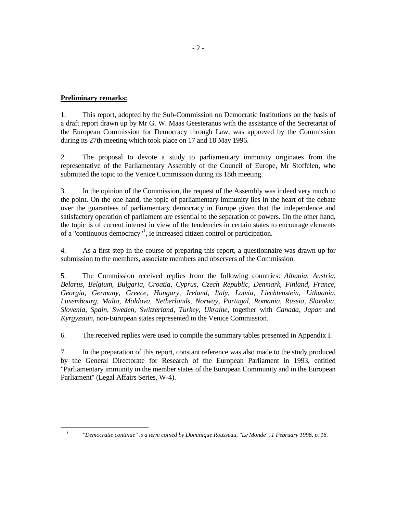## **Preliminary remarks:**

1. This report, adopted by the Sub-Commission on Democratic Institutions on the basis of a draft report drawn up by Mr G. W. Maas Geesteranus with the assistance of the Secretariat of the European Commission for Democracy through Law, was approved by the Commission during its 27th meeting which took place on 17 and 18 May 1996.

2. The proposal to devote a study to parliamentary immunity originates from the representative of the Parliamentary Assembly of the Council of Europe, Mr Stoffelen, who submitted the topic to the Venice Commission during its 18th meeting.

3. In the opinion of the Commission, the request of the Assembly was indeed very much to the point. On the one hand, the topic of parliamentary immunity lies in the heart of the debate over the guarantees of parliamentary democracy in Europe given that the independence and satisfactory operation of parliament are essential to the separation of powers. On the other hand, the topic is of current interest in view of the tendencies in certain states to encourage elements of a "continuous democracy"<sup>1</sup>, ie increased citizen control or participation.

4. As a first step in the course of preparing this report, a questionnaire was drawn up for submission to the members, associate members and observers of the Commission.

5. The Commission received replies from the following countries: *Albania, Austria, Belarus, Belgium, Bulgaria, Croatia, Cyprus, Czech Republic, Denmark, Finland, France, Georgia, Germany, Greece, Hungary, Ireland, Italy, Latvia, Liechtenstein, Lithuania, Luxembourg, Malta, Moldova, Netherlands, Norway, Portugal, Romania, Russia, Slovakia, Slovenia, Spain, Sweden, Switzerland, Turkey, Ukraine,* together with *Canada, Japan* and *Kyrgyzstan*, non-European states represented in the Venice Commission.

6. The received replies were used to compile the summary tables presented in Appendix I.

7. In the preparation of this report, constant reference was also made to the study produced by the General Directorate for Research of the European Parliament in 1993, entitled "Parliamentary immunity in the member states of the European Community and in the European Parliament" (Legal Affairs Series, W-4).

-

*<sup>1</sup>*

 *<sup>&</sup>quot;Democratie continue" is a term coined by Dominique Rousseau, "Le Monde", 1 February 1996, p. 16.*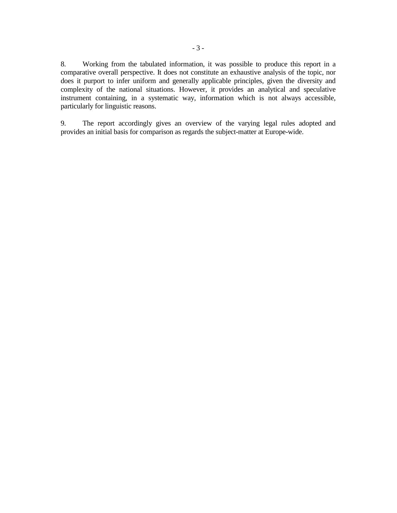8. Working from the tabulated information, it was possible to produce this report in a comparative overall perspective. It does not constitute an exhaustive analysis of the topic, nor does it purport to infer uniform and generally applicable principles, given the diversity and complexity of the national situations. However, it provides an analytical and speculative instrument containing, in a systematic way, information which is not always accessible, particularly for linguistic reasons.

9. The report accordingly gives an overview of the varying legal rules adopted and provides an initial basis for comparison as regards the subject-matter at Europe-wide.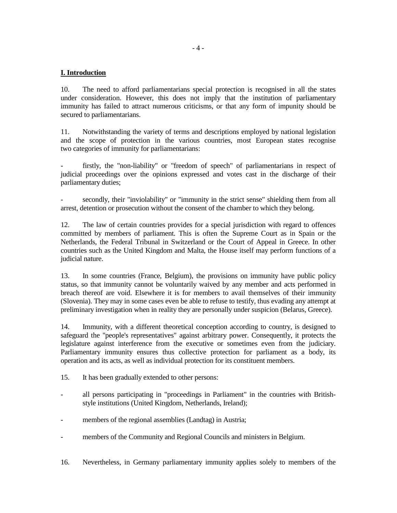# **I. Introduction**

10. The need to afford parliamentarians special protection is recognised in all the states under consideration. However, this does not imply that the institution of parliamentary immunity has failed to attract numerous criticisms, or that any form of impunity should be secured to parliamentarians.

11. Notwithstanding the variety of terms and descriptions employed by national legislation and the scope of protection in the various countries, most European states recognise two categories of immunity for parliamentarians:

firstly, the "non-liability" or "freedom of speech" of parliamentarians in respect of judicial proceedings over the opinions expressed and votes cast in the discharge of their parliamentary duties;

secondly, their "inviolability" or "immunity in the strict sense" shielding them from all arrest, detention or prosecution without the consent of the chamber to which they belong.

12. The law of certain countries provides for a special jurisdiction with regard to offences committed by members of parliament. This is often the Supreme Court as in Spain or the Netherlands, the Federal Tribunal in Switzerland or the Court of Appeal in Greece. In other countries such as the United Kingdom and Malta, the House itself may perform functions of a judicial nature.

13. In some countries (France, Belgium), the provisions on immunity have public policy status, so that immunity cannot be voluntarily waived by any member and acts performed in breach thereof are void. Elsewhere it is for members to avail themselves of their immunity (Slovenia). They may in some cases even be able to refuse to testify, thus evading any attempt at preliminary investigation when in reality they are personally under suspicion (Belarus, Greece).

14. Immunity, with a different theoretical conception according to country, is designed to safeguard the "people's representatives" against arbitrary power. Consequently, it protects the legislature against interference from the executive or sometimes even from the judiciary. Parliamentary immunity ensures thus collective protection for parliament as a body, its operation and its acts, as well as individual protection for its constituent members.

- 15. It has been gradually extended to other persons:
- all persons participating in "proceedings in Parliament" in the countries with Britishstyle institutions (United Kingdom, Netherlands, Ireland);
- members of the regional assemblies (Landtag) in Austria;
- members of the Community and Regional Councils and ministers in Belgium.
- 16. Nevertheless, in Germany parliamentary immunity applies solely to members of the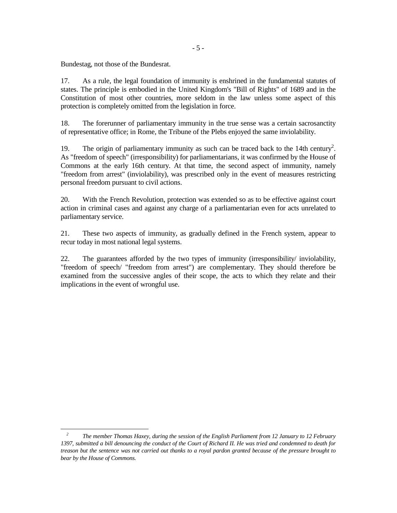Bundestag, not those of the Bundesrat.

17. As a rule, the legal foundation of immunity is enshrined in the fundamental statutes of states. The principle is embodied in the United Kingdom's "Bill of Rights" of 1689 and in the Constitution of most other countries, more seldom in the law unless some aspect of this protection is completely omitted from the legislation in force.

18. The forerunner of parliamentary immunity in the true sense was a certain sacrosanctity of representative office; in Rome, the Tribune of the Plebs enjoyed the same inviolability.

19. The origin of parliamentary immunity as such can be traced back to the 14th century<sup>2</sup>. As "freedom of speech" (irresponsibility) for parliamentarians, it was confirmed by the House of Commons at the early 16th century. At that time, the second aspect of immunity, namely "freedom from arrest" (inviolability), was prescribed only in the event of measures restricting personal freedom pursuant to civil actions.

20. With the French Revolution, protection was extended so as to be effective against court action in criminal cases and against any charge of a parliamentarian even for acts unrelated to parliamentary service.

21. These two aspects of immunity, as gradually defined in the French system, appear to recur today in most national legal systems.

22. The guarantees afforded by the two types of immunity (irresponsibility/ inviolability, "freedom of speech/ "freedom from arrest") are complementary. They should therefore be examined from the successive angles of their scope, the acts to which they relate and their implications in the event of wrongful use.

<sup>-</sup>*2 The member Thomas Haxey, during the session of the English Parliament from 12 January to 12 February 1397, submitted a bill denouncing the conduct of the Court of Richard II. He was tried and condemned to death for treason but the sentence was not carried out thanks to a royal pardon granted because of the pressure brought to bear by the House of Commons.*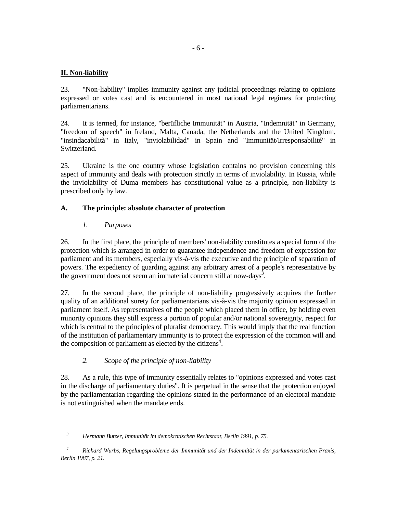## **II. Non-liability**

23. "Non-liability" implies immunity against any judicial proceedings relating to opinions expressed or votes cast and is encountered in most national legal regimes for protecting parliamentarians.

24. It is termed, for instance, "berüfliche Immunität" in Austria, "Indemnität" in Germany, "freedom of speech" in Ireland, Malta, Canada, the Netherlands and the United Kingdom, "insindacabilità" in Italy, "inviolabilidad" in Spain and "Immunität/Irresponsabilité" in Switzerland.

25. Ukraine is the one country whose legislation contains no provision concerning this aspect of immunity and deals with protection strictly in terms of inviolability. In Russia, while the inviolability of Duma members has constitutional value as a principle, non-liability is prescribed only by law.

## **A. The principle: absolute character of protection**

## *1. Purposes*

-

26. In the first place, the principle of members' non-liability constitutes a special form of the protection which is arranged in order to guarantee independence and freedom of expression for parliament and its members, especially vis-à-vis the executive and the principle of separation of powers. The expediency of guarding against any arbitrary arrest of a people's representative by the government does not seem an immaterial concern still at now-days<sup>3</sup>.

27. In the second place, the principle of non-liability progressively acquires the further quality of an additional surety for parliamentarians vis-à-vis the majority opinion expressed in parliament itself. As representatives of the people which placed them in office, by holding even minority opinions they still express a portion of popular and/or national sovereignty, respect for which is central to the principles of pluralist democracy. This would imply that the real function of the institution of parliamentary immunity is to protect the expression of the common will and the composition of parliament as elected by the citizens<sup>4</sup>.

## *2. Scope of the principle of non-liability*

28. As a rule, this type of immunity essentially relates to "opinions expressed and votes cast in the discharge of parliamentary duties". It is perpetual in the sense that the protection enjoyed by the parliamentarian regarding the opinions stated in the performance of an electoral mandate is not extinguished when the mandate ends.

*<sup>3</sup> Hermann Butzer, Immunität im demokratischen Rechtstaat, Berlin 1991, p. 75.* 

*<sup>4</sup> Richard Wurbs, Regelungsprobleme der Immunität und der Indemnität in der parlamentarischen Praxis, Berlin 1987, p. 21.*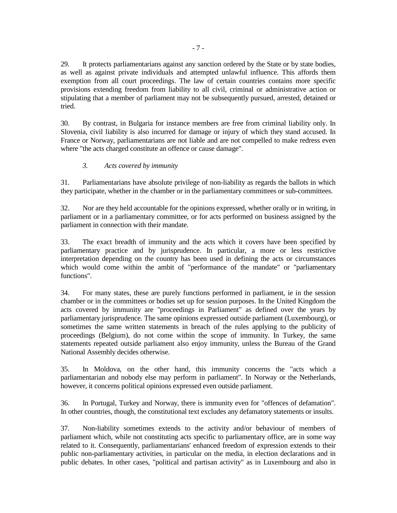29. It protects parliamentarians against any sanction ordered by the State or by state bodies, as well as against private individuals and attempted unlawful influence. This affords them exemption from all court proceedings. The law of certain countries contains more specific provisions extending freedom from liability to all civil, criminal or administrative action or stipulating that a member of parliament may not be subsequently pursued, arrested, detained or tried.

30. By contrast, in Bulgaria for instance members are free from criminal liability only. In Slovenia, civil liability is also incurred for damage or injury of which they stand accused. In France or Norway, parliamentarians are not liable and are not compelled to make redress even where "the acts charged constitute an offence or cause damage".

## *3. Acts covered by immunity*

31. Parliamentarians have absolute privilege of non-liability as regards the ballots in which they participate, whether in the chamber or in the parliamentary committees or sub-committees.

32. Nor are they held accountable for the opinions expressed, whether orally or in writing, in parliament or in a parliamentary committee, or for acts performed on business assigned by the parliament in connection with their mandate.

33. The exact breadth of immunity and the acts which it covers have been specified by parliamentary practice and by jurisprudence. In particular, a more or less restrictive interpretation depending on the country has been used in defining the acts or circumstances which would come within the ambit of "performance of the mandate" or "parliamentary functions".

34. For many states, these are purely functions performed in parliament, ie in the session chamber or in the committees or bodies set up for session purposes. In the United Kingdom the acts covered by immunity are "proceedings in Parliament" as defined over the years by parliamentary jurisprudence. The same opinions expressed outside parliament (Luxembourg), or sometimes the same written statements in breach of the rules applying to the publicity of proceedings (Belgium), do not come within the scope of immunity. In Turkey, the same statements repeated outside parliament also enjoy immunity, unless the Bureau of the Grand National Assembly decides otherwise.

35. In Moldova, on the other hand, this immunity concerns the "acts which a parliamentarian and nobody else may perform in parliament". In Norway or the Netherlands, however, it concerns political opinions expressed even outside parliament.

36. In Portugal, Turkey and Norway, there is immunity even for "offences of defamation". In other countries, though, the constitutional text excludes any defamatory statements or insults.

37. Non-liability sometimes extends to the activity and/or behaviour of members of parliament which, while not constituting acts specific to parliamentary office, are in some way related to it. Consequently, parliamentarians' enhanced freedom of expression extends to their public non-parliamentary activities, in particular on the media, in election declarations and in public debates. In other cases, "political and partisan activity" as in Luxembourg and also in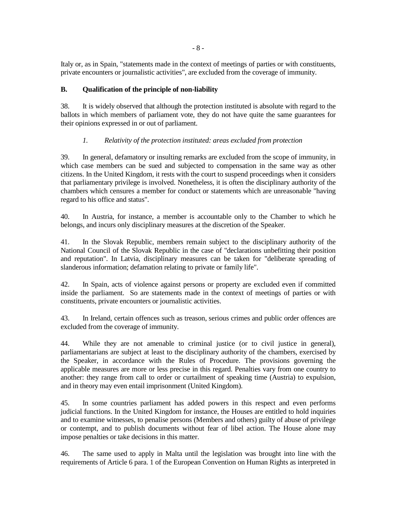Italy or, as in Spain, "statements made in the context of meetings of parties or with constituents, private encounters or journalistic activities", are excluded from the coverage of immunity.

## **B. Qualification of the principle of non-liability**

38. It is widely observed that although the protection instituted is absolute with regard to the ballots in which members of parliament vote, they do not have quite the same guarantees for their opinions expressed in or out of parliament.

## *1. Relativity of the protection instituted: areas excluded from protection*

39. In general, defamatory or insulting remarks are excluded from the scope of immunity, in which case members can be sued and subjected to compensation in the same way as other citizens. In the United Kingdom, it rests with the court to suspend proceedings when it considers that parliamentary privilege is involved. Nonetheless, it is often the disciplinary authority of the chambers which censures a member for conduct or statements which are unreasonable "having regard to his office and status".

40. In Austria, for instance, a member is accountable only to the Chamber to which he belongs, and incurs only disciplinary measures at the discretion of the Speaker.

41. In the Slovak Republic, members remain subject to the disciplinary authority of the National Council of the Slovak Republic in the case of "declarations unbefitting their position and reputation". In Latvia, disciplinary measures can be taken for "deliberate spreading of slanderous information; defamation relating to private or family life".

42. In Spain, acts of violence against persons or property are excluded even if committed inside the parliament. So are statements made in the context of meetings of parties or with constituents, private encounters or journalistic activities.

43. In Ireland, certain offences such as treason, serious crimes and public order offences are excluded from the coverage of immunity.

44. While they are not amenable to criminal justice (or to civil justice in general), parliamentarians are subject at least to the disciplinary authority of the chambers, exercised by the Speaker, in accordance with the Rules of Procedure. The provisions governing the applicable measures are more or less precise in this regard. Penalties vary from one country to another: they range from call to order or curtailment of speaking time (Austria) to expulsion, and in theory may even entail imprisonment (United Kingdom).

45. In some countries parliament has added powers in this respect and even performs judicial functions. In the United Kingdom for instance, the Houses are entitled to hold inquiries and to examine witnesses, to penalise persons (Members and others) guilty of abuse of privilege or contempt, and to publish documents without fear of libel action. The House alone may impose penalties or take decisions in this matter.

46. The same used to apply in Malta until the legislation was brought into line with the requirements of Article 6 para. 1 of the European Convention on Human Rights as interpreted in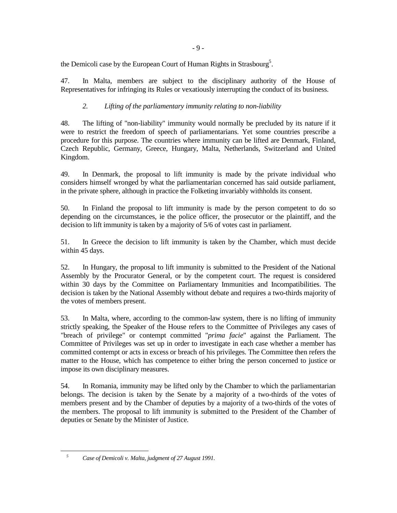- 9 -

the Demicoli case by the European Court of Human Rights in Strasbourg<sup>5</sup>.

47. In Malta, members are subject to the disciplinary authority of the House of Representatives for infringing its Rules or vexatiously interrupting the conduct of its business.

## *2. Lifting of the parliamentary immunity relating to non-liability*

48. The lifting of "non-liability" immunity would normally be precluded by its nature if it were to restrict the freedom of speech of parliamentarians. Yet some countries prescribe a procedure for this purpose. The countries where immunity can be lifted are Denmark, Finland, Czech Republic, Germany, Greece, Hungary, Malta, Netherlands, Switzerland and United Kingdom.

49. In Denmark, the proposal to lift immunity is made by the private individual who considers himself wronged by what the parliamentarian concerned has said outside parliament, in the private sphere, although in practice the Folketing invariably withholds its consent.

50. In Finland the proposal to lift immunity is made by the person competent to do so depending on the circumstances, ie the police officer, the prosecutor or the plaintiff, and the decision to lift immunity is taken by a majority of 5/6 of votes cast in parliament.

51. In Greece the decision to lift immunity is taken by the Chamber, which must decide within 45 days.

52. In Hungary, the proposal to lift immunity is submitted to the President of the National Assembly by the Procurator General, or by the competent court. The request is considered within 30 days by the Committee on Parliamentary Immunities and Incompatibilities. The decision is taken by the National Assembly without debate and requires a two-thirds majority of the votes of members present.

53. In Malta, where, according to the common-law system, there is no lifting of immunity strictly speaking, the Speaker of the House refers to the Committee of Privileges any cases of "breach of privilege" or contempt committed "*prima facie*" against the Parliament. The Committee of Privileges was set up in order to investigate in each case whether a member has committed contempt or acts in excess or breach of his privileges. The Committee then refers the matter to the House, which has competence to either bring the person concerned to justice or impose its own disciplinary measures.

54. In Romania, immunity may be lifted only by the Chamber to which the parliamentarian belongs. The decision is taken by the Senate by a majority of a two-thirds of the votes of members present and by the Chamber of deputies by a majority of a two-thirds of the votes of the members. The proposal to lift immunity is submitted to the President of the Chamber of deputies or Senate by the Minister of Justice.

<sup>-</sup>*5*

*Case of Demicoli v. Malta, judgment of 27 August 1991.*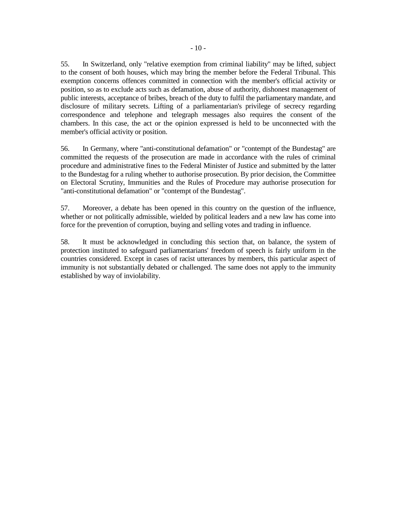55. In Switzerland, only "relative exemption from criminal liability" may be lifted, subject to the consent of both houses, which may bring the member before the Federal Tribunal. This exemption concerns offences committed in connection with the member's official activity or position, so as to exclude acts such as defamation, abuse of authority, dishonest management of public interests, acceptance of bribes, breach of the duty to fulfil the parliamentary mandate, and disclosure of military secrets. Lifting of a parliamentarian's privilege of secrecy regarding correspondence and telephone and telegraph messages also requires the consent of the chambers. In this case, the act or the opinion expressed is held to be unconnected with the member's official activity or position.

56. In Germany, where "anti-constitutional defamation" or "contempt of the Bundestag" are committed the requests of the prosecution are made in accordance with the rules of criminal procedure and administrative fines to the Federal Minister of Justice and submitted by the latter to the Bundestag for a ruling whether to authorise prosecution. By prior decision, the Committee on Electoral Scrutiny, Immunities and the Rules of Procedure may authorise prosecution for "anti-constitutional defamation" or "contempt of the Bundestag".

57. Moreover, a debate has been opened in this country on the question of the influence, whether or not politically admissible, wielded by political leaders and a new law has come into force for the prevention of corruption, buying and selling votes and trading in influence.

58. It must be acknowledged in concluding this section that, on balance, the system of protection instituted to safeguard parliamentarians' freedom of speech is fairly uniform in the countries considered. Except in cases of racist utterances by members, this particular aspect of immunity is not substantially debated or challenged. The same does not apply to the immunity established by way of inviolability.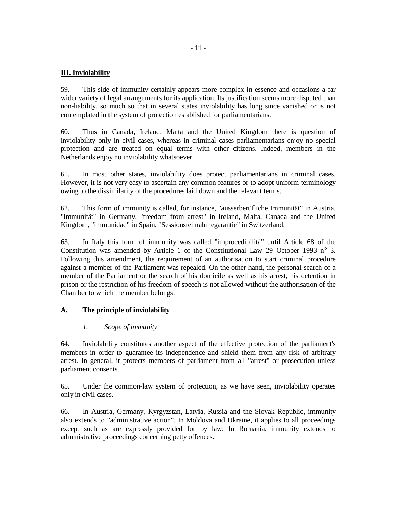## **III. Inviolability**

59. This side of immunity certainly appears more complex in essence and occasions a far wider variety of legal arrangements for its application. Its justification seems more disputed than non-liability, so much so that in several states inviolability has long since vanished or is not contemplated in the system of protection established for parliamentarians.

60. Thus in Canada, Ireland, Malta and the United Kingdom there is question of inviolability only in civil cases, whereas in criminal cases parliamentarians enjoy no special protection and are treated on equal terms with other citizens. Indeed, members in the Netherlands enjoy no inviolability whatsoever.

61. In most other states, inviolability does protect parliamentarians in criminal cases. However, it is not very easy to ascertain any common features or to adopt uniform terminology owing to the dissimilarity of the procedures laid down and the relevant terms.

62. This form of immunity is called, for instance, "ausserberüfliche Immunität" in Austria, "Immunität" in Germany, "freedom from arrest" in Ireland, Malta, Canada and the United Kingdom, "immunidad" in Spain, "Sessionsteilnahmegarantie" in Switzerland.

63. In Italy this form of immunity was called "improcedibilità" until Article 68 of the Constitution was amended by Article 1 of the Constitutional Law 29 October 1993 n° 3. Following this amendment, the requirement of an authorisation to start criminal procedure against a member of the Parliament was repealed. On the other hand, the personal search of a member of the Parliament or the search of his domicile as well as his arrest, his detention in prison or the restriction of his freedom of speech is not allowed without the authorisation of the Chamber to which the member belongs.

## **A. The principle of inviolability**

#### *1. Scope of immunity*

64. Inviolability constitutes another aspect of the effective protection of the parliament's members in order to guarantee its independence and shield them from any risk of arbitrary arrest. In general, it protects members of parliament from all "arrest" or prosecution unless parliament consents.

65. Under the common-law system of protection, as we have seen, inviolability operates only in civil cases.

66. In Austria, Germany, Kyrgyzstan, Latvia, Russia and the Slovak Republic, immunity also extends to "administrative action". In Moldova and Ukraine, it applies to all proceedings except such as are expressly provided for by law. In Romania, immunity extends to administrative proceedings concerning petty offences.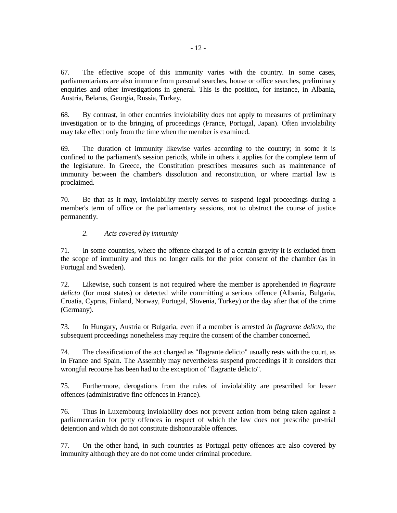67. The effective scope of this immunity varies with the country. In some cases, parliamentarians are also immune from personal searches, house or office searches, preliminary enquiries and other investigations in general. This is the position, for instance, in Albania, Austria, Belarus, Georgia, Russia, Turkey.

68. By contrast, in other countries inviolability does not apply to measures of preliminary investigation or to the bringing of proceedings (France, Portugal, Japan). Often inviolability may take effect only from the time when the member is examined.

69. The duration of immunity likewise varies according to the country; in some it is confined to the parliament's session periods, while in others it applies for the complete term of the legislature. In Greece, the Constitution prescribes measures such as maintenance of immunity between the chamber's dissolution and reconstitution, or where martial law is proclaimed.

70. Be that as it may, inviolability merely serves to suspend legal proceedings during a member's term of office or the parliamentary sessions, not to obstruct the course of justice permanently.

#### *2. Acts covered by immunity*

71. In some countries, where the offence charged is of a certain gravity it is excluded from the scope of immunity and thus no longer calls for the prior consent of the chamber (as in Portugal and Sweden).

72. Likewise, such consent is not required where the member is apprehended *in flagrante delicto* (for most states) or detected while committing a serious offence (Albania, Bulgaria, Croatia, Cyprus, Finland, Norway, Portugal, Slovenia, Turkey) or the day after that of the crime (Germany).

73. In Hungary, Austria or Bulgaria, even if a member is arrested *in flagrante delicto*, the subsequent proceedings nonetheless may require the consent of the chamber concerned.

74. The classification of the act charged as "flagrante delicto" usually rests with the court, as in France and Spain. The Assembly may nevertheless suspend proceedings if it considers that wrongful recourse has been had to the exception of "flagrante delicto".

75. Furthermore, derogations from the rules of inviolability are prescribed for lesser offences (administrative fine offences in France).

76. Thus in Luxembourg inviolability does not prevent action from being taken against a parliamentarian for petty offences in respect of which the law does not prescribe pre-trial detention and which do not constitute dishonourable offences.

77. On the other hand, in such countries as Portugal petty offences are also covered by immunity although they are do not come under criminal procedure.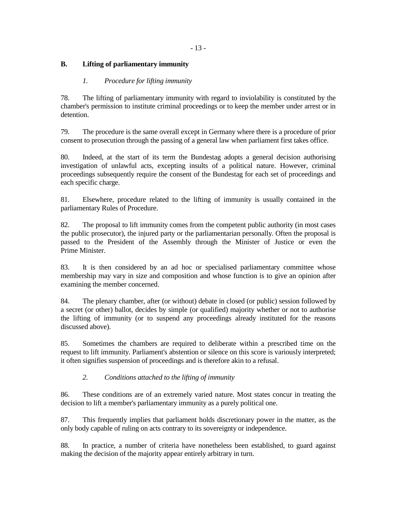## **B. Lifting of parliamentary immunity**

## *1. Procedure for lifting immunity*

78. The lifting of parliamentary immunity with regard to inviolability is constituted by the chamber's permission to institute criminal proceedings or to keep the member under arrest or in detention.

79. The procedure is the same overall except in Germany where there is a procedure of prior consent to prosecution through the passing of a general law when parliament first takes office.

80. Indeed, at the start of its term the Bundestag adopts a general decision authorising investigation of unlawful acts, excepting insults of a political nature. However, criminal proceedings subsequently require the consent of the Bundestag for each set of proceedings and each specific charge.

81. Elsewhere, procedure related to the lifting of immunity is usually contained in the parliamentary Rules of Procedure.

82. The proposal to lift immunity comes from the competent public authority (in most cases the public prosecutor), the injured party or the parliamentarian personally. Often the proposal is passed to the President of the Assembly through the Minister of Justice or even the Prime Minister.

83. It is then considered by an ad hoc or specialised parliamentary committee whose membership may vary in size and composition and whose function is to give an opinion after examining the member concerned.

84. The plenary chamber, after (or without) debate in closed (or public) session followed by a secret (or other) ballot, decides by simple (or qualified) majority whether or not to authorise the lifting of immunity (or to suspend any proceedings already instituted for the reasons discussed above).

85. Sometimes the chambers are required to deliberate within a prescribed time on the request to lift immunity. Parliament's abstention or silence on this score is variously interpreted; it often signifies suspension of proceedings and is therefore akin to a refusal.

## *2. Conditions attached to the lifting of immunity*

86. These conditions are of an extremely varied nature. Most states concur in treating the decision to lift a member's parliamentary immunity as a purely political one.

87. This frequently implies that parliament holds discretionary power in the matter, as the only body capable of ruling on acts contrary to its sovereignty or independence.

88. In practice, a number of criteria have nonetheless been established, to guard against making the decision of the majority appear entirely arbitrary in turn.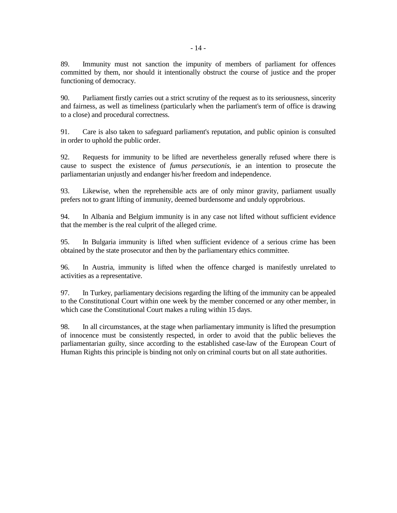89. Immunity must not sanction the impunity of members of parliament for offences committed by them, nor should it intentionally obstruct the course of justice and the proper functioning of democracy.

90. Parliament firstly carries out a strict scrutiny of the request as to its seriousness, sincerity and fairness, as well as timeliness (particularly when the parliament's term of office is drawing to a close) and procedural correctness.

91. Care is also taken to safeguard parliament's reputation, and public opinion is consulted in order to uphold the public order.

92. Requests for immunity to be lifted are nevertheless generally refused where there is cause to suspect the existence of *fumus persecutionis*, ie an intention to prosecute the parliamentarian unjustly and endanger his/her freedom and independence.

93. Likewise, when the reprehensible acts are of only minor gravity, parliament usually prefers not to grant lifting of immunity, deemed burdensome and unduly opprobrious.

94. In Albania and Belgium immunity is in any case not lifted without sufficient evidence that the member is the real culprit of the alleged crime.

95. In Bulgaria immunity is lifted when sufficient evidence of a serious crime has been obtained by the state prosecutor and then by the parliamentary ethics committee.

96. In Austria, immunity is lifted when the offence charged is manifestly unrelated to activities as a representative.

97. In Turkey, parliamentary decisions regarding the lifting of the immunity can be appealed to the Constitutional Court within one week by the member concerned or any other member, in which case the Constitutional Court makes a ruling within 15 days.

98. In all circumstances, at the stage when parliamentary immunity is lifted the presumption of innocence must be consistently respected, in order to avoid that the public believes the parliamentarian guilty, since according to the established case-law of the European Court of Human Rights this principle is binding not only on criminal courts but on all state authorities.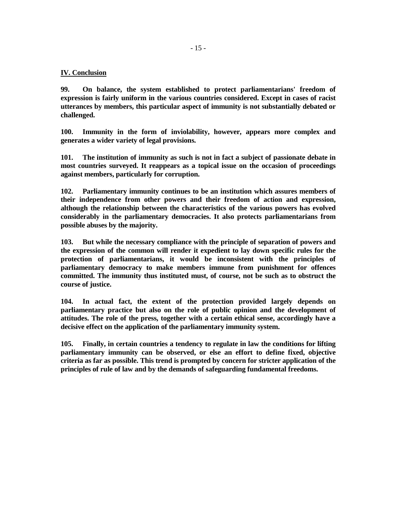#### **IV. Conclusion**

**99. On balance, the system established to protect parliamentarians' freedom of expression is fairly uniform in the various countries considered. Except in cases of racist utterances by members, this particular aspect of immunity is not substantially debated or challenged.** 

**100. Immunity in the form of inviolability, however, appears more complex and generates a wider variety of legal provisions.** 

**101. The institution of immunity as such is not in fact a subject of passionate debate in most countries surveyed. It reappears as a topical issue on the occasion of proceedings against members, particularly for corruption.** 

**102. Parliamentary immunity continues to be an institution which assures members of their independence from other powers and their freedom of action and expression, although the relationship between the characteristics of the various powers has evolved considerably in the parliamentary democracies. It also protects parliamentarians from possible abuses by the majority.** 

**103. But while the necessary compliance with the principle of separation of powers and the expression of the common will render it expedient to lay down specific rules for the protection of parliamentarians, it would be inconsistent with the principles of parliamentary democracy to make members immune from punishment for offences committed. The immunity thus instituted must, of course, not be such as to obstruct the course of justice.** 

**104. In actual fact, the extent of the protection provided largely depends on parliamentary practice but also on the role of public opinion and the development of attitudes. The role of the press, together with a certain ethical sense, accordingly have a decisive effect on the application of the parliamentary immunity system.** 

**105. Finally, in certain countries a tendency to regulate in law the conditions for lifting parliamentary immunity can be observed, or else an effort to define fixed, objective criteria as far as possible. This trend is prompted by concern for stricter application of the principles of rule of law and by the demands of safeguarding fundamental freedoms.**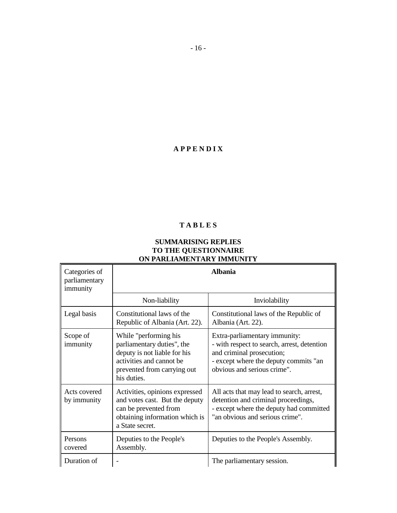## **A P P E N D I X**

## **T A B L E S**

## **SUMMARISING REPLIES TO THE QUESTIONNAIRE ON PARLIAMENTARY IMMUNITY**

| Categories of<br>parliamentary<br>immunity | <b>Albania</b>                                                                                                                                                |                                                                                                                                                                                   |
|--------------------------------------------|---------------------------------------------------------------------------------------------------------------------------------------------------------------|-----------------------------------------------------------------------------------------------------------------------------------------------------------------------------------|
|                                            | Non-liability                                                                                                                                                 | Inviolability                                                                                                                                                                     |
| Legal basis                                | Constitutional laws of the<br>Republic of Albania (Art. 22).                                                                                                  | Constitutional laws of the Republic of<br>Albania (Art. 22).                                                                                                                      |
| Scope of<br>immunity                       | While "performing his<br>parliamentary duties", the<br>deputy is not liable for his<br>activities and cannot be<br>prevented from carrying out<br>his duties. | Extra-parliamentary immunity:<br>- with respect to search, arrest, detention<br>and criminal prosecution;<br>- except where the deputy commits "an<br>obvious and serious crime". |
| Acts covered<br>by immunity                | Activities, opinions expressed<br>and votes cast. But the deputy<br>can be prevented from<br>obtaining information which is<br>a State secret.                | All acts that may lead to search, arrest,<br>detention and criminal proceedings,<br>- except where the deputy had committed<br>"an obvious and serious crime".                    |
| Persons<br>covered                         | Deputies to the People's<br>Assembly.                                                                                                                         | Deputies to the People's Assembly.                                                                                                                                                |
| Duration of                                |                                                                                                                                                               | The parliamentary session.                                                                                                                                                        |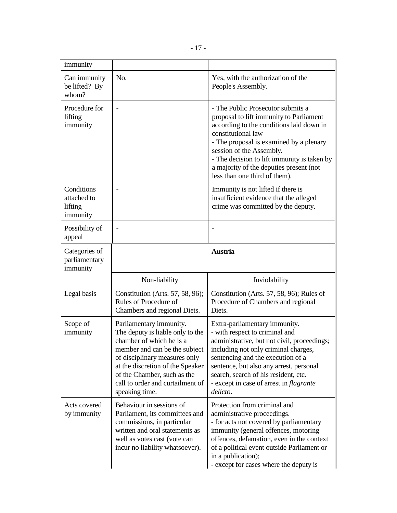| immunity                                         |                                                                                                                                                                                                                                                                                    |                                                                                                                                                                                                                                                                                                                                                  |
|--------------------------------------------------|------------------------------------------------------------------------------------------------------------------------------------------------------------------------------------------------------------------------------------------------------------------------------------|--------------------------------------------------------------------------------------------------------------------------------------------------------------------------------------------------------------------------------------------------------------------------------------------------------------------------------------------------|
| Can immunity<br>be lifted? By<br>whom?           | No.                                                                                                                                                                                                                                                                                | Yes, with the authorization of the<br>People's Assembly.                                                                                                                                                                                                                                                                                         |
| Procedure for<br>lifting<br>immunity             | $\overline{\phantom{0}}$                                                                                                                                                                                                                                                           | - The Public Prosecutor submits a<br>proposal to lift immunity to Parliament<br>according to the conditions laid down in<br>constitutional law<br>- The proposal is examined by a plenary<br>session of the Assembly.<br>- The decision to lift immunity is taken by<br>a majority of the deputies present (not<br>less than one third of them). |
| Conditions<br>attached to<br>lifting<br>immunity |                                                                                                                                                                                                                                                                                    | Immunity is not lifted if there is<br>insufficient evidence that the alleged<br>crime was committed by the deputy.                                                                                                                                                                                                                               |
| Possibility of<br>appeal                         |                                                                                                                                                                                                                                                                                    |                                                                                                                                                                                                                                                                                                                                                  |
| Categories of<br>parliamentary<br>immunity       |                                                                                                                                                                                                                                                                                    | <b>Austria</b>                                                                                                                                                                                                                                                                                                                                   |
|                                                  |                                                                                                                                                                                                                                                                                    |                                                                                                                                                                                                                                                                                                                                                  |
|                                                  | Non-liability                                                                                                                                                                                                                                                                      | Inviolability                                                                                                                                                                                                                                                                                                                                    |
| Legal basis                                      | Constitution (Arts. 57, 58, 96);<br>Rules of Procedure of<br>Chambers and regional Diets.                                                                                                                                                                                          | Constitution (Arts. 57, 58, 96); Rules of<br>Procedure of Chambers and regional<br>Diets.                                                                                                                                                                                                                                                        |
| Scope of<br>immunity                             | Parliamentary immunity.<br>The deputy is liable only to the<br>chamber of which he is a<br>member and can be the subject<br>of disciplinary measures only<br>at the discretion of the Speaker<br>of the Chamber, such as the<br>call to order and curtailment of<br>speaking time. | Extra-parliamentary immunity.<br>- with respect to criminal and<br>administrative, but not civil, proceedings;<br>including not only criminal charges,<br>sentencing and the execution of a<br>sentence, but also any arrest, personal<br>search, search of his resident, etc.<br>- except in case of arrest in <i>flagrante</i><br>delicto.     |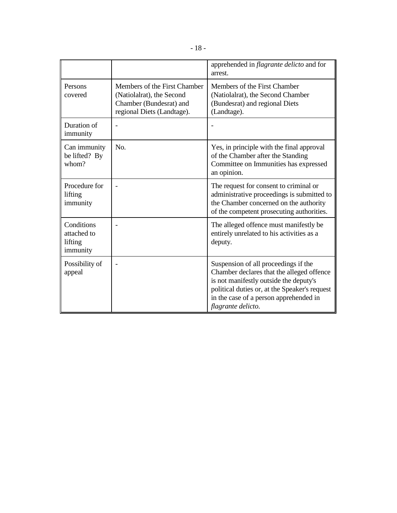|                                                  |                                                                                                                    | apprehended in <i>flagrante delicto</i> and for<br>arrest.                                                                                                                                                                                   |
|--------------------------------------------------|--------------------------------------------------------------------------------------------------------------------|----------------------------------------------------------------------------------------------------------------------------------------------------------------------------------------------------------------------------------------------|
| Persons<br>covered                               | Members of the First Chamber<br>(Natiolalrat), the Second<br>Chamber (Bundesrat) and<br>regional Diets (Landtage). | Members of the First Chamber<br>(Natiolalrat), the Second Chamber<br>(Bundesrat) and regional Diets<br>(Landtage).                                                                                                                           |
| Duration of<br>immunity                          |                                                                                                                    |                                                                                                                                                                                                                                              |
| Can immunity<br>be lifted? By<br>whom?           | N <sub>0</sub>                                                                                                     | Yes, in principle with the final approval<br>of the Chamber after the Standing<br>Committee on Immunities has expressed<br>an opinion.                                                                                                       |
| Procedure for<br>lifting<br>immunity             |                                                                                                                    | The request for consent to criminal or<br>administrative proceedings is submitted to<br>the Chamber concerned on the authority<br>of the competent prosecuting authorities.                                                                  |
| Conditions<br>attached to<br>lifting<br>immunity |                                                                                                                    | The alleged offence must manifestly be.<br>entirely unrelated to his activities as a<br>deputy.                                                                                                                                              |
| Possibility of<br>appeal                         |                                                                                                                    | Suspension of all proceedings if the<br>Chamber declares that the alleged offence<br>is not manifestly outside the deputy's<br>political duties or, at the Speaker's request<br>in the case of a person apprehended in<br>flagrante delicto. |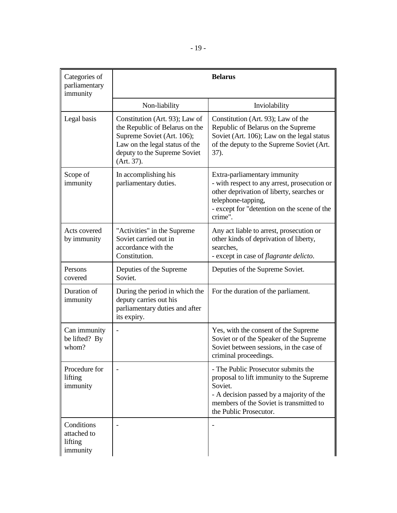| Categories of<br>parliamentary<br>immunity       |                                                                                                                                                                                | <b>Belarus</b>                                                                                                                                                                                              |
|--------------------------------------------------|--------------------------------------------------------------------------------------------------------------------------------------------------------------------------------|-------------------------------------------------------------------------------------------------------------------------------------------------------------------------------------------------------------|
|                                                  | Non-liability                                                                                                                                                                  | Inviolability                                                                                                                                                                                               |
| Legal basis                                      | Constitution (Art. 93); Law of<br>the Republic of Belarus on the<br>Supreme Soviet (Art. 106);<br>Law on the legal status of the<br>deputy to the Supreme Soviet<br>(Art. 37). | Constitution (Art. 93); Law of the<br>Republic of Belarus on the Supreme<br>Soviet (Art. 106); Law on the legal status<br>of the deputy to the Supreme Soviet (Art.<br>37).                                 |
| Scope of<br>immunity                             | In accomplishing his<br>parliamentary duties.                                                                                                                                  | Extra-parliamentary immunity<br>- with respect to any arrest, prosecution or<br>other deprivation of liberty, searches or<br>telephone-tapping,<br>- except for "detention on the scene of the<br>crime".   |
| Acts covered<br>by immunity                      | "Activities" in the Supreme<br>Soviet carried out in<br>accordance with the<br>Constitution.                                                                                   | Any act liable to arrest, prosecution or<br>other kinds of deprivation of liberty,<br>searches,<br>- except in case of flagrante delicto.                                                                   |
| Persons<br>covered                               | Deputies of the Supreme<br>Soviet.                                                                                                                                             | Deputies of the Supreme Soviet.                                                                                                                                                                             |
| Duration of<br>immunity                          | During the period in which the<br>deputy carries out his<br>parliamentary duties and after<br>its expiry.                                                                      | For the duration of the parliament.                                                                                                                                                                         |
| Can immunity<br>be lifted? By<br>whom?           |                                                                                                                                                                                | Yes, with the consent of the Supreme<br>Soviet or of the Speaker of the Supreme<br>Soviet between sessions, in the case of<br>criminal proceedings                                                          |
| Procedure for<br>lifting<br>immunity             |                                                                                                                                                                                | - The Public Prosecutor submits the<br>proposal to lift immunity to the Supreme<br>Soviet.<br>- A decision passed by a majority of the<br>members of the Soviet is transmitted to<br>the Public Prosecutor. |
| Conditions<br>attached to<br>lifting<br>immunity |                                                                                                                                                                                |                                                                                                                                                                                                             |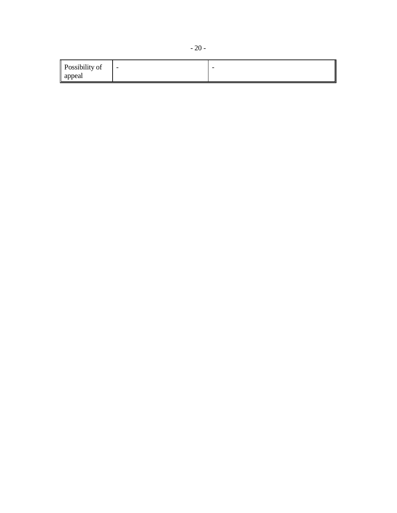| Possibility of | $\overline{\phantom{a}}$ | - |
|----------------|--------------------------|---|
| appeal         |                          |   |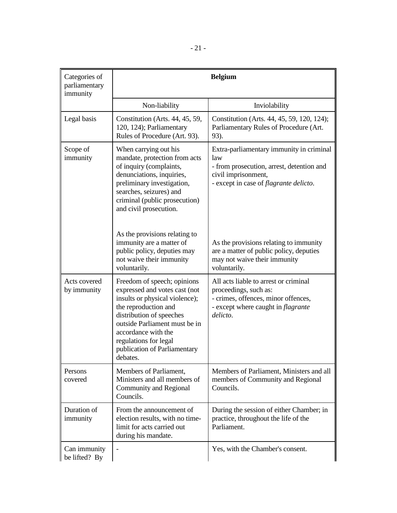| Categories of<br>parliamentary<br>immunity | <b>Belgium</b>                                                                                                                                                                                                                                                                  |                                                                                                                                                                       |
|--------------------------------------------|---------------------------------------------------------------------------------------------------------------------------------------------------------------------------------------------------------------------------------------------------------------------------------|-----------------------------------------------------------------------------------------------------------------------------------------------------------------------|
|                                            | Non-liability                                                                                                                                                                                                                                                                   | Inviolability                                                                                                                                                         |
| Legal basis                                | Constitution (Arts. 44, 45, 59,<br>120, 124); Parliamentary<br>Rules of Procedure (Art. 93).                                                                                                                                                                                    | Constitution (Arts. 44, 45, 59, 120, 124);<br>Parliamentary Rules of Procedure (Art.<br>93).                                                                          |
| Scope of<br>immunity                       | When carrying out his<br>mandate, protection from acts<br>of inquiry (complaints,<br>denunciations, inquiries,<br>preliminary investigation,<br>searches, seizures) and<br>criminal (public prosecution)<br>and civil prosecution.                                              | Extra-parliamentary immunity in criminal<br>law<br>- from prosecution, arrest, detention and<br>civil imprisonment,<br>- except in case of <i>flagrante delicto</i> . |
|                                            | As the provisions relating to<br>immunity are a matter of<br>public policy, deputies may<br>not waive their immunity<br>voluntarily.                                                                                                                                            | As the provisions relating to immunity<br>are a matter of public policy, deputies<br>may not waive their immunity<br>voluntarily.                                     |
| Acts covered<br>by immunity                | Freedom of speech; opinions<br>expressed and votes cast (not<br>insults or physical violence);<br>the reproduction and<br>distribution of speeches<br>outside Parliament must be in<br>accordance with the<br>regulations for legal<br>publication of Parliamentary<br>debates. | All acts liable to arrest or criminal<br>proceedings, such as:<br>- crimes, offences, minor offences,<br>- except where caught in <i>flagrante</i><br>delicto.        |
| Persons<br>covered                         | Members of Parliament,<br>Ministers and all members of<br><b>Community and Regional</b><br>Councils.                                                                                                                                                                            | Members of Parliament, Ministers and all<br>members of Community and Regional<br>Councils.                                                                            |
| Duration of<br>immunity                    | From the announcement of<br>election results, with no time-<br>limit for acts carried out<br>during his mandate.                                                                                                                                                                | During the session of either Chamber; in<br>practice, throughout the life of the<br>Parliament.                                                                       |
| Can immunity<br>be lifted? By              | $\overline{\phantom{a}}$                                                                                                                                                                                                                                                        | Yes, with the Chamber's consent.                                                                                                                                      |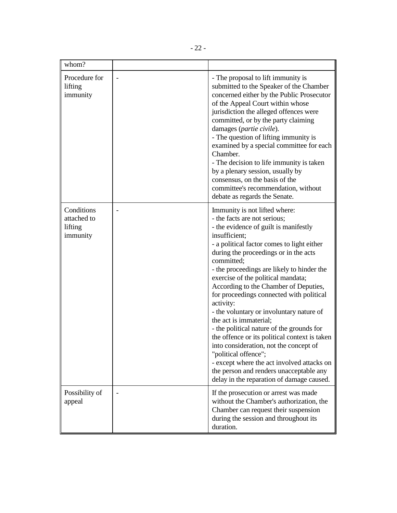| whom?                                            |                                                                                                                                                                                                                                                                                                                                                                                                                                                                                                                                                                                                                                                                                                                                                                                                |
|--------------------------------------------------|------------------------------------------------------------------------------------------------------------------------------------------------------------------------------------------------------------------------------------------------------------------------------------------------------------------------------------------------------------------------------------------------------------------------------------------------------------------------------------------------------------------------------------------------------------------------------------------------------------------------------------------------------------------------------------------------------------------------------------------------------------------------------------------------|
| Procedure for<br>lifting<br>immunity             | - The proposal to lift immunity is<br>submitted to the Speaker of the Chamber<br>concerned either by the Public Prosecutor<br>of the Appeal Court within whose<br>jurisdiction the alleged offences were<br>committed, or by the party claiming<br>damages (partie civile).<br>- The question of lifting immunity is<br>examined by a special committee for each<br>Chamber.<br>- The decision to life immunity is taken<br>by a plenary session, usually by<br>consensus, on the basis of the<br>committee's recommendation, without<br>debate as regards the Senate.                                                                                                                                                                                                                         |
| Conditions<br>attached to<br>lifting<br>immunity | Immunity is not lifted where:<br>- the facts are not serious;<br>- the evidence of guilt is manifestly<br>insufficient:<br>- a political factor comes to light either<br>during the proceedings or in the acts<br>committed;<br>- the proceedings are likely to hinder the<br>exercise of the political mandata;<br>According to the Chamber of Deputies,<br>for proceedings connected with political<br>activity:<br>- the voluntary or involuntary nature of<br>the act is immaterial;<br>- the political nature of the grounds for<br>the offence or its political context is taken<br>into consideration, not the concept of<br>"political offence";<br>- except where the act involved attacks on<br>the person and renders unacceptable any<br>delay in the reparation of damage caused. |
| Possibility of<br>appeal                         | If the prosecution or arrest was made<br>without the Chamber's authorization, the<br>Chamber can request their suspension<br>during the session and throughout its<br>duration.                                                                                                                                                                                                                                                                                                                                                                                                                                                                                                                                                                                                                |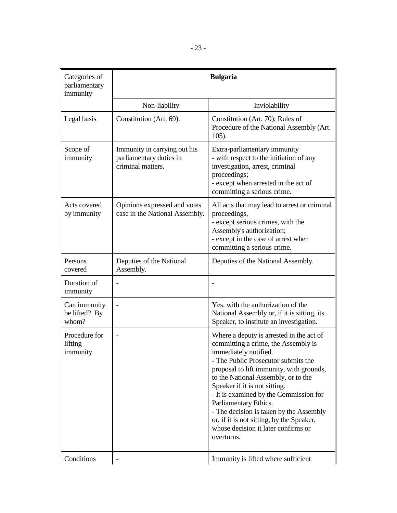| Categories of<br>parliamentary<br>immunity |                                                                              | <b>Bulgaria</b>                                                                                                                                                                                                                                                                                                                                                                                                                                                                     |
|--------------------------------------------|------------------------------------------------------------------------------|-------------------------------------------------------------------------------------------------------------------------------------------------------------------------------------------------------------------------------------------------------------------------------------------------------------------------------------------------------------------------------------------------------------------------------------------------------------------------------------|
|                                            | Non-liability                                                                | Inviolability                                                                                                                                                                                                                                                                                                                                                                                                                                                                       |
| Legal basis                                | Constitution (Art. 69).                                                      | Constitution (Art. 70); Rules of<br>Procedure of the National Assembly (Art.<br>$105$ ).                                                                                                                                                                                                                                                                                                                                                                                            |
| Scope of<br>immunity                       | Immunity in carrying out his<br>parliamentary duties in<br>criminal matters. | Extra-parliamentary immunity<br>- with respect to the initiation of any<br>investigation, arrest, criminal<br>proceedings;<br>- except when arrested in the act of<br>committing a serious crime.                                                                                                                                                                                                                                                                                   |
| Acts covered<br>by immunity                | Opinions expressed and votes<br>case in the National Assembly.               | All acts that may lead to arrest or criminal<br>proceedings,<br>- except serious crimes, with the<br>Assembly's authorization;<br>- except in the case of arrest when<br>committing a serious crime.                                                                                                                                                                                                                                                                                |
| Persons<br>covered                         | Deputies of the National<br>Assembly.                                        | Deputies of the National Assembly.                                                                                                                                                                                                                                                                                                                                                                                                                                                  |
| Duration of<br>immunity                    |                                                                              |                                                                                                                                                                                                                                                                                                                                                                                                                                                                                     |
| Can immunity<br>be lifted? By<br>whom?     |                                                                              | Yes, with the authorization of the<br>National Assembly or, if it is sitting, its<br>Speaker, to institute an investigation.                                                                                                                                                                                                                                                                                                                                                        |
| Procedure for<br>lifting<br>immunity       |                                                                              | Where a deputy is arrested in the act of<br>committing a crime, the Assembly is<br>immediately notified.<br>- The Public Prosecutor submits the<br>proposal to lift immunity, with grounds,<br>to the National Assembly, or to the<br>Speaker if it is not sitting.<br>- It is examined by the Commission for<br>Parliamentary Ethics.<br>- The decision is taken by the Assembly<br>or, if it is not sitting, by the Speaker,<br>whose decision it later confirms or<br>overturns. |
| Conditions                                 |                                                                              | Immunity is lifted where sufficient                                                                                                                                                                                                                                                                                                                                                                                                                                                 |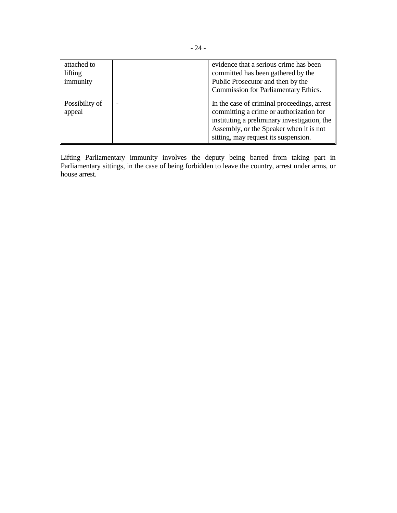| attached to<br>lifting<br>immunity | evidence that a serious crime has been<br>committed has been gathered by the<br>Public Prosecutor and then by the<br><b>Commission for Parliamentary Ethics.</b>                                                          |
|------------------------------------|---------------------------------------------------------------------------------------------------------------------------------------------------------------------------------------------------------------------------|
| Possibility of<br>appeal           | In the case of criminal proceedings, arrest<br>committing a crime or authorization for<br>instituting a preliminary investigation, the<br>Assembly, or the Speaker when it is not<br>sitting, may request its suspension. |

Lifting Parliamentary immunity involves the deputy being barred from taking part in Parliamentary sittings, in the case of being forbidden to leave the country, arrest under arms, or house arrest.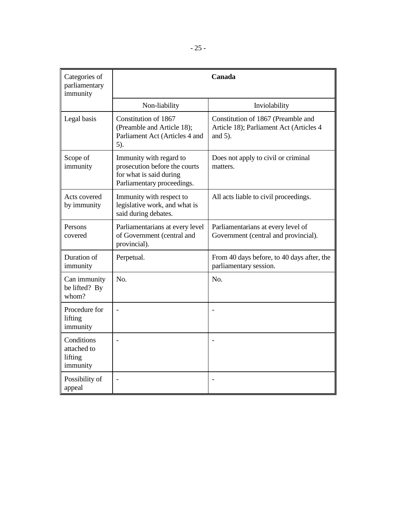| Categories of<br>parliamentary<br>immunity       |                                                                                                                   | Canada                                                                                      |
|--------------------------------------------------|-------------------------------------------------------------------------------------------------------------------|---------------------------------------------------------------------------------------------|
|                                                  | Non-liability                                                                                                     | Inviolability                                                                               |
| Legal basis                                      | Constitution of 1867<br>(Preamble and Article 18);<br>Parliament Act (Articles 4 and<br>5).                       | Constitution of 1867 (Preamble and<br>Article 18); Parliament Act (Articles 4<br>and $5$ ). |
| Scope of<br>immunity                             | Immunity with regard to<br>prosecution before the courts<br>for what is said during<br>Parliamentary proceedings. | Does not apply to civil or criminal<br>matters.                                             |
| Acts covered<br>by immunity                      | Immunity with respect to<br>legislative work, and what is<br>said during debates.                                 | All acts liable to civil proceedings.                                                       |
| Persons<br>covered                               | Parliamentarians at every level<br>of Government (central and<br>provincial).                                     | Parliamentarians at every level of<br>Government (central and provincial).                  |
| Duration of<br>immunity                          | Perpetual.                                                                                                        | From 40 days before, to 40 days after, the<br>parliamentary session.                        |
| Can immunity<br>be lifted? By<br>whom?           | N <sub>0</sub>                                                                                                    | No.                                                                                         |
| Procedure for<br>lifting<br>immunity             |                                                                                                                   |                                                                                             |
| Conditions<br>attached to<br>lifting<br>immunity | $\overline{a}$                                                                                                    |                                                                                             |
| Possibility of<br>appeal                         |                                                                                                                   |                                                                                             |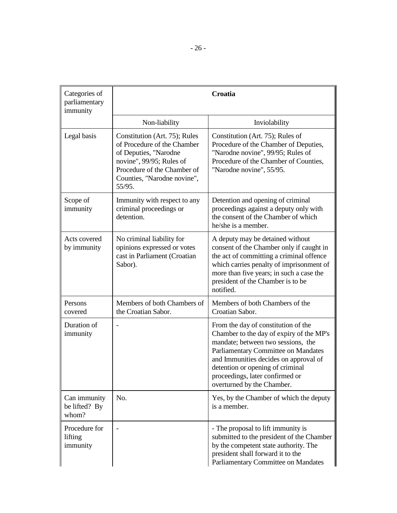| Categories of<br>parliamentary<br>immunity |                                                                                                                                                                                           | <b>Croatia</b>                                                                                                                                                                                                                                                                                             |
|--------------------------------------------|-------------------------------------------------------------------------------------------------------------------------------------------------------------------------------------------|------------------------------------------------------------------------------------------------------------------------------------------------------------------------------------------------------------------------------------------------------------------------------------------------------------|
|                                            | Non-liability                                                                                                                                                                             | Inviolability                                                                                                                                                                                                                                                                                              |
| Legal basis                                | Constitution (Art. 75); Rules<br>of Procedure of the Chamber<br>of Deputies, "Narodne<br>novine", 99/95; Rules of<br>Procedure of the Chamber of<br>Counties, "Narodne novine",<br>55/95. | Constitution (Art. 75); Rules of<br>Procedure of the Chamber of Deputies,<br>"Narodne novine", 99/95; Rules of<br>Procedure of the Chamber of Counties,<br>"Narodne novine", 55/95.                                                                                                                        |
| Scope of<br>immunity                       | Immunity with respect to any<br>criminal proceedings or<br>detention.                                                                                                                     | Detention and opening of criminal<br>proceedings against a deputy only with<br>the consent of the Chamber of which<br>he/she is a member.                                                                                                                                                                  |
| Acts covered<br>by immunity                | No criminal liability for<br>opinions expressed or votes<br>cast in Parliament (Croatian<br>Sabor).                                                                                       | A deputy may be detained without<br>consent of the Chamber only if caught in<br>the act of committing a criminal offence<br>which carries penalty of imprisonment of<br>more than five years; in such a case the<br>president of the Chamber is to be<br>notified.                                         |
| Persons<br>covered                         | Members of both Chambers of<br>the Croatian Sabor.                                                                                                                                        | Members of both Chambers of the<br>Croatian Sabor.                                                                                                                                                                                                                                                         |
| Duration of<br>immunity                    |                                                                                                                                                                                           | From the day of constitution of the<br>Chamber to the day of expiry of the MP's<br>mandate; between two sessions, the<br>Parliamentary Committee on Mandates<br>and Immunities decides on approval of<br>detention or opening of criminal<br>proceedings, later confirmed or<br>overturned by the Chamber. |
| Can immunity<br>be lifted? By<br>whom?     | No.                                                                                                                                                                                       | Yes, by the Chamber of which the deputy<br>is a member.                                                                                                                                                                                                                                                    |
| Procedure for<br>lifting<br>immunity       |                                                                                                                                                                                           | - The proposal to lift immunity is<br>submitted to the president of the Chamber<br>by the competent state authority. The<br>president shall forward it to the<br>Parliamentary Committee on Mandates                                                                                                       |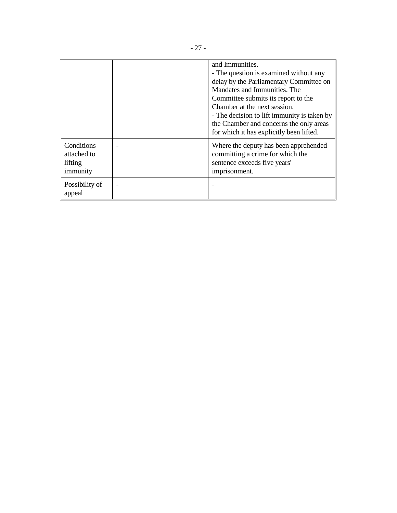|                                                  | and Immunities.<br>- The question is examined without any<br>delay by the Parliamentary Committee on<br>Mandates and Immunities. The<br>Committee submits its report to the<br>Chamber at the next session.<br>- The decision to lift immunity is taken by<br>the Chamber and concerns the only areas<br>for which it has explicitly been lifted. |
|--------------------------------------------------|---------------------------------------------------------------------------------------------------------------------------------------------------------------------------------------------------------------------------------------------------------------------------------------------------------------------------------------------------|
| Conditions<br>attached to<br>lifting<br>immunity | Where the deputy has been apprehended<br>committing a crime for which the<br>sentence exceeds five years'<br>imprisonment.                                                                                                                                                                                                                        |
| Possibility of<br>appeal                         |                                                                                                                                                                                                                                                                                                                                                   |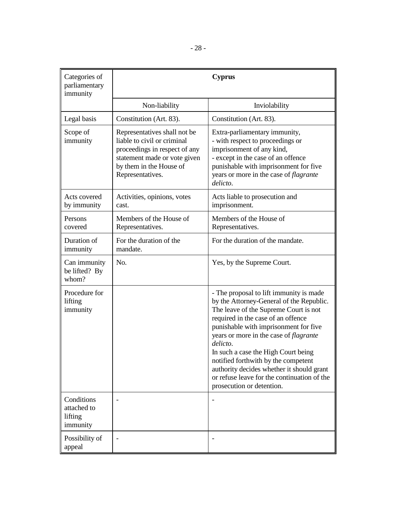| Categories of<br>parliamentary<br>immunity       |                                                                                                                                                                             | <b>Cyprus</b>                                                                                                                                                                                                                                                                                                                                                                                                                                                                   |
|--------------------------------------------------|-----------------------------------------------------------------------------------------------------------------------------------------------------------------------------|---------------------------------------------------------------------------------------------------------------------------------------------------------------------------------------------------------------------------------------------------------------------------------------------------------------------------------------------------------------------------------------------------------------------------------------------------------------------------------|
|                                                  | Non-liability                                                                                                                                                               | Inviolability                                                                                                                                                                                                                                                                                                                                                                                                                                                                   |
| Legal basis                                      | Constitution (Art. 83).                                                                                                                                                     | Constitution (Art. 83).                                                                                                                                                                                                                                                                                                                                                                                                                                                         |
| Scope of<br>immunity                             | Representatives shall not be<br>liable to civil or criminal<br>proceedings in respect of any<br>statement made or vote given<br>by them in the House of<br>Representatives. | Extra-parliamentary immunity,<br>- with respect to proceedings or<br>imprisonment of any kind,<br>- except in the case of an offence<br>punishable with imprisonment for five<br>years or more in the case of flagrante<br>delicto.                                                                                                                                                                                                                                             |
| Acts covered<br>by immunity                      | Activities, opinions, votes<br>cast.                                                                                                                                        | Acts liable to prosecution and<br>imprisonment.                                                                                                                                                                                                                                                                                                                                                                                                                                 |
| Persons<br>covered                               | Members of the House of<br>Representatives.                                                                                                                                 | Members of the House of<br>Representatives.                                                                                                                                                                                                                                                                                                                                                                                                                                     |
| Duration of<br>immunity                          | For the duration of the<br>mandate.                                                                                                                                         | For the duration of the mandate.                                                                                                                                                                                                                                                                                                                                                                                                                                                |
| Can immunity<br>be lifted? By<br>whom?           | No.                                                                                                                                                                         | Yes, by the Supreme Court.                                                                                                                                                                                                                                                                                                                                                                                                                                                      |
| Procedure for<br>lifting<br>immunity             |                                                                                                                                                                             | - The proposal to lift immunity is made<br>by the Attorney-General of the Republic.<br>The leave of the Supreme Court is not<br>required in the case of an offence<br>punishable with imprisonment for five<br>years or more in the case of <i>flagrante</i><br>delicto.<br>In such a case the High Court being<br>notified forthwith by the competent<br>authority decides whether it should grant<br>or refuse leave for the continuation of the<br>prosecution or detention. |
| Conditions<br>attached to<br>lifting<br>immunity |                                                                                                                                                                             |                                                                                                                                                                                                                                                                                                                                                                                                                                                                                 |
| Possibility of<br>appeal                         | $\overline{\phantom{a}}$                                                                                                                                                    |                                                                                                                                                                                                                                                                                                                                                                                                                                                                                 |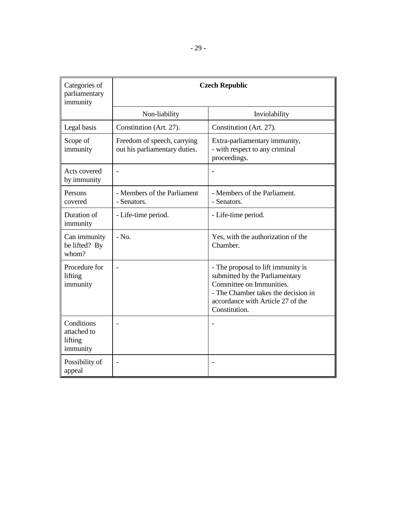| Categories of<br>parliamentary<br>immunity       | <b>Czech Republic</b>                                        |                                                                                                                                                                                               |
|--------------------------------------------------|--------------------------------------------------------------|-----------------------------------------------------------------------------------------------------------------------------------------------------------------------------------------------|
|                                                  | Non-liability                                                | Inviolability                                                                                                                                                                                 |
| Legal basis                                      | Constitution (Art. 27).                                      | Constitution (Art. 27).                                                                                                                                                                       |
| Scope of<br>immunity                             | Freedom of speech, carrying<br>out his parliamentary duties. | Extra-parliamentary immunity,<br>- with respect to any criminal<br>proceedings.                                                                                                               |
| Acts covered<br>by immunity                      |                                                              |                                                                                                                                                                                               |
| Persons<br>covered                               | - Members of the Parliament<br>- Senators.                   | - Members of the Parliament.<br>- Senators.                                                                                                                                                   |
| Duration of<br>immunity                          | - Life-time period.                                          | - Life-time period.                                                                                                                                                                           |
| Can immunity<br>be lifted? By<br>whom?           | $-$ No.                                                      | Yes, with the authorization of the<br>Chamber.                                                                                                                                                |
| Procedure for<br>lifting<br>immunity             | $\overline{a}$                                               | - The proposal to lift immunity is<br>submitted by the Parliamentary<br>Committee on Immunities.<br>- The Chamber takes the decision in<br>accordance with Article 27 of the<br>Constitution. |
| Conditions<br>attached to<br>lifting<br>immunity | ÷                                                            |                                                                                                                                                                                               |
| Possibility of<br>appeal                         |                                                              |                                                                                                                                                                                               |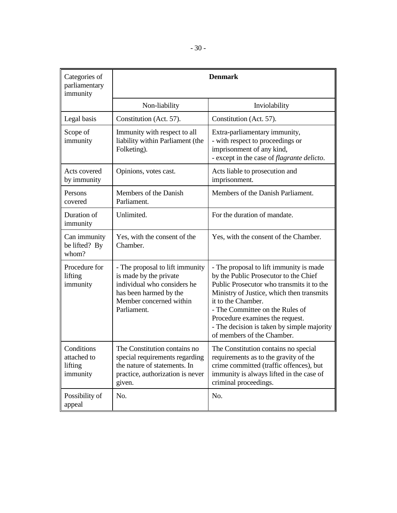| Categories of<br>parliamentary<br>immunity       | <b>Denmark</b>                                                                                                                                               |                                                                                                                                                                                                                                                                                                                                                    |
|--------------------------------------------------|--------------------------------------------------------------------------------------------------------------------------------------------------------------|----------------------------------------------------------------------------------------------------------------------------------------------------------------------------------------------------------------------------------------------------------------------------------------------------------------------------------------------------|
|                                                  | Non-liability                                                                                                                                                | Inviolability                                                                                                                                                                                                                                                                                                                                      |
| Legal basis                                      | Constitution (Act. 57).                                                                                                                                      | Constitution (Act. 57).                                                                                                                                                                                                                                                                                                                            |
| Scope of<br>immunity                             | Immunity with respect to all<br>liability within Parliament (the<br>Folketing).                                                                              | Extra-parliamentary immunity,<br>- with respect to proceedings or<br>imprisonment of any kind,<br>- except in the case of <i>flagrante delicto</i> .                                                                                                                                                                                               |
| Acts covered<br>by immunity                      | Opinions, votes cast.                                                                                                                                        | Acts liable to prosecution and<br>imprisonment.                                                                                                                                                                                                                                                                                                    |
| Persons<br>covered                               | Members of the Danish<br>Parliament.                                                                                                                         | Members of the Danish Parliament.                                                                                                                                                                                                                                                                                                                  |
| Duration of<br>immunity                          | Unlimited.                                                                                                                                                   | For the duration of mandate.                                                                                                                                                                                                                                                                                                                       |
| Can immunity<br>be lifted? By<br>whom?           | Yes, with the consent of the<br>Chamber.                                                                                                                     | Yes, with the consent of the Chamber.                                                                                                                                                                                                                                                                                                              |
| Procedure for<br>lifting<br>immunity             | - The proposal to lift immunity<br>is made by the private<br>individual who considers he<br>has been harmed by the<br>Member concerned within<br>Parliament. | - The proposal to lift immunity is made<br>by the Public Prosecutor to the Chief<br>Public Prosecutor who transmits it to the<br>Ministry of Justice, which then transmits<br>it to the Chamber.<br>- The Committee on the Rules of<br>Procedure examines the request.<br>- The decision is taken by simple majority<br>of members of the Chamber. |
| Conditions<br>attached to<br>lifting<br>immunity | The Constitution contains no<br>special requirements regarding<br>the nature of statements. In<br>practice, authorization is never<br>given.                 | The Constitution contains no special<br>requirements as to the gravity of the<br>crime committed (traffic offences), but<br>immunity is always lifted in the case of<br>criminal proceedings.                                                                                                                                                      |
| Possibility of<br>appeal                         | No.                                                                                                                                                          | No.                                                                                                                                                                                                                                                                                                                                                |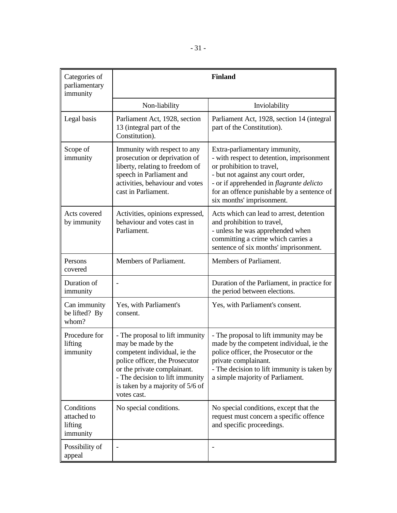| Categories of<br>parliamentary<br>immunity       |                                                                                                                                                                                                                                              | <b>Finland</b>                                                                                                                                                                                                                                                              |
|--------------------------------------------------|----------------------------------------------------------------------------------------------------------------------------------------------------------------------------------------------------------------------------------------------|-----------------------------------------------------------------------------------------------------------------------------------------------------------------------------------------------------------------------------------------------------------------------------|
|                                                  | Non-liability                                                                                                                                                                                                                                | Inviolability                                                                                                                                                                                                                                                               |
| Legal basis                                      | Parliament Act, 1928, section<br>13 (integral part of the<br>Constitution).                                                                                                                                                                  | Parliament Act, 1928, section 14 (integral<br>part of the Constitution).                                                                                                                                                                                                    |
| Scope of<br>immunity                             | Immunity with respect to any<br>prosecution or deprivation of<br>liberty, relating to freedom of<br>speech in Parliament and<br>activities, behaviour and votes<br>cast in Parliament.                                                       | Extra-parliamentary immunity,<br>- with respect to detention, imprisonment<br>or prohibition to travel,<br>- but not against any court order,<br>- or if apprehended in <i>flagrante delicto</i><br>for an offence punishable by a sentence of<br>six months' imprisonment. |
| Acts covered<br>by immunity                      | Activities, opinions expressed,<br>behaviour and votes cast in<br>Parliament.                                                                                                                                                                | Acts which can lead to arrest, detention<br>and prohibition to travel,<br>- unless he was apprehended when<br>committing a crime which carries a<br>sentence of six months' imprisonment.                                                                                   |
| Persons<br>covered                               | Members of Parliament.                                                                                                                                                                                                                       | Members of Parliament.                                                                                                                                                                                                                                                      |
| Duration of<br>immunity                          |                                                                                                                                                                                                                                              | Duration of the Parliament, in practice for<br>the period between elections.                                                                                                                                                                                                |
| Can immunity<br>be lifted? By<br>whom?           | Yes, with Parliament's<br>consent.                                                                                                                                                                                                           | Yes, with Parliament's consent.                                                                                                                                                                                                                                             |
| Procedure for<br>lifting<br>immunity             | - The proposal to lift immunity<br>may be made by the<br>competent individual, ie the<br>police officer, the Prosecutor<br>or the private complainant.<br>- The decision to lift immunity<br>is taken by a majority of 5/6 of<br>votes cast. | - The proposal to lift immunity may be<br>made by the competent individual, ie the<br>police officer, the Prosecutor or the<br>private complainant.<br>- The decision to lift immunity is taken by<br>a simple majority of Parliament.                                      |
| Conditions<br>attached to<br>lifting<br>immunity | No special conditions.                                                                                                                                                                                                                       | No special conditions, except that the<br>request must concern a specific offence<br>and specific proceedings.                                                                                                                                                              |
| Possibility of<br>appeal                         |                                                                                                                                                                                                                                              |                                                                                                                                                                                                                                                                             |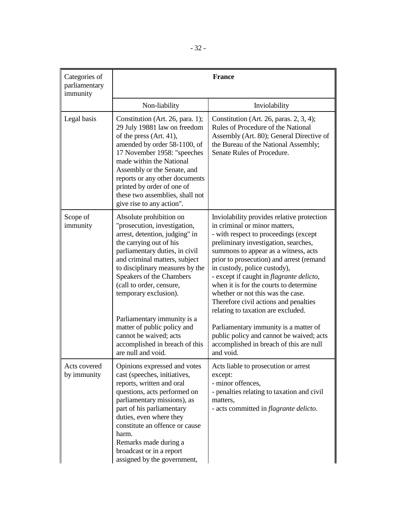| Categories of<br>parliamentary<br>immunity | <b>France</b>                                                                                                                                                                                                                                                                                                                                                                                                                                               |                                                                                                                                                                                                                                                                                                                                                                                                                                                                                                                                                                                                                                                 |
|--------------------------------------------|-------------------------------------------------------------------------------------------------------------------------------------------------------------------------------------------------------------------------------------------------------------------------------------------------------------------------------------------------------------------------------------------------------------------------------------------------------------|-------------------------------------------------------------------------------------------------------------------------------------------------------------------------------------------------------------------------------------------------------------------------------------------------------------------------------------------------------------------------------------------------------------------------------------------------------------------------------------------------------------------------------------------------------------------------------------------------------------------------------------------------|
|                                            | Non-liability                                                                                                                                                                                                                                                                                                                                                                                                                                               | Inviolability                                                                                                                                                                                                                                                                                                                                                                                                                                                                                                                                                                                                                                   |
| Legal basis                                | Constitution (Art. 26, para. 1);<br>29 July 19881 law on freedom<br>of the press (Art. 41),<br>amended by order 58-1100, of<br>17 November 1958: "speeches<br>made within the National<br>Assembly or the Senate, and<br>reports or any other documents<br>printed by order of one of<br>these two assemblies, shall not<br>give rise to any action".                                                                                                       | Constitution (Art. 26, paras. $2, 3, 4$ );<br>Rules of Procedure of the National<br>Assembly (Art. 80); General Directive of<br>the Bureau of the National Assembly;<br>Senate Rules of Procedure.                                                                                                                                                                                                                                                                                                                                                                                                                                              |
| Scope of<br>immunity                       | Absolute prohibition on<br>"prosecution, investigation,<br>arrest, detention, judging" in<br>the carrying out of his<br>parliamentary duties, in civil<br>and criminal matters, subject<br>to disciplinary measures by the<br>Speakers of the Chambers<br>(call to order, censure,<br>temporary exclusion).<br>Parliamentary immunity is a<br>matter of public policy and<br>cannot be waived; acts<br>accomplished in breach of this<br>are null and void. | Inviolability provides relative protection<br>in criminal or minor matters,<br>- with respect to proceedings (except<br>preliminary investigation, searches,<br>summons to appear as a witness, acts<br>prior to prosecution) and arrest (remand<br>in custody, police custody),<br>- except if caught in <i>flagrante delicto</i> ,<br>when it is for the courts to determine<br>whether or not this was the case.<br>Therefore civil actions and penalties<br>relating to taxation are excluded.<br>Parliamentary immunity is a matter of<br>public policy and cannot be waived; acts<br>accomplished in breach of this are null<br>and void. |
| Acts covered<br>by immunity                | Opinions expressed and votes<br>cast (speeches, initiatives,<br>reports, written and oral<br>questions, acts performed on<br>parliamentary missions), as<br>part of his parliamentary<br>duties, even where they<br>constitute an offence or cause<br>harm.<br>Remarks made during a<br>broadcast or in a report<br>assigned by the government,                                                                                                             | Acts liable to prosecution or arrest<br>except:<br>- minor offences,<br>- penalties relating to taxation and civil<br>matters,<br>- acts committed in <i>flagrante delicto</i> .                                                                                                                                                                                                                                                                                                                                                                                                                                                                |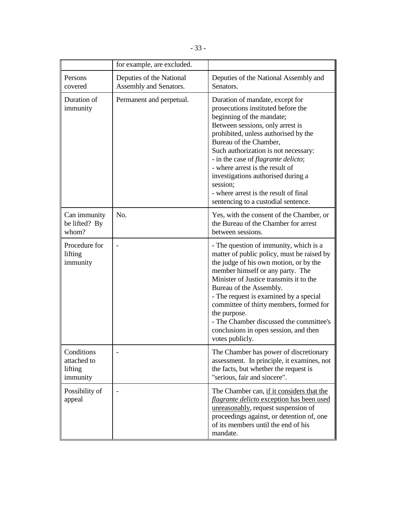|                                                  | for example, are excluded.                         |                                                                                                                                                                                                                                                                                                                                                                                                                                                                      |
|--------------------------------------------------|----------------------------------------------------|----------------------------------------------------------------------------------------------------------------------------------------------------------------------------------------------------------------------------------------------------------------------------------------------------------------------------------------------------------------------------------------------------------------------------------------------------------------------|
| Persons<br>covered                               | Deputies of the National<br>Assembly and Senators. | Deputies of the National Assembly and<br>Senators.                                                                                                                                                                                                                                                                                                                                                                                                                   |
| Duration of<br>immunity                          | Permanent and perpetual.                           | Duration of mandate, except for<br>prosecutions instituted before the<br>beginning of the mandate;<br>Between sessions, only arrest is<br>prohibited, unless authorised by the<br>Bureau of the Chamber,<br>Such authorization is not necessary:<br>- in the case of <i>flagrante delicto</i> ;<br>- where arrest is the result of<br>investigations authorised during a<br>session;<br>- where arrest is the result of final<br>sentencing to a custodial sentence. |
| Can immunity<br>be lifted? By<br>whom?           | No.                                                | Yes, with the consent of the Chamber, or<br>the Bureau of the Chamber for arrest<br>between sessions.                                                                                                                                                                                                                                                                                                                                                                |
| Procedure for<br>lifting<br>immunity             |                                                    | - The question of immunity, which is a<br>matter of public policy, must be raised by<br>the judge of his own motion, or by the<br>member himself or any party. The<br>Minister of Justice transmits it to the<br>Bureau of the Assembly.<br>- The request is examined by a special<br>committee of thirty members, formed for<br>the purpose.<br>- The Chamber discussed the committee's<br>conclusions in open session, and then<br>votes publicly.                 |
| Conditions<br>attached to<br>lifting<br>immunity |                                                    | The Chamber has power of discretionary<br>assessment. In principle, it examines, not<br>the facts, but whether the request is<br>"serious, fair and sincere".                                                                                                                                                                                                                                                                                                        |
| Possibility of<br>appeal                         |                                                    | The Chamber can, if it considers that the<br><i>flagrante delicto</i> exception has been used<br>unreasonably, request suspension of<br>proceedings against, or detention of, one<br>of its members until the end of his<br>mandate.                                                                                                                                                                                                                                 |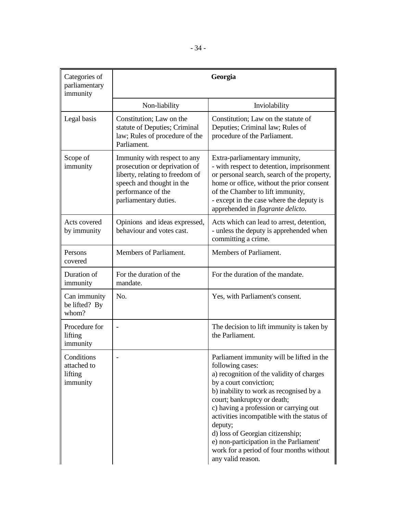| Categories of<br>parliamentary<br>immunity       |                                                                                                                                                                              | Georgia                                                                                                                                                                                                                                                                                                                                                                                                                                                           |
|--------------------------------------------------|------------------------------------------------------------------------------------------------------------------------------------------------------------------------------|-------------------------------------------------------------------------------------------------------------------------------------------------------------------------------------------------------------------------------------------------------------------------------------------------------------------------------------------------------------------------------------------------------------------------------------------------------------------|
|                                                  | Non-liability                                                                                                                                                                | Inviolability                                                                                                                                                                                                                                                                                                                                                                                                                                                     |
| Legal basis                                      | Constitution; Law on the<br>statute of Deputies; Criminal<br>law; Rules of procedure of the<br>Parliament.                                                                   | Constitution; Law on the statute of<br>Deputies; Criminal law; Rules of<br>procedure of the Parliament.                                                                                                                                                                                                                                                                                                                                                           |
| Scope of<br>immunity                             | Immunity with respect to any<br>prosecution or deprivation of<br>liberty, relating to freedom of<br>speech and thought in the<br>performance of the<br>parliamentary duties. | Extra-parliamentary immunity,<br>- with respect to detention, imprisonment<br>or personal search, search of the property,<br>home or office, without the prior consent<br>of the Chamber to lift immunity,<br>- except in the case where the deputy is<br>apprehended in <i>flagrante delicto</i> .                                                                                                                                                               |
| Acts covered<br>by immunity                      | Opinions and ideas expressed,<br>behaviour and votes cast.                                                                                                                   | Acts which can lead to arrest, detention,<br>- unless the deputy is apprehended when<br>committing a crime.                                                                                                                                                                                                                                                                                                                                                       |
| Persons<br>covered                               | Members of Parliament.                                                                                                                                                       | Members of Parliament.                                                                                                                                                                                                                                                                                                                                                                                                                                            |
| Duration of<br>immunity                          | For the duration of the<br>mandate.                                                                                                                                          | For the duration of the mandate.                                                                                                                                                                                                                                                                                                                                                                                                                                  |
| Can immunity<br>be lifted? By<br>whom?           | No.                                                                                                                                                                          | Yes, with Parliament's consent.                                                                                                                                                                                                                                                                                                                                                                                                                                   |
| Procedure for<br>lifting<br>immunity             |                                                                                                                                                                              | The decision to lift immunity is taken by<br>the Parliament.                                                                                                                                                                                                                                                                                                                                                                                                      |
| Conditions<br>attached to<br>lifting<br>immunity |                                                                                                                                                                              | Parliament immunity will be lifted in the<br>following cases:<br>a) recognition of the validity of charges<br>by a court conviction;<br>b) inability to work as recognised by a<br>court; bankruptcy or death;<br>c) having a profession or carrying out<br>activities incompatible with the status of<br>deputy;<br>d) loss of Georgian citizenship;<br>e) non-participation in the Parliament'<br>work for a period of four months without<br>any valid reason. |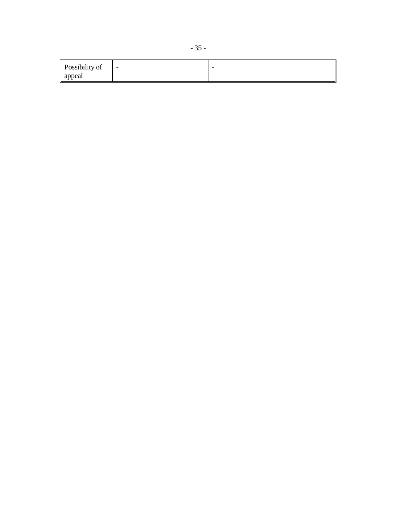| Possibility of | $\sim$ | $\overline{\phantom{a}}$ |
|----------------|--------|--------------------------|
| appeal         |        |                          |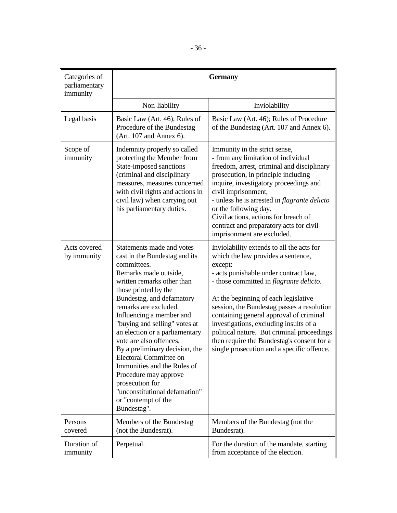| Categories of<br>parliamentary<br>immunity | <b>Germany</b>                                                                                                                                                                                                                                                                                                                                                                                                                                                                                                                                         |                                                                                                                                                                                                                                                                                                                                                                                                                                                                                                             |
|--------------------------------------------|--------------------------------------------------------------------------------------------------------------------------------------------------------------------------------------------------------------------------------------------------------------------------------------------------------------------------------------------------------------------------------------------------------------------------------------------------------------------------------------------------------------------------------------------------------|-------------------------------------------------------------------------------------------------------------------------------------------------------------------------------------------------------------------------------------------------------------------------------------------------------------------------------------------------------------------------------------------------------------------------------------------------------------------------------------------------------------|
|                                            | Non-liability                                                                                                                                                                                                                                                                                                                                                                                                                                                                                                                                          | Inviolability                                                                                                                                                                                                                                                                                                                                                                                                                                                                                               |
| Legal basis                                | Basic Law (Art. 46); Rules of<br>Procedure of the Bundestag<br>(Art. 107 and Annex 6).                                                                                                                                                                                                                                                                                                                                                                                                                                                                 | Basic Law (Art. 46); Rules of Procedure<br>of the Bundestag (Art. 107 and Annex 6).                                                                                                                                                                                                                                                                                                                                                                                                                         |
| Scope of<br>immunity                       | Indemnity properly so called<br>protecting the Member from<br>State-imposed sanctions<br>(criminal and disciplinary<br>measures, measures concerned<br>with civil rights and actions in<br>civil law) when carrying out<br>his parliamentary duties.                                                                                                                                                                                                                                                                                                   | Immunity in the strict sense,<br>- from any limitation of individual<br>freedom, arrest, criminal and disciplinary<br>prosecution, in principle including<br>inquire, investigatory proceedings and<br>civil imprisonment,<br>- unless he is arrested in <i>flagrante delicto</i><br>or the following day.<br>Civil actions, actions for breach of<br>contract and preparatory acts for civil<br>imprisonment are excluded.                                                                                 |
| Acts covered<br>by immunity                | Statements made and votes<br>cast in the Bundestag and its<br>committees.<br>Remarks made outside,<br>written remarks other than<br>those printed by the<br>Bundestag, and defamatory<br>remarks are excluded.<br>Influencing a member and<br>"buying and selling" votes at<br>an election or a parliamentary<br>vote are also offences.<br>By a preliminary decision, the<br>Electoral Committee on<br>Immunities and the Rules of<br>Procedure may approve<br>prosecution for<br>"unconstitutional defamation"<br>or "contempt of the<br>Bundestag". | Inviolability extends to all the acts for<br>which the law provides a sentence,<br>except:<br>- acts punishable under contract law,<br>- those committed in <i>flagrante delicto</i> .<br>At the beginning of each legislative<br>session, the Bundestag passes a resolution<br>containing general approval of criminal<br>investigations, excluding insults of a<br>political nature. But criminal proceedings<br>then require the Bundestag's consent for a<br>single prosecution and a specific offence. |
| Persons<br>covered                         | Members of the Bundestag<br>(not the Bundesrat).                                                                                                                                                                                                                                                                                                                                                                                                                                                                                                       | Members of the Bundestag (not the<br>Bundesrat).                                                                                                                                                                                                                                                                                                                                                                                                                                                            |
| Duration of<br>immunity                    | Perpetual.                                                                                                                                                                                                                                                                                                                                                                                                                                                                                                                                             | For the duration of the mandate, starting<br>from acceptance of the election.                                                                                                                                                                                                                                                                                                                                                                                                                               |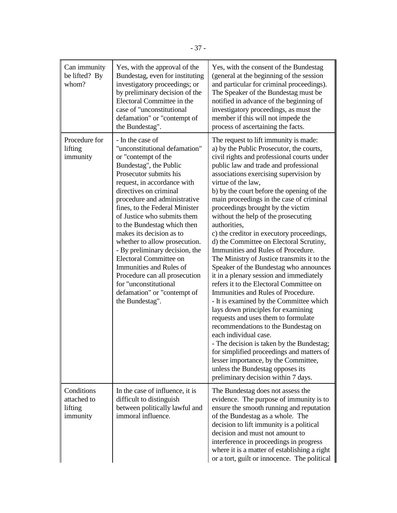| Can immunity<br>be lifted? By<br>whom?           | Yes, with the approval of the<br>Bundestag, even for instituting<br>investigatory proceedings; or<br>by preliminary decision of the<br>Electoral Committee in the<br>case of "unconstitutional<br>defamation" or "contempt of<br>the Bundestag".                                                                                                                                                                                                                                                                                                                                      | Yes, with the consent of the Bundestag<br>(general at the beginning of the session<br>and particular for criminal proceedings).<br>The Speaker of the Bundestag must be<br>notified in advance of the beginning of<br>investigatory proceedings, as must the<br>member if this will not impede the<br>process of ascertaining the facts.                                                                                                                                                                                                                                                                                                                                                                                                                                                                                                                                                                                                                                                                                                                                                                                                                                              |
|--------------------------------------------------|---------------------------------------------------------------------------------------------------------------------------------------------------------------------------------------------------------------------------------------------------------------------------------------------------------------------------------------------------------------------------------------------------------------------------------------------------------------------------------------------------------------------------------------------------------------------------------------|---------------------------------------------------------------------------------------------------------------------------------------------------------------------------------------------------------------------------------------------------------------------------------------------------------------------------------------------------------------------------------------------------------------------------------------------------------------------------------------------------------------------------------------------------------------------------------------------------------------------------------------------------------------------------------------------------------------------------------------------------------------------------------------------------------------------------------------------------------------------------------------------------------------------------------------------------------------------------------------------------------------------------------------------------------------------------------------------------------------------------------------------------------------------------------------|
| Procedure for<br>lifting<br>immunity             | - In the case of<br>"unconstitutional defamation"<br>or "contempt of the<br>Bundestag", the Public<br>Prosecutor submits his<br>request, in accordance with<br>directives on criminal<br>procedure and administrative<br>fines, to the Federal Minister<br>of Justice who submits them<br>to the Bundestag which then<br>makes its decision as to<br>whether to allow prosecution.<br>- By preliminary decision, the<br>Electoral Committee on<br>Immunities and Rules of<br>Procedure can all prosecution<br>for "unconstitutional<br>defamation" or "contempt of<br>the Bundestag". | The request to lift immunity is made:<br>a) by the Public Prosecutor, the courts,<br>civil rights and professional courts under<br>public law and trade and professional<br>associations exercising supervision by<br>virtue of the law,<br>b) by the court before the opening of the<br>main proceedings in the case of criminal<br>proceedings brought by the victim<br>without the help of the prosecuting<br>authorities,<br>c) the creditor in executory proceedings,<br>d) the Committee on Electoral Scrutiny,<br>Immunities and Rules of Procedure.<br>The Ministry of Justice transmits it to the<br>Speaker of the Bundestag who announces<br>it in a plenary session and immediately<br>refers it to the Electoral Committee on<br>Immunities and Rules of Procedure.<br>- It is examined by the Committee which<br>lays down principles for examining<br>requests and uses them to formulate<br>recommendations to the Bundestag on<br>each individual case.<br>- The decision is taken by the Bundestag;<br>for simplified proceedings and matters of<br>lesser importance, by the Committee,<br>unless the Bundestag opposes its<br>preliminary decision within 7 days. |
| Conditions<br>attached to<br>lifting<br>immunity | In the case of influence, it is<br>difficult to distinguish<br>between politically lawful and<br>immoral influence.                                                                                                                                                                                                                                                                                                                                                                                                                                                                   | The Bundestag does not assess the<br>evidence. The purpose of immunity is to<br>ensure the smooth running and reputation<br>of the Bundestag as a whole. The<br>decision to lift immunity is a political<br>decision and must not amount to<br>interference in proceedings in progress<br>where it is a matter of establishing a right<br>or a tort, guilt or innocence. The political                                                                                                                                                                                                                                                                                                                                                                                                                                                                                                                                                                                                                                                                                                                                                                                                |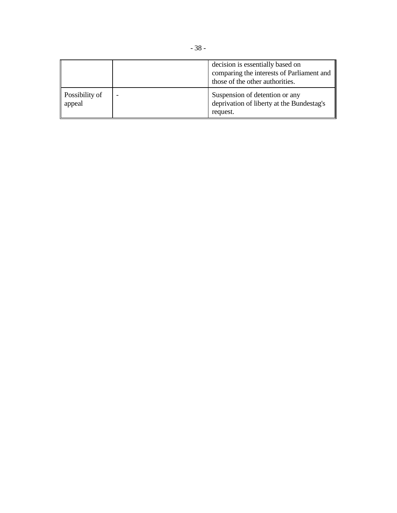|                          | decision is essentially based on<br>comparing the interests of Parliament and<br>those of the other authorities. |
|--------------------------|------------------------------------------------------------------------------------------------------------------|
| Possibility of<br>appeal | Suspension of detention or any<br>deprivation of liberty at the Bundestag's<br>request.                          |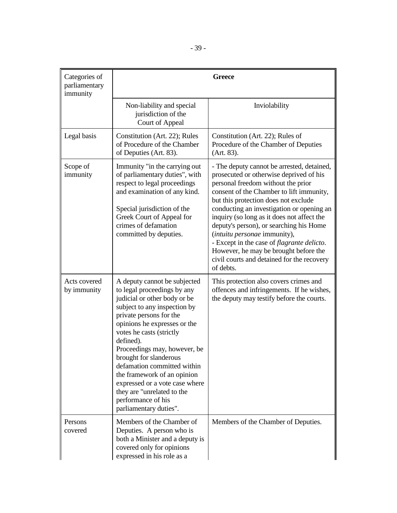| Categories of<br>parliamentary<br>immunity |                                                                                                                                                                                                                                                                                                                                                                                                                                                                         | <b>Greece</b>                                                                                                                                                                                                                                                                                                                                                                                                                                                                                                                                   |
|--------------------------------------------|-------------------------------------------------------------------------------------------------------------------------------------------------------------------------------------------------------------------------------------------------------------------------------------------------------------------------------------------------------------------------------------------------------------------------------------------------------------------------|-------------------------------------------------------------------------------------------------------------------------------------------------------------------------------------------------------------------------------------------------------------------------------------------------------------------------------------------------------------------------------------------------------------------------------------------------------------------------------------------------------------------------------------------------|
|                                            | Non-liability and special<br>jurisdiction of the<br>Court of Appeal                                                                                                                                                                                                                                                                                                                                                                                                     | Inviolability                                                                                                                                                                                                                                                                                                                                                                                                                                                                                                                                   |
| Legal basis                                | Constitution (Art. 22); Rules<br>of Procedure of the Chamber<br>of Deputies (Art. 83).                                                                                                                                                                                                                                                                                                                                                                                  | Constitution (Art. 22); Rules of<br>Procedure of the Chamber of Deputies<br>(Art. 83).                                                                                                                                                                                                                                                                                                                                                                                                                                                          |
| Scope of<br>immunity                       | Immunity "in the carrying out<br>of parliamentary duties", with<br>respect to legal proceedings<br>and examination of any kind.<br>Special jurisdiction of the<br>Greek Court of Appeal for<br>crimes of defamation<br>committed by deputies.                                                                                                                                                                                                                           | - The deputy cannot be arrested, detained,<br>prosecuted or otherwise deprived of his<br>personal freedom without the prior<br>consent of the Chamber to lift immunity,<br>but this protection does not exclude<br>conducting an investigation or opening an<br>inquiry (so long as it does not affect the<br>deputy's person), or searching his Home<br>(intuitu personae immunity),<br>- Except in the case of <i>flagrante delicto</i> .<br>However, he may be brought before the<br>civil courts and detained for the recovery<br>of debts. |
| Acts covered<br>by immunity                | A deputy cannot be subjected<br>to legal proceedings by any<br>judicial or other body or be<br>subject to any inspection by<br>private persons for the<br>opinions he expresses or the<br>votes he casts (strictly<br>defined).<br>Proceedings may, however, be<br>brought for slanderous<br>defamation committed within<br>the framework of an opinion<br>expressed or a vote case where<br>they are "unrelated to the<br>performance of his<br>parliamentary duties". | This protection also covers crimes and<br>offences and infringements. If he wishes,<br>the deputy may testify before the courts.                                                                                                                                                                                                                                                                                                                                                                                                                |
| Persons<br>covered                         | Members of the Chamber of<br>Deputies. A person who is<br>both a Minister and a deputy is<br>covered only for opinions<br>expressed in his role as a                                                                                                                                                                                                                                                                                                                    | Members of the Chamber of Deputies.                                                                                                                                                                                                                                                                                                                                                                                                                                                                                                             |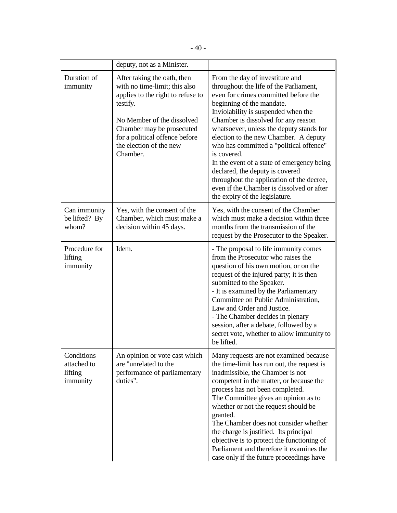|                                                  | deputy, not as a Minister.                                                                                                                                                                                                                        |                                                                                                                                                                                                                                                                                                                                                                                                                                                                                                                                                                                          |
|--------------------------------------------------|---------------------------------------------------------------------------------------------------------------------------------------------------------------------------------------------------------------------------------------------------|------------------------------------------------------------------------------------------------------------------------------------------------------------------------------------------------------------------------------------------------------------------------------------------------------------------------------------------------------------------------------------------------------------------------------------------------------------------------------------------------------------------------------------------------------------------------------------------|
| Duration of<br>immunity                          | After taking the oath, then<br>with no time-limit; this also<br>applies to the right to refuse to<br>testify.<br>No Member of the dissolved<br>Chamber may be prosecuted<br>for a political offence before<br>the election of the new<br>Chamber. | From the day of investiture and<br>throughout the life of the Parliament,<br>even for crimes committed before the<br>beginning of the mandate.<br>Inviolability is suspended when the<br>Chamber is dissolved for any reason<br>whatsoever, unless the deputy stands for<br>election to the new Chamber. A deputy<br>who has committed a "political offence"<br>is covered.<br>In the event of a state of emergency being<br>declared, the deputy is covered<br>throughout the application of the decree,<br>even if the Chamber is dissolved or after<br>the expiry of the legislature. |
| Can immunity<br>be lifted? By<br>whom?           | Yes, with the consent of the<br>Chamber, which must make a<br>decision within 45 days.                                                                                                                                                            | Yes, with the consent of the Chamber<br>which must make a decision within three<br>months from the transmission of the<br>request by the Prosecutor to the Speaker.                                                                                                                                                                                                                                                                                                                                                                                                                      |
| Procedure for<br>lifting<br>immunity             | Idem.                                                                                                                                                                                                                                             | - The proposal to life immunity comes<br>from the Prosecutor who raises the<br>question of his own motion, or on the<br>request of the injured party; it is then<br>submitted to the Speaker.<br>- It is examined by the Parliamentary<br>Committee on Public Administration,<br>Law and Order and Justice.<br>- The Chamber decides in plenary<br>session, after a debate, followed by a<br>secret vote, whether to allow immunity to<br>be lifted.                                                                                                                                     |
| Conditions<br>attached to<br>lifting<br>immunity | An opinion or vote cast which<br>are "unrelated to the<br>performance of parliamentary<br>duties".                                                                                                                                                | Many requests are not examined because<br>the time-limit has run out, the request is<br>inadmissible, the Chamber is not<br>competent in the matter, or because the<br>process has not been completed.<br>The Committee gives an opinion as to<br>whether or not the request should be<br>granted.<br>The Chamber does not consider whether<br>the charge is justified. Its principal<br>objective is to protect the functioning of<br>Parliament and therefore it examines the<br>case only if the future proceedings have                                                              |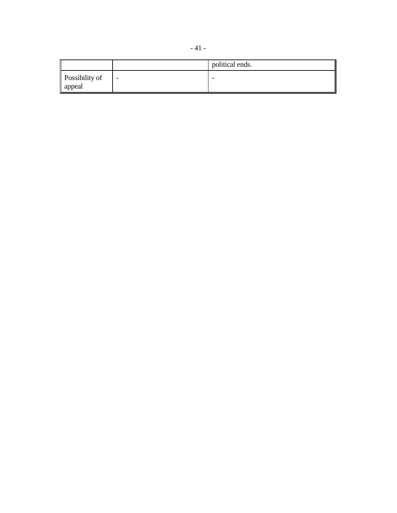|                          |   | political ends. |
|--------------------------|---|-----------------|
| Possibility of<br>appeal | - | -               |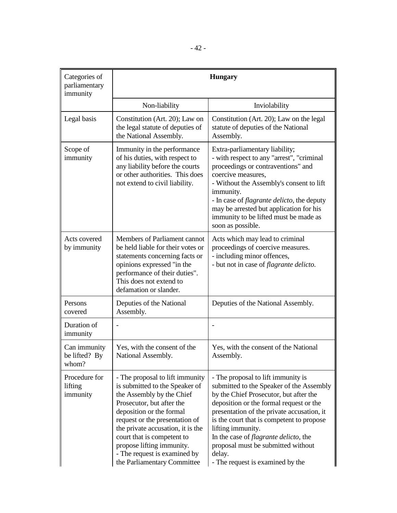| Categories of<br>parliamentary<br>immunity |                                                                                                                                                                                                                                                                                                                                                          | <b>Hungary</b>                                                                                                                                                                                                                                                                                                                                                                                                           |
|--------------------------------------------|----------------------------------------------------------------------------------------------------------------------------------------------------------------------------------------------------------------------------------------------------------------------------------------------------------------------------------------------------------|--------------------------------------------------------------------------------------------------------------------------------------------------------------------------------------------------------------------------------------------------------------------------------------------------------------------------------------------------------------------------------------------------------------------------|
|                                            | Non-liability                                                                                                                                                                                                                                                                                                                                            | Inviolability                                                                                                                                                                                                                                                                                                                                                                                                            |
| Legal basis                                | Constitution (Art. 20); Law on<br>the legal statute of deputies of<br>the National Assembly.                                                                                                                                                                                                                                                             | Constitution (Art. 20); Law on the legal<br>statute of deputies of the National<br>Assembly.                                                                                                                                                                                                                                                                                                                             |
| Scope of<br>immunity                       | Immunity in the performance<br>of his duties, with respect to<br>any liability before the courts<br>or other authorities. This does<br>not extend to civil liability.                                                                                                                                                                                    | Extra-parliamentary liability;<br>- with respect to any "arrest", "criminal<br>proceedings or contraventions" and<br>coercive measures,<br>- Without the Assembly's consent to lift<br>immunity.<br>- In case of <i>flagrante delicto</i> , the deputy<br>may be arrested but application for his<br>immunity to be lifted must be made as<br>soon as possible.                                                          |
| Acts covered<br>by immunity                | Members of Parliament cannot<br>be held liable for their votes or<br>statements concerning facts or<br>opinions expressed "in the<br>performance of their duties".<br>This does not extend to<br>defamation or slander.                                                                                                                                  | Acts which may lead to criminal<br>proceedings of coercive measures.<br>- including minor offences,<br>- but not in case of <i>flagrante delicto</i> .                                                                                                                                                                                                                                                                   |
| Persons<br>covered                         | Deputies of the National<br>Assembly.                                                                                                                                                                                                                                                                                                                    | Deputies of the National Assembly.                                                                                                                                                                                                                                                                                                                                                                                       |
| Duration of<br>immunity                    |                                                                                                                                                                                                                                                                                                                                                          |                                                                                                                                                                                                                                                                                                                                                                                                                          |
| Can immunity<br>be lifted? By<br>whom?     | Yes, with the consent of the<br>National Assembly.                                                                                                                                                                                                                                                                                                       | Yes, with the consent of the National<br>Assembly.                                                                                                                                                                                                                                                                                                                                                                       |
| Procedure for<br>lifting<br>immunity       | - The proposal to lift immunity<br>is submitted to the Speaker of<br>the Assembly by the Chief<br>Prosecutor, but after the<br>deposition or the formal<br>request or the presentation of<br>the private accusation, it is the<br>court that is competent to<br>propose lifting immunity.<br>- The request is examined by<br>the Parliamentary Committee | - The proposal to lift immunity is<br>submitted to the Speaker of the Assembly<br>by the Chief Prosecutor, but after the<br>deposition or the formal request or the<br>presentation of the private accusation, it<br>is the court that is competent to propose<br>lifting immunity.<br>In the case of <i>flagrante delicto</i> , the<br>proposal must be submitted without<br>delay.<br>- The request is examined by the |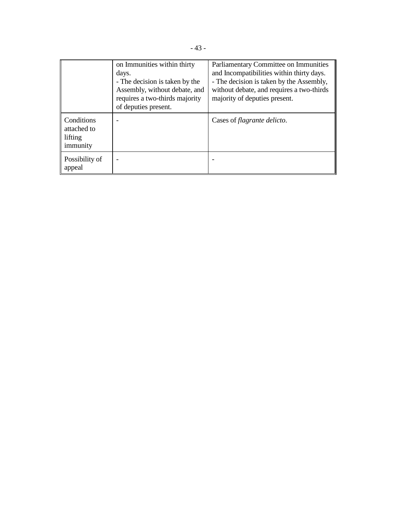|                                                  | on Immunities within thirty<br>days.<br>- The decision is taken by the<br>Assembly, without debate, and<br>requires a two-thirds majority<br>of deputies present. | Parliamentary Committee on Immunities<br>and Incompatibilities within thirty days.<br>- The decision is taken by the Assembly,<br>without debate, and requires a two-thirds<br>majority of deputies present. |
|--------------------------------------------------|-------------------------------------------------------------------------------------------------------------------------------------------------------------------|--------------------------------------------------------------------------------------------------------------------------------------------------------------------------------------------------------------|
| Conditions<br>attached to<br>lifting<br>immunity |                                                                                                                                                                   | Cases of <i>flagrante delicto</i> .                                                                                                                                                                          |
| Possibility of<br>appeal                         |                                                                                                                                                                   |                                                                                                                                                                                                              |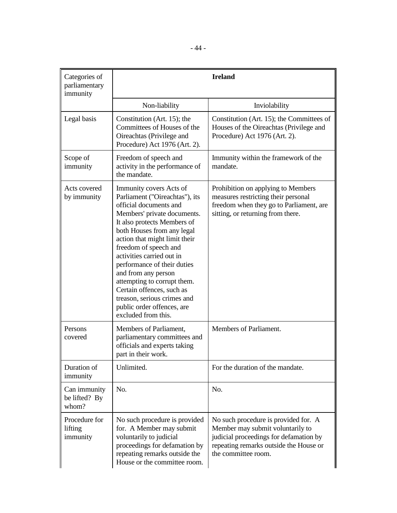| Categories of<br>parliamentary<br>immunity |                                                                                                                                                                                                                                                                                                                                                                                                                                                                              | <b>Ireland</b>                                                                                                                                                                      |
|--------------------------------------------|------------------------------------------------------------------------------------------------------------------------------------------------------------------------------------------------------------------------------------------------------------------------------------------------------------------------------------------------------------------------------------------------------------------------------------------------------------------------------|-------------------------------------------------------------------------------------------------------------------------------------------------------------------------------------|
|                                            | Non-liability                                                                                                                                                                                                                                                                                                                                                                                                                                                                | Inviolability                                                                                                                                                                       |
| Legal basis                                | Constitution (Art. 15); the<br>Committees of Houses of the<br>Oireachtas (Privilege and<br>Procedure) Act 1976 (Art. 2).                                                                                                                                                                                                                                                                                                                                                     | Constitution (Art. 15); the Committees of<br>Houses of the Oireachtas (Privilege and<br>Procedure) Act 1976 (Art. 2).                                                               |
| Scope of<br>immunity                       | Freedom of speech and<br>activity in the performance of<br>the mandate.                                                                                                                                                                                                                                                                                                                                                                                                      | Immunity within the framework of the<br>mandate.                                                                                                                                    |
| Acts covered<br>by immunity                | Immunity covers Acts of<br>Parliament ("Oireachtas"), its<br>official documents and<br>Members' private documents.<br>It also protects Members of<br>both Houses from any legal<br>action that might limit their<br>freedom of speech and<br>activities carried out in<br>performance of their duties<br>and from any person<br>attempting to corrupt them.<br>Certain offences, such as<br>treason, serious crimes and<br>public order offences, are<br>excluded from this. | Prohibition on applying to Members<br>measures restricting their personal<br>freedom when they go to Parliament, are<br>sitting, or returning from there.                           |
| Persons<br>covered                         | Members of Parliament,<br>parliamentary committees and<br>officials and experts taking<br>part in their work.                                                                                                                                                                                                                                                                                                                                                                | Members of Parliament.                                                                                                                                                              |
| Duration of<br>immunity                    | Unlimited.                                                                                                                                                                                                                                                                                                                                                                                                                                                                   | For the duration of the mandate.                                                                                                                                                    |
| Can immunity<br>be lifted? By<br>whom?     | No.                                                                                                                                                                                                                                                                                                                                                                                                                                                                          | No.                                                                                                                                                                                 |
| Procedure for<br>lifting<br>immunity       | No such procedure is provided<br>for. A Member may submit<br>voluntarily to judicial<br>proceedings for defamation by<br>repeating remarks outside the<br>House or the committee room.                                                                                                                                                                                                                                                                                       | No such procedure is provided for. A<br>Member may submit voluntarily to<br>judicial proceedings for defamation by<br>repeating remarks outside the House or<br>the committee room. |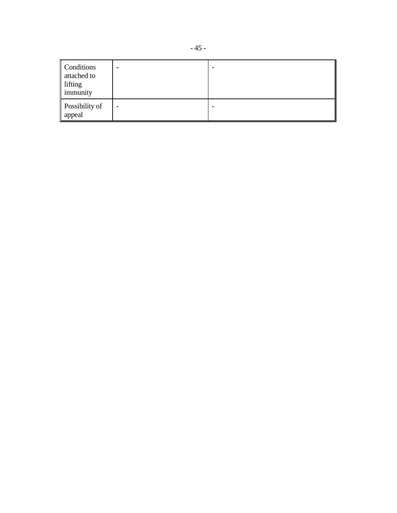| Conditions<br>attached to<br>lifting<br>immunity | - |  |
|--------------------------------------------------|---|--|
| Possibility of<br>appeal                         | - |  |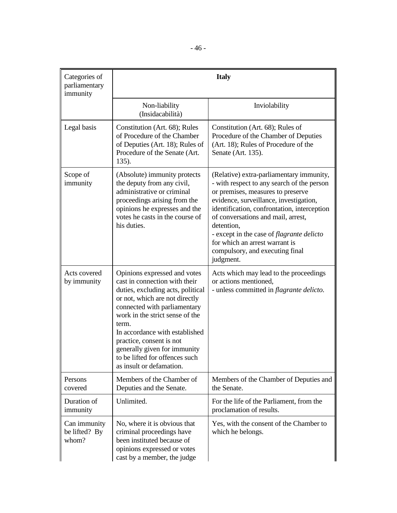| Categories of<br>parliamentary<br>immunity | <b>Italy</b>                                                                                                                                                                                                                                                                                                                                                                 |                                                                                                                                                                                                                                                                                                                                                                                                                |
|--------------------------------------------|------------------------------------------------------------------------------------------------------------------------------------------------------------------------------------------------------------------------------------------------------------------------------------------------------------------------------------------------------------------------------|----------------------------------------------------------------------------------------------------------------------------------------------------------------------------------------------------------------------------------------------------------------------------------------------------------------------------------------------------------------------------------------------------------------|
|                                            | Non-liability<br>(Insidacabilità)                                                                                                                                                                                                                                                                                                                                            | Inviolability                                                                                                                                                                                                                                                                                                                                                                                                  |
| Legal basis                                | Constitution (Art. 68); Rules<br>of Procedure of the Chamber<br>of Deputies (Art. 18); Rules of<br>Procedure of the Senate (Art.<br>$135$ ).                                                                                                                                                                                                                                 | Constitution (Art. 68); Rules of<br>Procedure of the Chamber of Deputies<br>(Art. 18); Rules of Procedure of the<br>Senate (Art. 135).                                                                                                                                                                                                                                                                         |
| Scope of<br>immunity                       | (Absolute) immunity protects<br>the deputy from any civil,<br>administrative or criminal<br>proceedings arising from the<br>opinions he expresses and the<br>votes he casts in the course of<br>his duties.                                                                                                                                                                  | (Relative) extra-parliamentary immunity,<br>- with respect to any search of the person<br>or premises, measures to preserve<br>evidence, surveillance, investigation,<br>identification, confrontation, interception<br>of conversations and mail, arrest,<br>detention,<br>- except in the case of <i>flagrante delicto</i><br>for which an arrest warrant is<br>compulsory, and executing final<br>judgment. |
| Acts covered<br>by immunity                | Opinions expressed and votes<br>cast in connection with their<br>duties, excluding acts, political<br>or not, which are not directly<br>connected with parliamentary<br>work in the strict sense of the<br>term.<br>In accordance with established<br>practice, consent is not<br>generally given for immunity<br>to be lifted for offences such<br>as insult or defamation. | Acts which may lead to the proceedings<br>or actions mentioned,<br>- unless committed in <i>flagrante delicto</i> .                                                                                                                                                                                                                                                                                            |
| Persons<br>covered                         | Members of the Chamber of<br>Deputies and the Senate.                                                                                                                                                                                                                                                                                                                        | Members of the Chamber of Deputies and<br>the Senate.                                                                                                                                                                                                                                                                                                                                                          |
| Duration of<br>immunity                    | Unlimited.                                                                                                                                                                                                                                                                                                                                                                   | For the life of the Parliament, from the<br>proclamation of results.                                                                                                                                                                                                                                                                                                                                           |
| Can immunity<br>be lifted? By<br>whom?     | No, where it is obvious that<br>criminal proceedings have<br>been instituted because of<br>opinions expressed or votes<br>cast by a member, the judge                                                                                                                                                                                                                        | Yes, with the consent of the Chamber to<br>which he belongs.                                                                                                                                                                                                                                                                                                                                                   |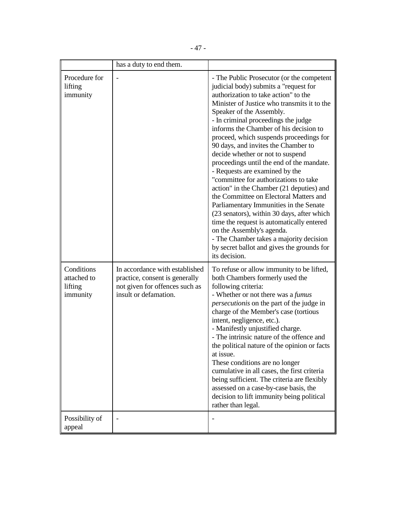|                                                  | has a duty to end them.                                                                                                     |                                                                                                                                                                                                                                                                                                                                                                                                                                                                                                                                                                                                                                                                                                                                                                                                                                                                                                        |
|--------------------------------------------------|-----------------------------------------------------------------------------------------------------------------------------|--------------------------------------------------------------------------------------------------------------------------------------------------------------------------------------------------------------------------------------------------------------------------------------------------------------------------------------------------------------------------------------------------------------------------------------------------------------------------------------------------------------------------------------------------------------------------------------------------------------------------------------------------------------------------------------------------------------------------------------------------------------------------------------------------------------------------------------------------------------------------------------------------------|
| Procedure for<br>lifting<br>immunity             |                                                                                                                             | - The Public Prosecutor (or the competent<br>judicial body) submits a "request for<br>authorization to take action" to the<br>Minister of Justice who transmits it to the<br>Speaker of the Assembly.<br>- In criminal proceedings the judge<br>informs the Chamber of his decision to<br>proceed, which suspends proceedings for<br>90 days, and invites the Chamber to<br>decide whether or not to suspend<br>proceedings until the end of the mandate.<br>- Requests are examined by the<br>"committee for authorizations to take<br>action" in the Chamber (21 deputies) and<br>the Committee on Electoral Matters and<br>Parliamentary Immunities in the Senate<br>(23 senators), within 30 days, after which<br>time the request is automatically entered<br>on the Assembly's agenda.<br>- The Chamber takes a majority decision<br>by secret ballot and gives the grounds for<br>its decision. |
| Conditions<br>attached to<br>lifting<br>immunity | In accordance with established<br>practice, consent is generally<br>not given for offences such as<br>insult or defamation. | To refuse or allow immunity to be lifted,<br>both Chambers formerly used the<br>following criteria:<br>- Whether or not there was a <i>fumus</i><br><i>persecutionis</i> on the part of the judge in<br>charge of the Member's case (tortious<br>intent, negligence, etc.).<br>- Manifestly unjustified charge.<br>- The intrinsic nature of the offence and<br>the political nature of the opinion or facts<br>at issue.<br>These conditions are no longer<br>cumulative in all cases, the first criteria<br>being sufficient. The criteria are flexibly<br>assessed on a case-by-case basis, the<br>decision to lift immunity being political<br>rather than legal.                                                                                                                                                                                                                                  |
| Possibility of<br>appeal                         |                                                                                                                             |                                                                                                                                                                                                                                                                                                                                                                                                                                                                                                                                                                                                                                                                                                                                                                                                                                                                                                        |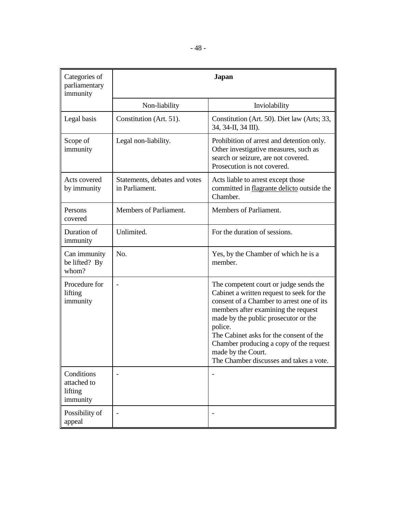| Categories of<br>parliamentary<br>immunity       | <b>Japan</b>                                    |                                                                                                                                                                                                                                                                                                                                                                                   |
|--------------------------------------------------|-------------------------------------------------|-----------------------------------------------------------------------------------------------------------------------------------------------------------------------------------------------------------------------------------------------------------------------------------------------------------------------------------------------------------------------------------|
|                                                  | Non-liability                                   | Inviolability                                                                                                                                                                                                                                                                                                                                                                     |
| Legal basis                                      | Constitution (Art. 51).                         | Constitution (Art. 50). Diet law (Arts; 33,<br>34, 34-II, 34 III).                                                                                                                                                                                                                                                                                                                |
| Scope of<br>immunity                             | Legal non-liability.                            | Prohibition of arrest and detention only.<br>Other investigative measures, such as<br>search or seizure, are not covered.<br>Prosecution is not covered.                                                                                                                                                                                                                          |
| Acts covered<br>by immunity                      | Statements, debates and votes<br>in Parliament. | Acts liable to arrest except those<br>committed in flagrante delicto outside the<br>Chamber.                                                                                                                                                                                                                                                                                      |
| Persons<br>covered                               | Members of Parliament.                          | Members of Parliament.                                                                                                                                                                                                                                                                                                                                                            |
| Duration of<br>immunity                          | Unlimited.                                      | For the duration of sessions.                                                                                                                                                                                                                                                                                                                                                     |
| Can immunity<br>be lifted? By<br>whom?           | No.                                             | Yes, by the Chamber of which he is a<br>member.                                                                                                                                                                                                                                                                                                                                   |
| Procedure for<br>lifting<br>immunity             |                                                 | The competent court or judge sends the<br>Cabinet a written request to seek for the<br>consent of a Chamber to arrest one of its<br>members after examining the request<br>made by the public prosecutor or the<br>police.<br>The Cabinet asks for the consent of the<br>Chamber producing a copy of the request<br>made by the Court.<br>The Chamber discusses and takes a vote. |
| Conditions<br>attached to<br>lifting<br>immunity |                                                 |                                                                                                                                                                                                                                                                                                                                                                                   |
| Possibility of<br>appeal                         |                                                 |                                                                                                                                                                                                                                                                                                                                                                                   |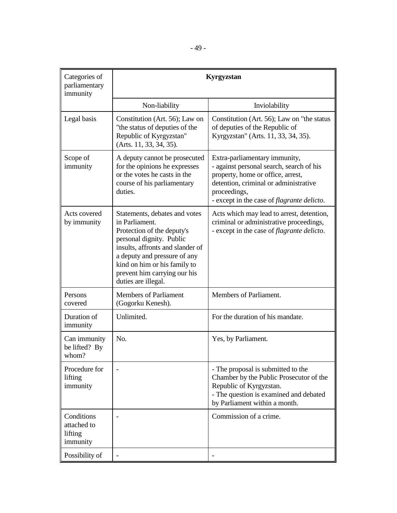| Categories of<br>parliamentary<br>immunity       | Kyrgyzstan                                                                                                                                                                                                                                                           |                                                                                                                                                                                                                               |
|--------------------------------------------------|----------------------------------------------------------------------------------------------------------------------------------------------------------------------------------------------------------------------------------------------------------------------|-------------------------------------------------------------------------------------------------------------------------------------------------------------------------------------------------------------------------------|
|                                                  | Non-liability                                                                                                                                                                                                                                                        | Inviolability                                                                                                                                                                                                                 |
| Legal basis                                      | Constitution (Art. 56); Law on<br>"the status of deputies of the<br>Republic of Kyrgyzstan"<br>(Arts. 11, 33, 34, 35).                                                                                                                                               | Constitution (Art. 56); Law on "the status<br>of deputies of the Republic of<br>Kyrgyzstan" (Arts. 11, 33, 34, 35).                                                                                                           |
| Scope of<br>immunity                             | A deputy cannot be prosecuted<br>for the opinions he expresses<br>or the votes he casts in the<br>course of his parliamentary<br>duties.                                                                                                                             | Extra-parliamentary immunity,<br>- against personal search, search of his<br>property, home or office, arrest,<br>detention, criminal or administrative<br>proceedings,<br>- except in the case of <i>flagrante delicto</i> . |
| Acts covered<br>by immunity                      | Statements, debates and votes<br>in Parliament.<br>Protection of the deputy's<br>personal dignity. Public<br>insults, affronts and slander of<br>a deputy and pressure of any<br>kind on him or his family to<br>prevent him carrying our his<br>duties are illegal. | Acts which may lead to arrest, detention,<br>criminal or administrative proceedings,<br>- except in the case of <i>flagrante delicto</i> .                                                                                    |
| Persons<br>covered                               | <b>Members of Parliament</b><br>(Gogorku Kenesh).                                                                                                                                                                                                                    | Members of Parliament.                                                                                                                                                                                                        |
| Duration of<br>immunity                          | Unlimited.                                                                                                                                                                                                                                                           | For the duration of his mandate.                                                                                                                                                                                              |
| Can immunity<br>be lifted? By<br>whom?           | No.                                                                                                                                                                                                                                                                  | Yes, by Parliament.                                                                                                                                                                                                           |
| Procedure for<br>lifting<br>immunity             |                                                                                                                                                                                                                                                                      | - The proposal is submitted to the<br>Chamber by the Public Prosecutor of the<br>Republic of Kyrgyzstan.<br>- The question is examined and debated<br>by Parliament within a month.                                           |
| Conditions<br>attached to<br>lifting<br>immunity |                                                                                                                                                                                                                                                                      | Commission of a crime.                                                                                                                                                                                                        |
| Possibility of                                   |                                                                                                                                                                                                                                                                      |                                                                                                                                                                                                                               |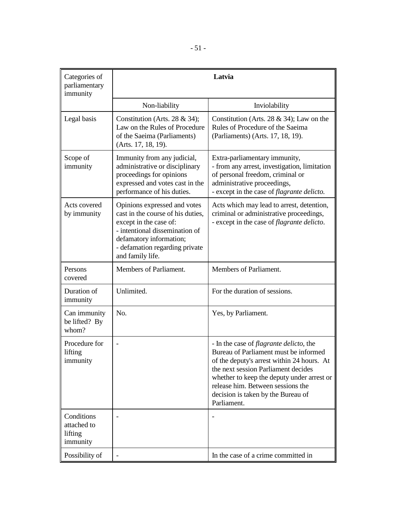| Categories of<br>parliamentary<br>immunity       |                                                                                                                                                                                                                | Latvia                                                                                                                                                                                                                                                                                                                |
|--------------------------------------------------|----------------------------------------------------------------------------------------------------------------------------------------------------------------------------------------------------------------|-----------------------------------------------------------------------------------------------------------------------------------------------------------------------------------------------------------------------------------------------------------------------------------------------------------------------|
|                                                  | Non-liability                                                                                                                                                                                                  | Inviolability                                                                                                                                                                                                                                                                                                         |
| Legal basis                                      | Constitution (Arts. 28 & 34);<br>Law on the Rules of Procedure<br>of the Saeima (Parliaments)<br>(Arts. 17, 18, 19).                                                                                           | Constitution (Arts. 28 & 34); Law on the<br>Rules of Procedure of the Saeima<br>(Parliaments) (Arts. 17, 18, 19).                                                                                                                                                                                                     |
| Scope of<br>immunity                             | Immunity from any judicial,<br>administrative or disciplinary<br>proceedings for opinions<br>expressed and votes cast in the<br>performance of his duties.                                                     | Extra-parliamentary immunity,<br>- from any arrest, investigation, limitation<br>of personal freedom, criminal or<br>administrative proceedings,<br>- except in the case of <i>flagrante delicto</i> .                                                                                                                |
| Acts covered<br>by immunity                      | Opinions expressed and votes<br>cast in the course of his duties,<br>except in the case of:<br>- intentional dissemination of<br>defamatory information;<br>- defamation regarding private<br>and family life. | Acts which may lead to arrest, detention,<br>criminal or administrative proceedings,<br>- except in the case of <i>flagrante delicto</i> .                                                                                                                                                                            |
| Persons<br>covered                               | Members of Parliament.                                                                                                                                                                                         | Members of Parliament.                                                                                                                                                                                                                                                                                                |
| Duration of<br>immunity                          | Unlimited.                                                                                                                                                                                                     | For the duration of sessions.                                                                                                                                                                                                                                                                                         |
| Can immunity<br>be lifted? By<br>whom?           | No.                                                                                                                                                                                                            | Yes, by Parliament.                                                                                                                                                                                                                                                                                                   |
| Procedure for<br>lifting<br>immunity             | $\overline{a}$                                                                                                                                                                                                 | - In the case of <i>flagrante delicto</i> , the<br>Bureau of Parliament must be informed<br>of the deputy's arrest within 24 hours. At<br>the next session Parliament decides<br>whether to keep the deputy under arrest or<br>release him. Between sessions the<br>decision is taken by the Bureau of<br>Parliament. |
| Conditions<br>attached to<br>lifting<br>immunity |                                                                                                                                                                                                                |                                                                                                                                                                                                                                                                                                                       |
| Possibility of                                   |                                                                                                                                                                                                                | In the case of a crime committed in                                                                                                                                                                                                                                                                                   |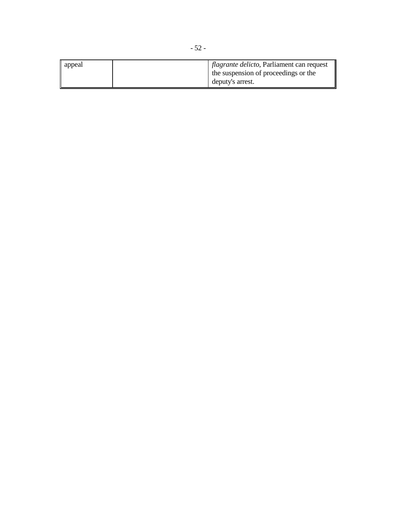| appeal | <i>flagrante delicto</i> , Parliament can request |
|--------|---------------------------------------------------|
|        | the suspension of proceedings or the              |
|        | deputy's arrest.                                  |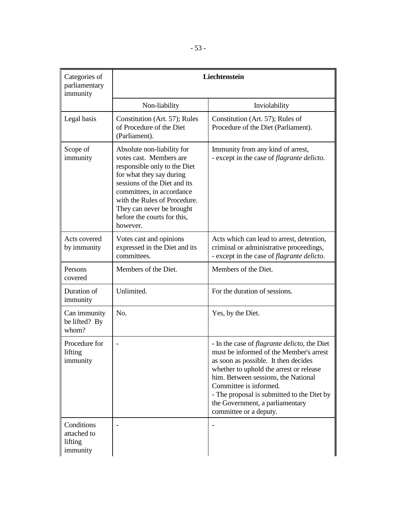| Categories of<br>parliamentary<br>immunity       | Liechtenstein                                                                                                                                                                                                                                                                          |                                                                                                                                                                                                                                                                                                                                                                |
|--------------------------------------------------|----------------------------------------------------------------------------------------------------------------------------------------------------------------------------------------------------------------------------------------------------------------------------------------|----------------------------------------------------------------------------------------------------------------------------------------------------------------------------------------------------------------------------------------------------------------------------------------------------------------------------------------------------------------|
|                                                  | Non-liability                                                                                                                                                                                                                                                                          | Inviolability                                                                                                                                                                                                                                                                                                                                                  |
| Legal basis                                      | Constitution (Art. 57); Rules<br>of Procedure of the Diet<br>(Parliament).                                                                                                                                                                                                             | Constitution (Art. 57); Rules of<br>Procedure of the Diet (Parliament).                                                                                                                                                                                                                                                                                        |
| Scope of<br>immunity                             | Absolute non-liability for<br>votes cast. Members are<br>responsible only to the Diet<br>for what they say during<br>sessions of the Diet and its<br>committees, in accordance<br>with the Rules of Procedure.<br>They can never be brought<br>before the courts for this,<br>however. | Immunity from any kind of arrest,<br>- except in the case of <i>flagrante delicto</i> .                                                                                                                                                                                                                                                                        |
| Acts covered<br>by immunity                      | Votes cast and opinions<br>expressed in the Diet and its<br>committees.                                                                                                                                                                                                                | Acts which can lead to arrest, detention,<br>criminal or administrative proceedings,<br>- except in the case of <i>flagrante delicto</i> .                                                                                                                                                                                                                     |
| Persons<br>covered                               | Members of the Diet.                                                                                                                                                                                                                                                                   | Members of the Diet.                                                                                                                                                                                                                                                                                                                                           |
| Duration of<br>immunity                          | Unlimited.                                                                                                                                                                                                                                                                             | For the duration of sessions.                                                                                                                                                                                                                                                                                                                                  |
| Can immunity<br>be lifted? By<br>whom?           | No.                                                                                                                                                                                                                                                                                    | Yes, by the Diet.                                                                                                                                                                                                                                                                                                                                              |
| Procedure for<br>lifting<br>immunity             |                                                                                                                                                                                                                                                                                        | - In the case of <i>flagrante delicto</i> , the Diet<br>must be informed of the Member's arrest<br>as soon as possible. It then decides<br>whether to uphold the arrest or release<br>him. Between sessions, the National<br>Committee is informed.<br>- The proposal is submitted to the Diet by<br>the Government, a parliamentary<br>committee or a deputy. |
| Conditions<br>attached to<br>lifting<br>immunity |                                                                                                                                                                                                                                                                                        |                                                                                                                                                                                                                                                                                                                                                                |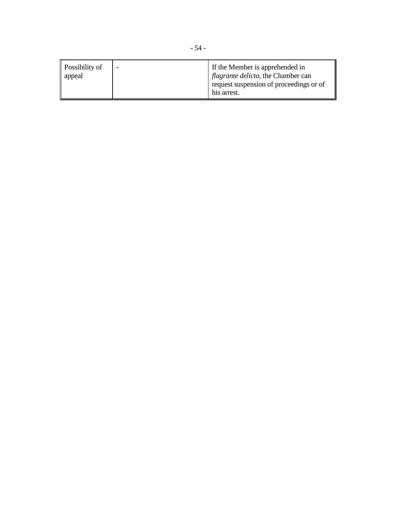| <b>Possibility of</b><br>appeal | If the Member is apprehended in<br><i>flagrante delicto</i> , the Chamber can<br>request suspension of proceedings or of |
|---------------------------------|--------------------------------------------------------------------------------------------------------------------------|
|                                 | his arrest.                                                                                                              |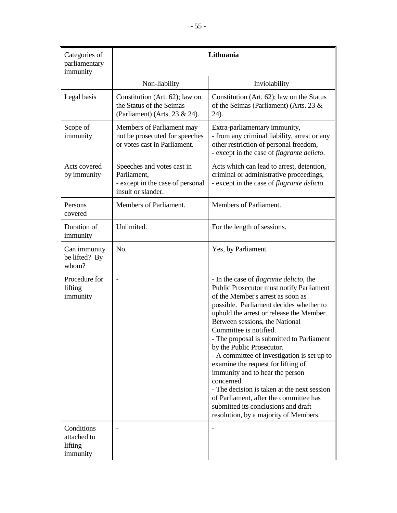| Categories of<br>parliamentary<br>immunity       | Lithuania                                                                                           |                                                                                                                                                                                                                                                                                                                                                                                                                                                                                                                                                                                                                                                                                     |
|--------------------------------------------------|-----------------------------------------------------------------------------------------------------|-------------------------------------------------------------------------------------------------------------------------------------------------------------------------------------------------------------------------------------------------------------------------------------------------------------------------------------------------------------------------------------------------------------------------------------------------------------------------------------------------------------------------------------------------------------------------------------------------------------------------------------------------------------------------------------|
|                                                  | Non-liability                                                                                       | Inviolability                                                                                                                                                                                                                                                                                                                                                                                                                                                                                                                                                                                                                                                                       |
| Legal basis                                      | Constitution (Art. 62); law on<br>the Status of the Seimas<br>(Parliament) (Arts. 23 & 24).         | Constitution (Art. 62); law on the Status<br>of the Seimas (Parliament) (Arts. 23 $\&$<br>24).                                                                                                                                                                                                                                                                                                                                                                                                                                                                                                                                                                                      |
| Scope of<br>immunity                             | Members of Parliament may<br>not be prosecuted for speeches<br>or votes cast in Parliament.         | Extra-parliamentary immunity,<br>- from any criminal liability, arrest or any<br>other restriction of personal freedom,<br>- except in the case of <i>flagrante delicto</i> .                                                                                                                                                                                                                                                                                                                                                                                                                                                                                                       |
| Acts covered<br>by immunity                      | Speeches and votes cast in<br>Parliament,<br>- except in the case of personal<br>insult or slander. | Acts which can lead to arrest, detention,<br>criminal or administrative proceedings,<br>- except in the case of flagrante delicto.                                                                                                                                                                                                                                                                                                                                                                                                                                                                                                                                                  |
| Persons<br>covered                               | Members of Parliament.                                                                              | Members of Parliament.                                                                                                                                                                                                                                                                                                                                                                                                                                                                                                                                                                                                                                                              |
| Duration of<br>immunity                          | Unlimited.                                                                                          | For the length of sessions.                                                                                                                                                                                                                                                                                                                                                                                                                                                                                                                                                                                                                                                         |
| Can immunity<br>be lifted? By<br>whom?           | No.                                                                                                 | Yes, by Parliament.                                                                                                                                                                                                                                                                                                                                                                                                                                                                                                                                                                                                                                                                 |
| Procedure for<br>lifting<br>immunity             |                                                                                                     | - In the case of <i>flagrante delicto</i> , the<br><b>Public Prosecutor must notify Parliament</b><br>of the Member's arrest as soon as<br>possible. Parliament decides whether to<br>uphold the arrest or release the Member.<br>Between sessions, the National<br>Committee is notified.<br>- The proposal is submitted to Parliament<br>by the Public Prosecutor.<br>- A committee of investigation is set up to<br>examine the request for lifting of<br>immunity and to hear the person<br>concerned.<br>- The decision is taken at the next session<br>of Parliament, after the committee has<br>submitted its conclusions and draft<br>resolution, by a majority of Members. |
| Conditions<br>attached to<br>lifting<br>immunity |                                                                                                     |                                                                                                                                                                                                                                                                                                                                                                                                                                                                                                                                                                                                                                                                                     |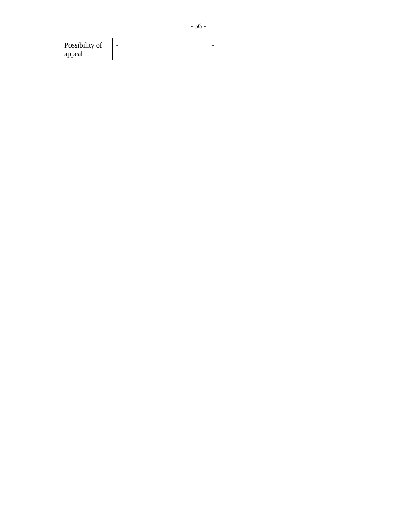| Possibility of | $\sim$ | - |
|----------------|--------|---|
| appeal         |        |   |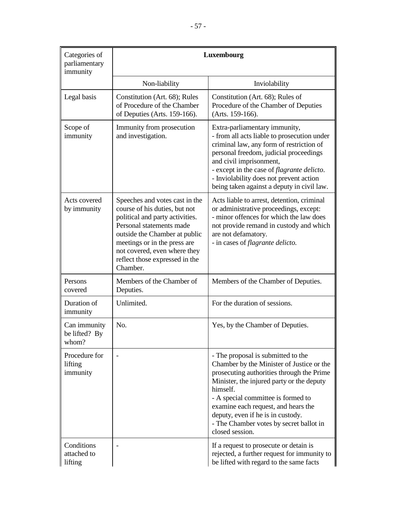| Categories of<br>parliamentary<br>immunity | Luxembourg                                                                                                                                                                                                                                                                    |                                                                                                                                                                                                                                                                                                                                                                       |
|--------------------------------------------|-------------------------------------------------------------------------------------------------------------------------------------------------------------------------------------------------------------------------------------------------------------------------------|-----------------------------------------------------------------------------------------------------------------------------------------------------------------------------------------------------------------------------------------------------------------------------------------------------------------------------------------------------------------------|
|                                            | Non-liability                                                                                                                                                                                                                                                                 | Inviolability                                                                                                                                                                                                                                                                                                                                                         |
| Legal basis                                | Constitution (Art. 68); Rules<br>of Procedure of the Chamber<br>of Deputies (Arts. 159-166).                                                                                                                                                                                  | Constitution (Art. 68); Rules of<br>Procedure of the Chamber of Deputies<br>(Arts. 159-166).                                                                                                                                                                                                                                                                          |
| Scope of<br>immunity                       | Immunity from prosecution<br>and investigation.                                                                                                                                                                                                                               | Extra-parliamentary immunity,<br>- from all acts liable to prosecution under<br>criminal law, any form of restriction of<br>personal freedom, judicial proceedings<br>and civil imprisonment,<br>- except in the case of flagrante delicto.<br>- Inviolability does not prevent action<br>being taken against a deputy in civil law.                                  |
| Acts covered<br>by immunity                | Speeches and votes cast in the<br>course of his duties, but not<br>political and party activities.<br>Personal statements made<br>outside the Chamber at public<br>meetings or in the press are<br>not covered, even where they<br>reflect those expressed in the<br>Chamber. | Acts liable to arrest, detention, criminal<br>or administrative proceedings, except:<br>- minor offences for which the law does<br>not provide remand in custody and which<br>are not defamatory.<br>- in cases of <i>flagrante delicto</i> .                                                                                                                         |
| Persons<br>covered                         | Members of the Chamber of<br>Deputies.                                                                                                                                                                                                                                        | Members of the Chamber of Deputies.                                                                                                                                                                                                                                                                                                                                   |
| Duration of<br>immunity                    | Unlimited.                                                                                                                                                                                                                                                                    | For the duration of sessions.                                                                                                                                                                                                                                                                                                                                         |
| Can immunity<br>be lifted? By<br>whom?     | No.                                                                                                                                                                                                                                                                           | Yes, by the Chamber of Deputies.                                                                                                                                                                                                                                                                                                                                      |
| Procedure for<br>lifting<br>immunity       |                                                                                                                                                                                                                                                                               | - The proposal is submitted to the<br>Chamber by the Minister of Justice or the<br>prosecuting authorities through the Prime<br>Minister, the injured party or the deputy<br>himself.<br>- A special committee is formed to<br>examine each request, and hears the<br>deputy, even if he is in custody.<br>- The Chamber votes by secret ballot in<br>closed session. |
| Conditions<br>attached to<br>lifting       |                                                                                                                                                                                                                                                                               | If a request to prosecute or detain is<br>rejected, a further request for immunity to<br>be lifted with regard to the same facts                                                                                                                                                                                                                                      |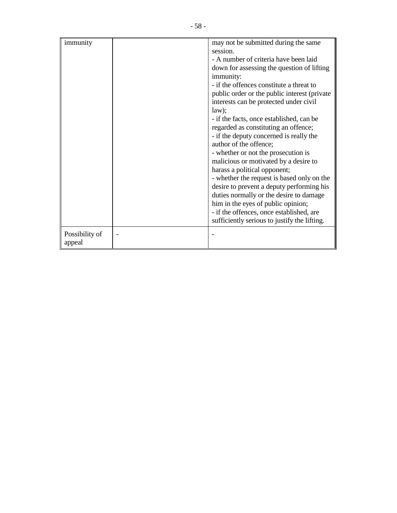| immunity       | may not be submitted during the same         |
|----------------|----------------------------------------------|
|                | session.                                     |
|                | - A number of criteria have been laid        |
|                | down for assessing the question of lifting   |
|                | immunity:                                    |
|                | - if the offences constitute a threat to     |
|                | public order or the public interest (private |
|                | interests can be protected under civil       |
|                | law);                                        |
|                | - if the facts, once established, can be     |
|                | regarded as constituting an offence;         |
|                | - if the deputy concerned is really the      |
|                | author of the offence;                       |
|                | - whether or not the prosecution is          |
|                | malicious or motivated by a desire to        |
|                | harass a political opponent;                 |
|                | - whether the request is based only on the   |
|                | desire to prevent a deputy performing his    |
|                | duties normally or the desire to damage      |
|                | him in the eyes of public opinion;           |
|                | - if the offences, once established, are     |
|                | sufficiently serious to justify the lifting. |
|                |                                              |
| Possibility of |                                              |
| appeal         |                                              |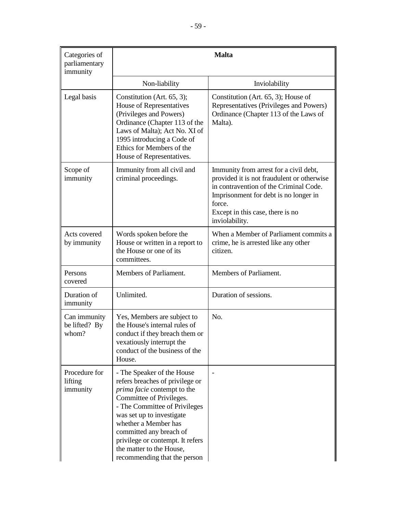| Categories of<br>parliamentary<br>immunity | <b>Malta</b>                                                                                                                                                                                                                                                                                                                              |                                                                                                                                                                                                                                         |
|--------------------------------------------|-------------------------------------------------------------------------------------------------------------------------------------------------------------------------------------------------------------------------------------------------------------------------------------------------------------------------------------------|-----------------------------------------------------------------------------------------------------------------------------------------------------------------------------------------------------------------------------------------|
|                                            | Non-liability                                                                                                                                                                                                                                                                                                                             | Inviolability                                                                                                                                                                                                                           |
| Legal basis                                | Constitution (Art. 65, 3);<br>House of Representatives<br>(Privileges and Powers)<br>Ordinance (Chapter 113 of the<br>Laws of Malta); Act No. XI of<br>1995 introducing a Code of<br>Ethics for Members of the<br>House of Representatives.                                                                                               | Constitution (Art. 65, 3); House of<br>Representatives (Privileges and Powers)<br>Ordinance (Chapter 113 of the Laws of<br>Malta).                                                                                                      |
| Scope of<br>immunity                       | Immunity from all civil and<br>criminal proceedings.                                                                                                                                                                                                                                                                                      | Immunity from arrest for a civil debt,<br>provided it is not fraudulent or otherwise<br>in contravention of the Criminal Code.<br>Imprisonment for debt is no longer in<br>force.<br>Except in this case, there is no<br>inviolability. |
| Acts covered<br>by immunity                | Words spoken before the<br>House or written in a report to<br>the House or one of its<br>committees.                                                                                                                                                                                                                                      | When a Member of Parliament commits a<br>crime, he is arrested like any other<br>citizen.                                                                                                                                               |
| Persons<br>covered                         | Members of Parliament.                                                                                                                                                                                                                                                                                                                    | Members of Parliament.                                                                                                                                                                                                                  |
| Duration of<br>immunity                    | Unlimited.                                                                                                                                                                                                                                                                                                                                | Duration of sessions.                                                                                                                                                                                                                   |
| Can immunity<br>be lifted? By<br>whom?     | Yes, Members are subject to<br>the House's internal rules of<br>conduct if they breach them or<br>vexatiously interrupt the<br>conduct of the business of the<br>House.                                                                                                                                                                   | No.                                                                                                                                                                                                                                     |
| Procedure for<br>lifting<br>immunity       | - The Speaker of the House<br>refers breaches of privilege or<br>prima facie contempt to the<br>Committee of Privileges.<br>- The Committee of Privileges<br>was set up to investigate<br>whether a Member has<br>committed any breach of<br>privilege or contempt. It refers<br>the matter to the House,<br>recommending that the person |                                                                                                                                                                                                                                         |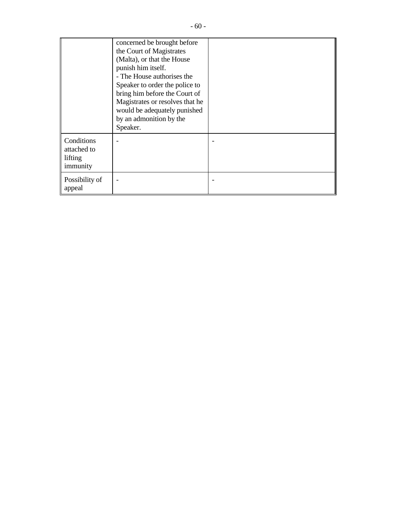|                                                  | concerned be brought before<br>the Court of Magistrates<br>(Malta), or that the House<br>punish him itself.<br>- The House authorises the<br>Speaker to order the police to<br>bring him before the Court of<br>Magistrates or resolves that he<br>would be adequately punished<br>by an admonition by the<br>Speaker. |  |
|--------------------------------------------------|------------------------------------------------------------------------------------------------------------------------------------------------------------------------------------------------------------------------------------------------------------------------------------------------------------------------|--|
| Conditions<br>attached to<br>lifting<br>immunity |                                                                                                                                                                                                                                                                                                                        |  |
| Possibility of<br>appeal                         |                                                                                                                                                                                                                                                                                                                        |  |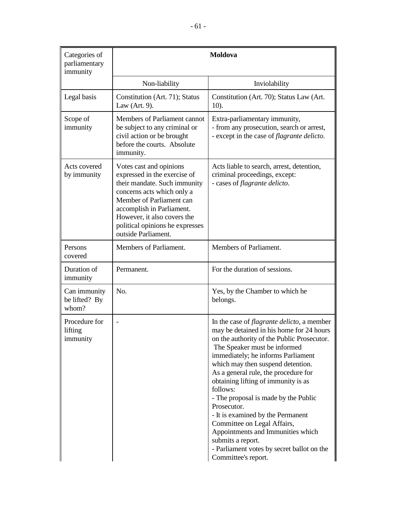| Categories of<br>parliamentary<br>immunity | <b>Moldova</b>                                                                                                                                                                                                                                                          |                                                                                                                                                                                                                                                                                                                                                                                                                                                                                                                                                                                                              |
|--------------------------------------------|-------------------------------------------------------------------------------------------------------------------------------------------------------------------------------------------------------------------------------------------------------------------------|--------------------------------------------------------------------------------------------------------------------------------------------------------------------------------------------------------------------------------------------------------------------------------------------------------------------------------------------------------------------------------------------------------------------------------------------------------------------------------------------------------------------------------------------------------------------------------------------------------------|
|                                            | Non-liability                                                                                                                                                                                                                                                           | Inviolability                                                                                                                                                                                                                                                                                                                                                                                                                                                                                                                                                                                                |
| Legal basis                                | Constitution (Art. 71); Status<br>Law (Art. $9$ ).                                                                                                                                                                                                                      | Constitution (Art. 70); Status Law (Art.<br>$10$ ).                                                                                                                                                                                                                                                                                                                                                                                                                                                                                                                                                          |
| Scope of<br>immunity                       | Members of Parliament cannot<br>be subject to any criminal or<br>civil action or be brought<br>before the courts. Absolute<br>immunity.                                                                                                                                 | Extra-parliamentary immunity,<br>- from any prosecution, search or arrest,<br>- except in the case of <i>flagrante delicto</i> .                                                                                                                                                                                                                                                                                                                                                                                                                                                                             |
| Acts covered<br>by immunity                | Votes cast and opinions<br>expressed in the exercise of<br>their mandate. Such immunity<br>concerns acts which only a<br>Member of Parliament can<br>accomplish in Parliament.<br>However, it also covers the<br>political opinions he expresses<br>outside Parliament. | Acts liable to search, arrest, detention,<br>criminal proceedings, except:<br>- cases of flagrante delicto.                                                                                                                                                                                                                                                                                                                                                                                                                                                                                                  |
| Persons<br>covered                         | Members of Parliament.                                                                                                                                                                                                                                                  | Members of Parliament.                                                                                                                                                                                                                                                                                                                                                                                                                                                                                                                                                                                       |
| Duration of<br>immunity                    | Permanent.                                                                                                                                                                                                                                                              | For the duration of sessions.                                                                                                                                                                                                                                                                                                                                                                                                                                                                                                                                                                                |
| Can immunity<br>be lifted? By<br>whom?     | No.                                                                                                                                                                                                                                                                     | Yes, by the Chamber to which he<br>belongs.                                                                                                                                                                                                                                                                                                                                                                                                                                                                                                                                                                  |
| Procedure for<br>lifting<br>immunity       |                                                                                                                                                                                                                                                                         | In the case of <i>flagrante delicto</i> , a member<br>may be detained in his home for 24 hours<br>on the authority of the Public Prosecutor.<br>The Speaker must be informed<br>immediately; he informs Parliament<br>which may then suspend detention.<br>As a general rule, the procedure for<br>obtaining lifting of immunity is as<br>follows:<br>- The proposal is made by the Public<br>Prosecutor.<br>- It is examined by the Permanent<br>Committee on Legal Affairs,<br>Appointments and Immunities which<br>submits a report.<br>- Parliament votes by secret ballot on the<br>Committee's report. |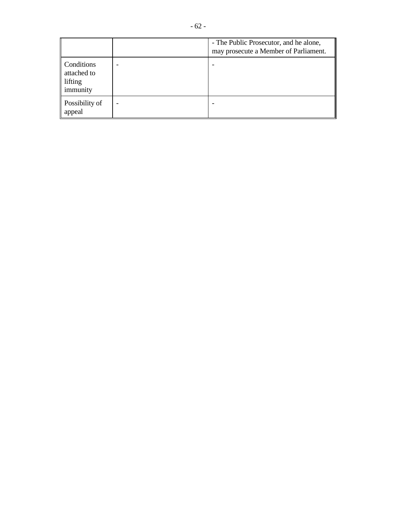|                                                  | - The Public Prosecutor, and he alone,<br>may prosecute a Member of Parliament. |
|--------------------------------------------------|---------------------------------------------------------------------------------|
| Conditions<br>attached to<br>lifting<br>immunity |                                                                                 |
| Possibility of<br>appeal                         |                                                                                 |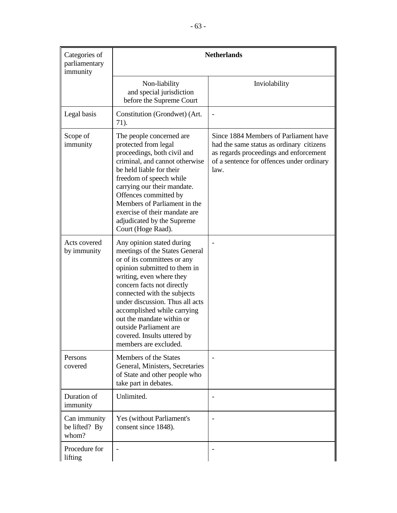| Categories of<br>parliamentary<br>immunity | <b>Netherlands</b>                                                                                                                                                                                                                                                                                                                                                                                   |                                                                                                                                                                                  |
|--------------------------------------------|------------------------------------------------------------------------------------------------------------------------------------------------------------------------------------------------------------------------------------------------------------------------------------------------------------------------------------------------------------------------------------------------------|----------------------------------------------------------------------------------------------------------------------------------------------------------------------------------|
|                                            | Non-liability<br>and special jurisdiction<br>before the Supreme Court                                                                                                                                                                                                                                                                                                                                | Inviolability                                                                                                                                                                    |
| Legal basis                                | Constitution (Grondwet) (Art.<br>71).                                                                                                                                                                                                                                                                                                                                                                |                                                                                                                                                                                  |
| Scope of<br>immunity                       | The people concerned are<br>protected from legal<br>proceedings, both civil and<br>criminal, and cannot otherwise<br>be held liable for their<br>freedom of speech while<br>carrying our their mandate.<br>Offences committed by<br>Members of Parliament in the<br>exercise of their mandate are<br>adjudicated by the Supreme<br>Court (Hoge Raad).                                                | Since 1884 Members of Parliament have<br>had the same status as ordinary citizens<br>as regards proceedings and enforcement<br>of a sentence for offences under ordinary<br>law. |
| Acts covered<br>by immunity                | Any opinion stated during<br>meetings of the States General<br>or of its committees or any<br>opinion submitted to them in<br>writing, even where they<br>concern facts not directly<br>connected with the subjects<br>under discussion. Thus all acts<br>accomplished while carrying<br>out the mandate within or<br>outside Parliament are<br>covered. Insults uttered by<br>members are excluded. |                                                                                                                                                                                  |
| Persons<br>covered                         | Members of the States<br>General, Ministers, Secretaries<br>of State and other people who<br>take part in debates.                                                                                                                                                                                                                                                                                   |                                                                                                                                                                                  |
| Duration of<br>immunity                    | Unlimited.                                                                                                                                                                                                                                                                                                                                                                                           |                                                                                                                                                                                  |
| Can immunity<br>be lifted? By<br>whom?     | Yes (without Parliament's<br>consent since 1848).                                                                                                                                                                                                                                                                                                                                                    |                                                                                                                                                                                  |
| Procedure for<br>lifting                   |                                                                                                                                                                                                                                                                                                                                                                                                      |                                                                                                                                                                                  |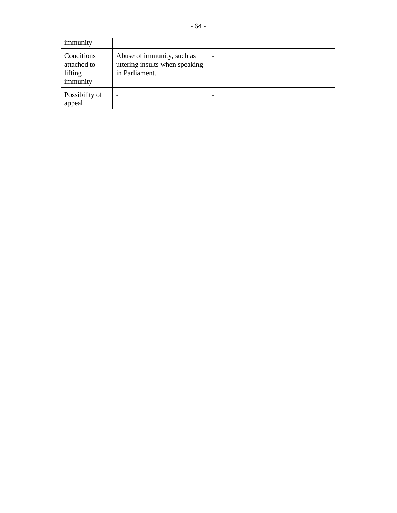| $\mathbb I$ immunity                                    |                                                                                |  |
|---------------------------------------------------------|--------------------------------------------------------------------------------|--|
| Conditions<br>attached to<br>lifting<br><i>immunity</i> | Abuse of immunity, such as<br>uttering insults when speaking<br>in Parliament. |  |
| $\parallel$ Possibility of<br>appeal                    |                                                                                |  |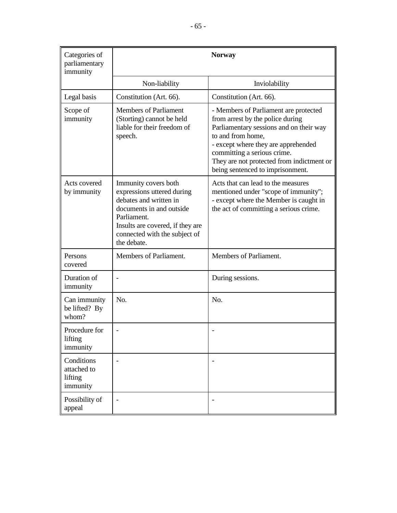| Categories of<br>parliamentary<br>immunity       |                                                                                                                                                                                                             | <b>Norway</b>                                                                                                                                                                                                                                                                                    |
|--------------------------------------------------|-------------------------------------------------------------------------------------------------------------------------------------------------------------------------------------------------------------|--------------------------------------------------------------------------------------------------------------------------------------------------------------------------------------------------------------------------------------------------------------------------------------------------|
|                                                  | Non-liability                                                                                                                                                                                               | Inviolability                                                                                                                                                                                                                                                                                    |
| Legal basis                                      | Constitution (Art. 66).                                                                                                                                                                                     | Constitution (Art. 66).                                                                                                                                                                                                                                                                          |
| Scope of<br>immunity                             | <b>Members of Parliament</b><br>(Storting) cannot be held<br>liable for their freedom of<br>speech.                                                                                                         | - Members of Parliament are protected<br>from arrest by the police during<br>Parliamentary sessions and on their way<br>to and from home,<br>- except where they are apprehended<br>committing a serious crime.<br>They are not protected from indictment or<br>being sentenced to imprisonment. |
| Acts covered<br>by immunity                      | Immunity covers both<br>expressions uttered during<br>debates and written in<br>documents in and outside<br>Parliament.<br>Insults are covered, if they are<br>connected with the subject of<br>the debate. | Acts that can lead to the measures<br>mentioned under "scope of immunity";<br>- except where the Member is caught in<br>the act of committing a serious crime.                                                                                                                                   |
| Persons<br>covered                               | Members of Parliament.                                                                                                                                                                                      | Members of Parliament.                                                                                                                                                                                                                                                                           |
| Duration of<br>immunity                          |                                                                                                                                                                                                             | During sessions.                                                                                                                                                                                                                                                                                 |
| Can immunity<br>be lifted? By<br>whom?           | No.                                                                                                                                                                                                         | N <sub>o</sub>                                                                                                                                                                                                                                                                                   |
| Procedure for<br>lifting<br>immunity             |                                                                                                                                                                                                             |                                                                                                                                                                                                                                                                                                  |
| Conditions<br>attached to<br>lifting<br>immunity |                                                                                                                                                                                                             |                                                                                                                                                                                                                                                                                                  |
| Possibility of<br>appeal                         |                                                                                                                                                                                                             |                                                                                                                                                                                                                                                                                                  |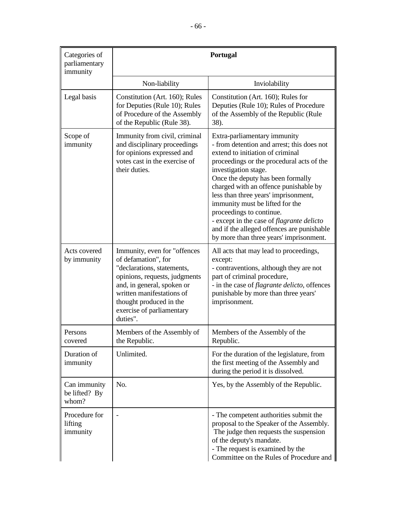| Categories of                          | Portugal                                                                                                                                                                                                                                          |                                                                                                                                                                                                                                                                                                                                                                                                                                                                                                                |
|----------------------------------------|---------------------------------------------------------------------------------------------------------------------------------------------------------------------------------------------------------------------------------------------------|----------------------------------------------------------------------------------------------------------------------------------------------------------------------------------------------------------------------------------------------------------------------------------------------------------------------------------------------------------------------------------------------------------------------------------------------------------------------------------------------------------------|
| parliamentary<br>immunity              |                                                                                                                                                                                                                                                   |                                                                                                                                                                                                                                                                                                                                                                                                                                                                                                                |
|                                        | Non-liability                                                                                                                                                                                                                                     | Inviolability                                                                                                                                                                                                                                                                                                                                                                                                                                                                                                  |
| Legal basis                            | Constitution (Art. 160); Rules<br>for Deputies (Rule 10); Rules<br>of Procedure of the Assembly<br>of the Republic (Rule 38).                                                                                                                     | Constitution (Art. 160); Rules for<br>Deputies (Rule 10); Rules of Procedure<br>of the Assembly of the Republic (Rule<br>38).                                                                                                                                                                                                                                                                                                                                                                                  |
| Scope of<br>immunity                   | Immunity from civil, criminal<br>and disciplinary proceedings<br>for opinions expressed and<br>votes cast in the exercise of<br>their duties.                                                                                                     | Extra-parliamentary immunity<br>- from detention and arrest; this does not<br>extend to initiation of criminal<br>proceedings or the procedural acts of the<br>investigation stage.<br>Once the deputy has been formally<br>charged with an offence punishable by<br>less than three years' imprisonment,<br>immunity must be lifted for the<br>proceedings to continue.<br>- except in the case of flagrante delicto<br>and if the alleged offences are punishable<br>by more than three years' imprisonment. |
| Acts covered<br>by immunity            | Immunity, even for "offences<br>of defamation", for<br>"declarations, statements,<br>opinions, requests, judgments<br>and, in general, spoken or<br>written manifestations of<br>thought produced in the<br>exercise of parliamentary<br>duties". | All acts that may lead to proceedings,<br>except:<br>- contraventions, although they are not<br>part of criminal procedure,<br>- in the case of <i>flagrante delicto</i> , offences<br>punishable by more than three years'<br>imprisonment.                                                                                                                                                                                                                                                                   |
| Persons<br>covered                     | Members of the Assembly of<br>the Republic.                                                                                                                                                                                                       | Members of the Assembly of the<br>Republic.                                                                                                                                                                                                                                                                                                                                                                                                                                                                    |
| Duration of<br>immunity                | Unlimited.                                                                                                                                                                                                                                        | For the duration of the legislature, from<br>the first meeting of the Assembly and<br>during the period it is dissolved.                                                                                                                                                                                                                                                                                                                                                                                       |
| Can immunity<br>be lifted? By<br>whom? | No.                                                                                                                                                                                                                                               | Yes, by the Assembly of the Republic.                                                                                                                                                                                                                                                                                                                                                                                                                                                                          |
| Procedure for<br>lifting<br>immunity   |                                                                                                                                                                                                                                                   | - The competent authorities submit the<br>proposal to the Speaker of the Assembly.<br>The judge then requests the suspension<br>of the deputy's mandate.<br>- The request is examined by the<br>Committee on the Rules of Procedure and                                                                                                                                                                                                                                                                        |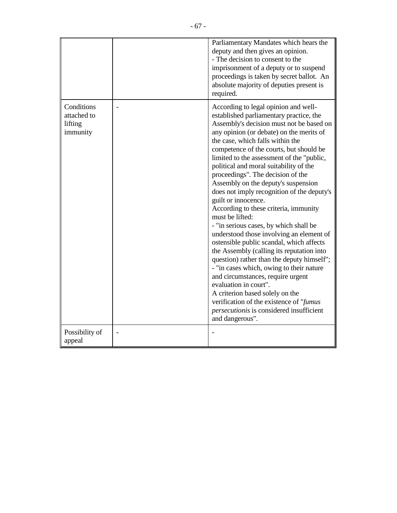|                                                  | Parliamentary Mandates which hears the<br>deputy and then gives an opinion.<br>- The decision to consent to the<br>imprisonment of a deputy or to suspend<br>proceedings is taken by secret ballot. An<br>absolute majority of deputies present is<br>required.                                                                                                                                                                                                                                                                                                                                                                                                                                                                                                                                                                                                                                                                                                                                                                                        |
|--------------------------------------------------|--------------------------------------------------------------------------------------------------------------------------------------------------------------------------------------------------------------------------------------------------------------------------------------------------------------------------------------------------------------------------------------------------------------------------------------------------------------------------------------------------------------------------------------------------------------------------------------------------------------------------------------------------------------------------------------------------------------------------------------------------------------------------------------------------------------------------------------------------------------------------------------------------------------------------------------------------------------------------------------------------------------------------------------------------------|
| Conditions<br>attached to<br>lifting<br>immunity | According to legal opinion and well-<br>established parliamentary practice, the<br>Assembly's decision must not be based on<br>any opinion (or debate) on the merits of<br>the case, which falls within the<br>competence of the courts, but should be<br>limited to the assessment of the "public,<br>political and moral suitability of the<br>proceedings". The decision of the<br>Assembly on the deputy's suspension<br>does not imply recognition of the deputy's<br>guilt or innocence.<br>According to these criteria, immunity<br>must be lifted:<br>- "in serious cases, by which shall be<br>understood those involving an element of<br>ostensible public scandal, which affects<br>the Assembly (calling its reputation into<br>question) rather than the deputy himself";<br>- "in cases which, owing to their nature<br>and circumstances, require urgent<br>evaluation in court".<br>A criterion based solely on the<br>verification of the existence of "fumus"<br><i>persecutionis</i> is considered insufficient<br>and dangerous". |
| Possibility of<br>appeal                         |                                                                                                                                                                                                                                                                                                                                                                                                                                                                                                                                                                                                                                                                                                                                                                                                                                                                                                                                                                                                                                                        |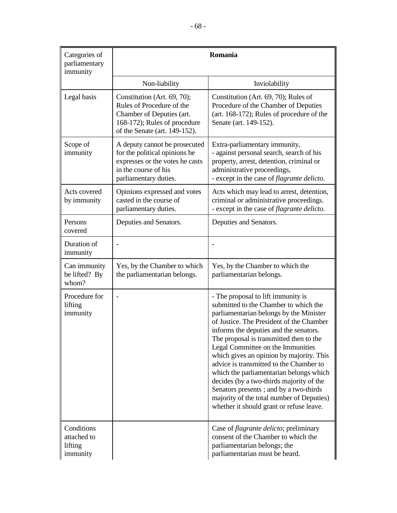| Categories of<br>parliamentary<br>immunity       |                                                                                                                                                        | Romania                                                                                                                                                                                                                                                                                                                                                                                                                                                                                                                                                                                                        |
|--------------------------------------------------|--------------------------------------------------------------------------------------------------------------------------------------------------------|----------------------------------------------------------------------------------------------------------------------------------------------------------------------------------------------------------------------------------------------------------------------------------------------------------------------------------------------------------------------------------------------------------------------------------------------------------------------------------------------------------------------------------------------------------------------------------------------------------------|
|                                                  | Non-liability                                                                                                                                          | Inviolability                                                                                                                                                                                                                                                                                                                                                                                                                                                                                                                                                                                                  |
| Legal basis                                      | Constitution (Art. 69, 70);<br>Rules of Procedure of the<br>Chamber of Deputies (art.<br>168-172); Rules of procedure<br>of the Senate (art. 149-152). | Constitution (Art. 69, 70); Rules of<br>Procedure of the Chamber of Deputies<br>(art. 168-172); Rules of procedure of the<br>Senate (art. 149-152).                                                                                                                                                                                                                                                                                                                                                                                                                                                            |
| Scope of<br>immunity                             | A deputy cannot be prosecuted<br>for the political opinions he<br>expresses or the votes he casts<br>in the course of his<br>parliamentary duties.     | Extra-parliamentary immunity,<br>- against personal search, search of his<br>property, arrest, detention, criminal or<br>administrative proceedings,<br>- except in the case of <i>flagrante delicto</i> .                                                                                                                                                                                                                                                                                                                                                                                                     |
| Acts covered<br>by immunity                      | Opinions expressed and votes<br>casted in the course of<br>parliamentary duties.                                                                       | Acts which may lead to arrest, detention,<br>criminal or administrative proceedings.<br>- except in the case of <i>flagrante delicto</i> .                                                                                                                                                                                                                                                                                                                                                                                                                                                                     |
| Persons<br>covered                               | Deputies and Senators.                                                                                                                                 | Deputies and Senators.                                                                                                                                                                                                                                                                                                                                                                                                                                                                                                                                                                                         |
| Duration of<br>immunity                          |                                                                                                                                                        |                                                                                                                                                                                                                                                                                                                                                                                                                                                                                                                                                                                                                |
| Can immunity<br>be lifted? By<br>whom?           | Yes, by the Chamber to which<br>the parliamentarian belongs.                                                                                           | Yes, by the Chamber to which the<br>parliamentarian belongs.                                                                                                                                                                                                                                                                                                                                                                                                                                                                                                                                                   |
| Procedure for<br>lifting<br>immunity             |                                                                                                                                                        | - The proposal to lift immunity is<br>submitted to the Chamber to which the<br>parliamentarian belongs by the Minister<br>of Justice. The President of the Chamber<br>informs the deputies and the senators.<br>The proposal is transmitted then to the<br>Legal Committee on the Immunities<br>which gives an opinion by majority. This<br>advice is transmitted to the Chamber to<br>which the parliamentarian belongs which<br>decides (by a two-thirds majority of the<br>Senators presents ; and by a two-thirds<br>majority of the total number of Deputies)<br>whether it should grant or refuse leave. |
| Conditions<br>attached to<br>lifting<br>immunity |                                                                                                                                                        | Case of <i>flagrante delicto</i> ; preliminary<br>consent of the Chamber to which the<br>parliamentarian belongs; the<br>parliamentarian must be heard.                                                                                                                                                                                                                                                                                                                                                                                                                                                        |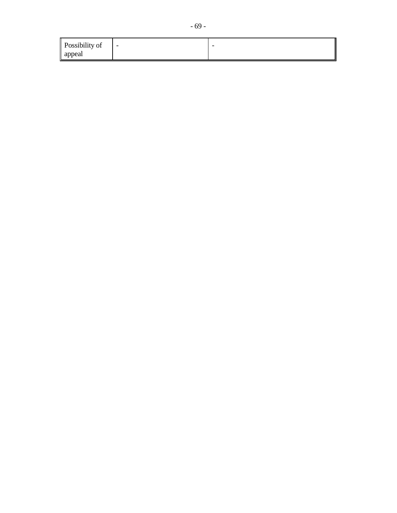| Possibility of | $\sim$ | $\overline{\phantom{a}}$ |
|----------------|--------|--------------------------|
| appeal         |        |                          |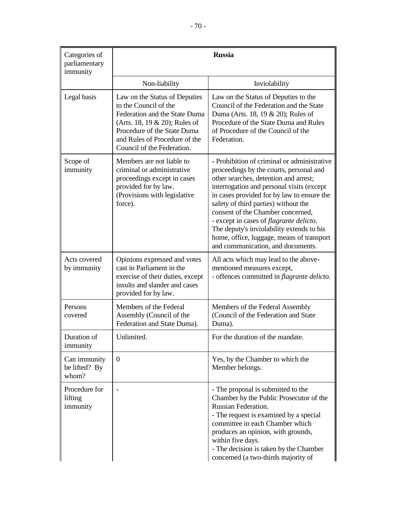| Categories of<br>parliamentary<br>immunity | <b>Russia</b>                                                                                                                                                                                                          |                                                                                                                                                                                                                                                                                                                                                                                                                                                                                           |
|--------------------------------------------|------------------------------------------------------------------------------------------------------------------------------------------------------------------------------------------------------------------------|-------------------------------------------------------------------------------------------------------------------------------------------------------------------------------------------------------------------------------------------------------------------------------------------------------------------------------------------------------------------------------------------------------------------------------------------------------------------------------------------|
|                                            | Non-liability                                                                                                                                                                                                          | Inviolability                                                                                                                                                                                                                                                                                                                                                                                                                                                                             |
| Legal basis                                | Law on the Status of Deputies<br>to the Council of the<br>Federation and the State Duma<br>(Arts. 18, 19 & 20); Rules of<br>Procedure of the State Duma<br>and Rules of Procedure of the<br>Council of the Federation. | Law on the Status of Deputies to the<br>Council of the Federation and the State<br>Duma (Arts. 18, 19 & 20); Rules of<br>Procedure of the State Duma and Rules<br>of Procedure of the Council of the<br>Federation.                                                                                                                                                                                                                                                                       |
| Scope of<br>immunity                       | Members are not liable to<br>criminal or administrative<br>proceedings except in cases<br>provided for by law.<br>(Provisions with legislative<br>force).                                                              | - Prohibition of criminal or administrative<br>proceedings by the courts, personal and<br>other searches, detention and arrest;<br>interrogation and personal visits (except<br>in cases provided for by law to ensure the<br>safety of third parties) without the<br>consent of the Chamber concerned,<br>- except in cases of <i>flagrante delicto</i> .<br>The deputy's inviolability extends to his<br>home, office, luggage, means of transport<br>and communication, and documents. |
| Acts covered<br>by immunity                | Opinions expressed and votes<br>cast in Parliament in the<br>exercise of their duties, except<br>insults and slander and cases<br>provided for by law.                                                                 | All acts which may lead to the above-<br>mentioned measures except,<br>- offences committed in <i>flagrante delicto</i> .                                                                                                                                                                                                                                                                                                                                                                 |
| Persons<br>covered                         | Members of the Federal<br>Assembly (Council of the<br>Federation and State Duma).                                                                                                                                      | Members of the Federal Assembly<br>(Council of the Federation and State<br>Duma).                                                                                                                                                                                                                                                                                                                                                                                                         |
| Duration of<br>immunity                    | Unlimited.                                                                                                                                                                                                             | For the duration of the mandate.                                                                                                                                                                                                                                                                                                                                                                                                                                                          |
| Can immunity<br>be lifted? By<br>whom?     | $\theta$                                                                                                                                                                                                               | Yes, by the Chamber to which the<br>Member belongs.                                                                                                                                                                                                                                                                                                                                                                                                                                       |
| Procedure for<br>lifting<br>immunity       |                                                                                                                                                                                                                        | - The proposal is submitted to the<br>Chamber by the Public Prosecutor of the<br>Russian Federation.<br>- The request is examined by a special<br>committee in each Chamber which<br>produces an opinion, with grounds,<br>within five days.<br>- The decision is taken by the Chamber<br>concerned (a two-thirds majority of                                                                                                                                                             |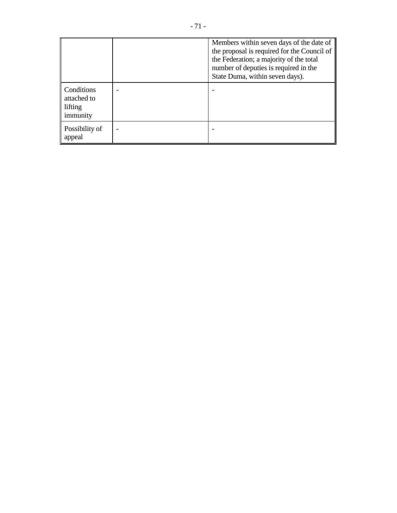|                                                  | Members within seven days of the date of<br>the proposal is required for the Council of<br>the Federation; a majority of the total<br>number of deputies is required in the<br>State Duma, within seven days). |
|--------------------------------------------------|----------------------------------------------------------------------------------------------------------------------------------------------------------------------------------------------------------------|
| Conditions<br>attached to<br>lifting<br>immunity |                                                                                                                                                                                                                |
| Possibility of<br>appeal                         |                                                                                                                                                                                                                |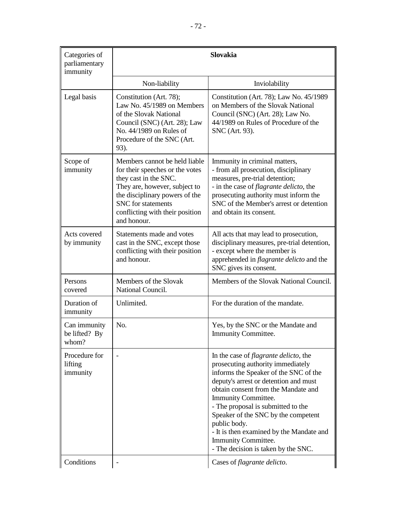| Categories of<br>parliamentary<br>immunity | <b>Slovakia</b>                                                                                                                                                                                                                      |                                                                                                                                                                                                                                                                                                                                                                                                                                           |
|--------------------------------------------|--------------------------------------------------------------------------------------------------------------------------------------------------------------------------------------------------------------------------------------|-------------------------------------------------------------------------------------------------------------------------------------------------------------------------------------------------------------------------------------------------------------------------------------------------------------------------------------------------------------------------------------------------------------------------------------------|
|                                            | Non-liability                                                                                                                                                                                                                        | Inviolability                                                                                                                                                                                                                                                                                                                                                                                                                             |
| Legal basis                                | Constitution (Art. 78);<br>Law No. 45/1989 on Members<br>of the Slovak National<br>Council (SNC) (Art. 28); Law<br>No. 44/1989 on Rules of<br>Procedure of the SNC (Art.<br>93).                                                     | Constitution (Art. 78); Law No. 45/1989<br>on Members of the Slovak National<br>Council (SNC) (Art. 28); Law No.<br>44/1989 on Rules of Procedure of the<br>SNC (Art. 93).                                                                                                                                                                                                                                                                |
| Scope of<br>immunity                       | Members cannot be held liable<br>for their speeches or the votes<br>they cast in the SNC.<br>They are, however, subject to<br>the disciplinary powers of the<br>SNC for statements<br>conflicting with their position<br>and honour. | Immunity in criminal matters,<br>- from all prosecution, disciplinary<br>measures, pre-trial detention;<br>- in the case of <i>flagrante delicto</i> , the<br>prosecuting authority must inform the<br>SNC of the Member's arrest or detention<br>and obtain its consent.                                                                                                                                                                 |
| Acts covered<br>by immunity                | Statements made and votes<br>cast in the SNC, except those<br>conflicting with their position<br>and honour.                                                                                                                         | All acts that may lead to prosecution,<br>disciplinary measures, pre-trial detention,<br>- except where the member is<br>apprehended in <i>flagrante delicto</i> and the<br>SNC gives its consent.                                                                                                                                                                                                                                        |
| Persons<br>covered                         | Members of the Slovak<br>National Council.                                                                                                                                                                                           | Members of the Slovak National Council.                                                                                                                                                                                                                                                                                                                                                                                                   |
| Duration of<br>immunity                    | Unlimited.                                                                                                                                                                                                                           | For the duration of the mandate.                                                                                                                                                                                                                                                                                                                                                                                                          |
| Can immunity<br>be lifted? By<br>whom?     | No.                                                                                                                                                                                                                                  | Yes, by the SNC or the Mandate and<br><b>Immunity Committee.</b>                                                                                                                                                                                                                                                                                                                                                                          |
| Procedure for<br>lifting<br>immunity       |                                                                                                                                                                                                                                      | In the case of <i>flagrante delicto</i> , the<br>prosecuting authority immediately<br>informs the Speaker of the SNC of the<br>deputy's arrest or detention and must<br>obtain consent from the Mandate and<br>Immunity Committee.<br>- The proposal is submitted to the<br>Speaker of the SNC by the competent<br>public body.<br>- It is then examined by the Mandate and<br>Immunity Committee.<br>- The decision is taken by the SNC. |
| Conditions                                 |                                                                                                                                                                                                                                      | Cases of flagrante delicto.                                                                                                                                                                                                                                                                                                                                                                                                               |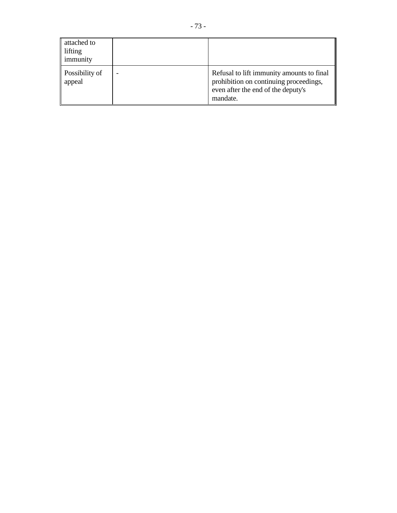| attached to<br>lifting<br>immunity |                                                                                                                                       |
|------------------------------------|---------------------------------------------------------------------------------------------------------------------------------------|
| Possibility of<br>appeal           | Refusal to lift immunity amounts to final<br>prohibition on continuing proceedings,<br>even after the end of the deputy's<br>mandate. |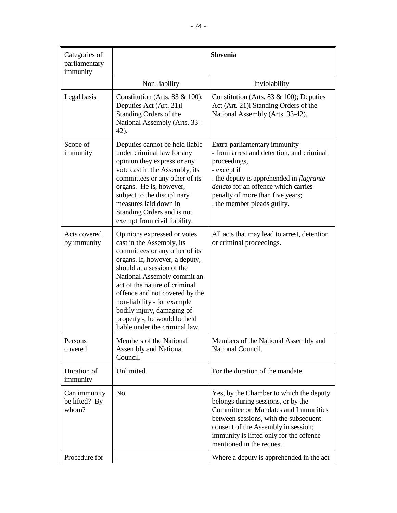| Categories of<br>parliamentary<br>immunity | <b>Slovenia</b>                                                                                                                                                                                                                                                                                                                                                                             |                                                                                                                                                                                                                                                                                      |
|--------------------------------------------|---------------------------------------------------------------------------------------------------------------------------------------------------------------------------------------------------------------------------------------------------------------------------------------------------------------------------------------------------------------------------------------------|--------------------------------------------------------------------------------------------------------------------------------------------------------------------------------------------------------------------------------------------------------------------------------------|
|                                            | Non-liability                                                                                                                                                                                                                                                                                                                                                                               | Inviolability                                                                                                                                                                                                                                                                        |
| Legal basis                                | Constitution (Arts. 83 $& 100$ );<br>Deputies Act (Art. 21)l<br>Standing Orders of the<br>National Assembly (Arts. 33-<br>42).                                                                                                                                                                                                                                                              | Constitution (Arts. 83 $& 100$ ); Deputies<br>Act (Art. 21) Standing Orders of the<br>National Assembly (Arts. 33-42).                                                                                                                                                               |
| Scope of<br>immunity                       | Deputies cannot be held liable<br>under criminal law for any<br>opinion they express or any<br>vote cast in the Assembly, its<br>committees or any other of its<br>organs. He is, however,<br>subject to the disciplinary<br>measures laid down in<br>Standing Orders and is not<br>exempt from civil liability.                                                                            | Extra-parliamentary immunity<br>- from arrest and detention, and criminal<br>proceedings,<br>- except if<br>. the deputy is apprehended in <i>flagrante</i><br>delicto for an offence which carries<br>penalty of more than five years;<br>the member pleads guilty.                 |
| Acts covered<br>by immunity                | Opinions expressed or votes<br>cast in the Assembly, its<br>committees or any other of its<br>organs. If, however, a deputy,<br>should at a session of the<br>National Assembly commit an<br>act of the nature of criminal<br>offence and not covered by the<br>non-liability - for example<br>bodily injury, damaging of<br>property -, he would be held<br>liable under the criminal law. | All acts that may lead to arrest, detention<br>or criminal proceedings.                                                                                                                                                                                                              |
| Persons<br>covered                         | Members of the National<br><b>Assembly and National</b><br>Council.                                                                                                                                                                                                                                                                                                                         | Members of the National Assembly and<br>National Council.                                                                                                                                                                                                                            |
| Duration of<br>immunity                    | Unlimited.                                                                                                                                                                                                                                                                                                                                                                                  | For the duration of the mandate.                                                                                                                                                                                                                                                     |
| Can immunity<br>be lifted? By<br>whom?     | No.                                                                                                                                                                                                                                                                                                                                                                                         | Yes, by the Chamber to which the deputy<br>belongs during sessions, or by the<br><b>Committee on Mandates and Immunities</b><br>between sessions, with the subsequent<br>consent of the Assembly in session;<br>immunity is lifted only for the offence<br>mentioned in the request. |
| Procedure for                              |                                                                                                                                                                                                                                                                                                                                                                                             | Where a deputy is apprehended in the act                                                                                                                                                                                                                                             |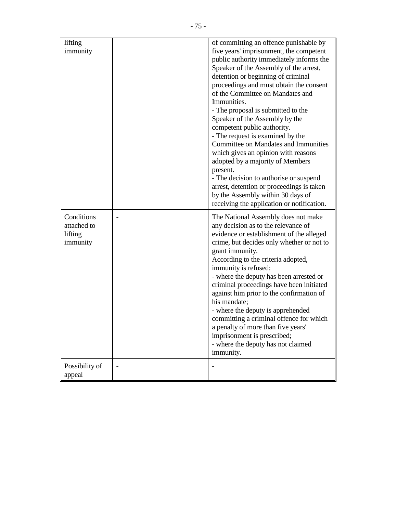| lifting<br>immunity                              | of committing an offence punishable by<br>five years' imprisonment, the competent<br>public authority immediately informs the<br>Speaker of the Assembly of the arrest,<br>detention or beginning of criminal                                                                                                                                                                                                                                                                                                                                                                                                   |
|--------------------------------------------------|-----------------------------------------------------------------------------------------------------------------------------------------------------------------------------------------------------------------------------------------------------------------------------------------------------------------------------------------------------------------------------------------------------------------------------------------------------------------------------------------------------------------------------------------------------------------------------------------------------------------|
|                                                  | proceedings and must obtain the consent<br>of the Committee on Mandates and<br>Immunities.<br>- The proposal is submitted to the<br>Speaker of the Assembly by the<br>competent public authority.                                                                                                                                                                                                                                                                                                                                                                                                               |
|                                                  | - The request is examined by the<br>Committee on Mandates and Immunities<br>which gives an opinion with reasons<br>adopted by a majority of Members<br>present.<br>- The decision to authorise or suspend<br>arrest, detention or proceedings is taken<br>by the Assembly within 30 days of<br>receiving the application or notification.                                                                                                                                                                                                                                                                       |
| Conditions<br>attached to<br>lifting<br>immunity | The National Assembly does not make<br>any decision as to the relevance of<br>evidence or establishment of the alleged<br>crime, but decides only whether or not to<br>grant immunity.<br>According to the criteria adopted,<br>immunity is refused:<br>- where the deputy has been arrested or<br>criminal proceedings have been initiated<br>against him prior to the confirmation of<br>his mandate;<br>- where the deputy is apprehended<br>committing a criminal offence for which<br>a penalty of more than five years'<br>imprisonment is prescribed;<br>- where the deputy has not claimed<br>immunity. |
| Possibility of<br>appeal                         |                                                                                                                                                                                                                                                                                                                                                                                                                                                                                                                                                                                                                 |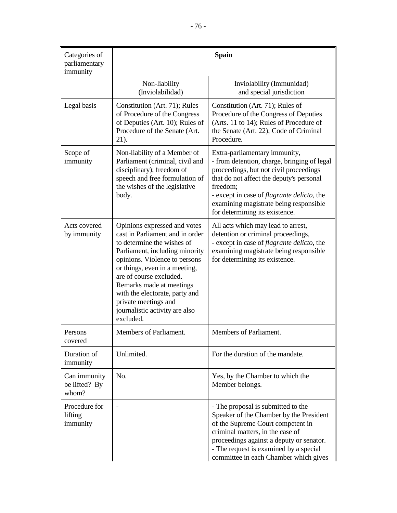| Categories of<br>parliamentary<br>immunity | <b>Spain</b>                                                                                                                                                                                                                                                                                                                                                      |                                                                                                                                                                                                                                                                                                                  |
|--------------------------------------------|-------------------------------------------------------------------------------------------------------------------------------------------------------------------------------------------------------------------------------------------------------------------------------------------------------------------------------------------------------------------|------------------------------------------------------------------------------------------------------------------------------------------------------------------------------------------------------------------------------------------------------------------------------------------------------------------|
|                                            | Non-liability<br>(Inviolabilidad)                                                                                                                                                                                                                                                                                                                                 | Inviolability (Immunidad)<br>and special jurisdiction                                                                                                                                                                                                                                                            |
| Legal basis                                | Constitution (Art. 71); Rules<br>of Procedure of the Congress<br>of Deputies (Art. 10); Rules of<br>Procedure of the Senate (Art.<br>21).                                                                                                                                                                                                                         | Constitution (Art. 71); Rules of<br>Procedure of the Congress of Deputies<br>(Arts. 11 to 14); Rules of Procedure of<br>the Senate (Art. 22); Code of Criminal<br>Procedure.                                                                                                                                     |
| Scope of<br>immunity                       | Non-liability of a Member of<br>Parliament (criminal, civil and<br>disciplinary); freedom of<br>speech and free formulation of<br>the wishes of the legislative<br>body.                                                                                                                                                                                          | Extra-parliamentary immunity,<br>- from detention, charge, bringing of legal<br>proceedings, but not civil proceedings<br>that do not affect the deputy's personal<br>freedom:<br>- except in case of <i>flagrante delicto</i> , the<br>examining magistrate being responsible<br>for determining its existence. |
| Acts covered<br>by immunity                | Opinions expressed and votes<br>cast in Parliament and in order<br>to determine the wishes of<br>Parliament, including minority<br>opinions. Violence to persons<br>or things, even in a meeting,<br>are of course excluded.<br>Remarks made at meetings<br>with the electorate, party and<br>private meetings and<br>journalistic activity are also<br>excluded. | All acts which may lead to arrest,<br>detention or criminal proceedings,<br>- except in case of <i>flagrante delicto</i> , the<br>examining magistrate being responsible<br>for determining its existence.                                                                                                       |
| Persons<br>covered                         | Members of Parliament.                                                                                                                                                                                                                                                                                                                                            | Members of Parliament.                                                                                                                                                                                                                                                                                           |
| Duration of<br>immunity                    | Unlimited.                                                                                                                                                                                                                                                                                                                                                        | For the duration of the mandate.                                                                                                                                                                                                                                                                                 |
| Can immunity<br>be lifted? By<br>whom?     | No.                                                                                                                                                                                                                                                                                                                                                               | Yes, by the Chamber to which the<br>Member belongs.                                                                                                                                                                                                                                                              |
| Procedure for<br>lifting<br>immunity       |                                                                                                                                                                                                                                                                                                                                                                   | - The proposal is submitted to the<br>Speaker of the Chamber by the President<br>of the Supreme Court competent in<br>criminal matters, in the case of<br>proceedings against a deputy or senator.<br>- The request is examined by a special<br>committee in each Chamber which gives                            |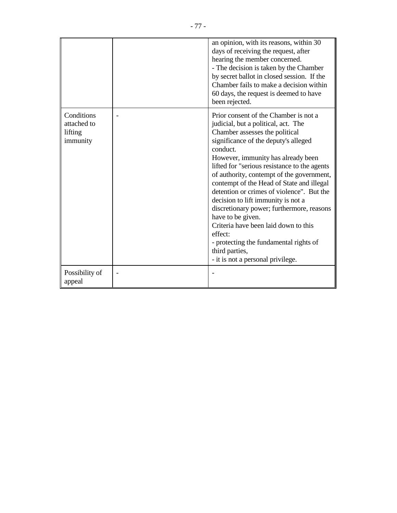|                                                  | an opinion, with its reasons, within 30<br>days of receiving the request, after<br>hearing the member concerned.<br>- The decision is taken by the Chamber<br>by secret ballot in closed session. If the<br>Chamber fails to make a decision within<br>60 days, the request is deemed to have<br>been rejected.                                                                                                                                                                                                                                                                                                                                              |
|--------------------------------------------------|--------------------------------------------------------------------------------------------------------------------------------------------------------------------------------------------------------------------------------------------------------------------------------------------------------------------------------------------------------------------------------------------------------------------------------------------------------------------------------------------------------------------------------------------------------------------------------------------------------------------------------------------------------------|
| Conditions<br>attached to<br>lifting<br>immunity | Prior consent of the Chamber is not a<br>judicial, but a political, act. The<br>Chamber assesses the political<br>significance of the deputy's alleged<br>conduct.<br>However, immunity has already been<br>lifted for "serious resistance to the agents"<br>of authority, contempt of the government,<br>contempt of the Head of State and illegal<br>detention or crimes of violence". But the<br>decision to lift immunity is not a<br>discretionary power; furthermore, reasons<br>have to be given.<br>Criteria have been laid down to this<br>effect:<br>- protecting the fundamental rights of<br>third parties,<br>- it is not a personal privilege. |
| Possibility of<br>appeal                         |                                                                                                                                                                                                                                                                                                                                                                                                                                                                                                                                                                                                                                                              |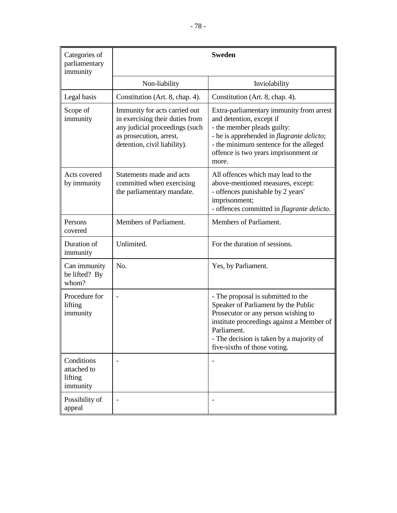| Categories of<br>parliamentary<br>immunity       |                                                                                                                                                               | <b>Sweden</b>                                                                                                                                                                                                                                            |
|--------------------------------------------------|---------------------------------------------------------------------------------------------------------------------------------------------------------------|----------------------------------------------------------------------------------------------------------------------------------------------------------------------------------------------------------------------------------------------------------|
|                                                  | Non-liability                                                                                                                                                 | Inviolability                                                                                                                                                                                                                                            |
| Legal basis                                      | Constitution (Art. 8, chap. 4).                                                                                                                               | Constitution (Art. 8, chap. 4).                                                                                                                                                                                                                          |
| Scope of<br>immunity                             | Immunity for acts carried out<br>in exercising their duties from<br>any judicial proceedings (such<br>as prosecution, arrest,<br>detention, civil liability). | Extra-parliamentary immunity from arrest<br>and detention, except if<br>- the member pleads guilty:<br>- he is apprehended in <i>flagrante delicto</i> ;<br>- the minimum sentence for the alleged<br>offence is two years imprisonment or<br>more.      |
| Acts covered<br>by immunity                      | Statements made and acts<br>committed when exercising<br>the parliamentary mandate.                                                                           | All offences which may lead to the<br>above-mentioned measures, except:<br>- offences punishable by 2 years'<br>imprisonment;<br>- offences committed in flagrante delicto.                                                                              |
| Persons<br>covered                               | Members of Parliament.                                                                                                                                        | Members of Parliament.                                                                                                                                                                                                                                   |
| Duration of<br>immunity                          | Unlimited.                                                                                                                                                    | For the duration of sessions.                                                                                                                                                                                                                            |
| Can immunity<br>be lifted? By<br>whom?           | N <sub>o</sub>                                                                                                                                                | Yes, by Parliament.                                                                                                                                                                                                                                      |
| Procedure for<br>lifting<br>immunity             | $\overline{\phantom{0}}$                                                                                                                                      | - The proposal is submitted to the<br>Speaker of Parliament by the Public<br>Prosecutor or any person wishing to<br>institute proceedings against a Member of<br>Parliament.<br>- The decision is taken by a majority of<br>five-sixths of those voting. |
| Conditions<br>attached to<br>lifting<br>immunity |                                                                                                                                                               |                                                                                                                                                                                                                                                          |
| Possibility of<br>appeal                         |                                                                                                                                                               |                                                                                                                                                                                                                                                          |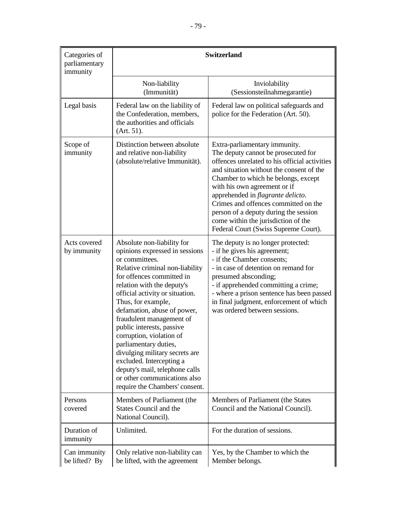| Categories of<br>parliamentary<br>immunity | <b>Switzerland</b>                                                                                                                                                                                                                                                                                                                                                                                                                                                                                                                                   |                                                                                                                                                                                                                                                                                                                                                                                                                                                       |
|--------------------------------------------|------------------------------------------------------------------------------------------------------------------------------------------------------------------------------------------------------------------------------------------------------------------------------------------------------------------------------------------------------------------------------------------------------------------------------------------------------------------------------------------------------------------------------------------------------|-------------------------------------------------------------------------------------------------------------------------------------------------------------------------------------------------------------------------------------------------------------------------------------------------------------------------------------------------------------------------------------------------------------------------------------------------------|
|                                            | Non-liability<br>(Immunität)                                                                                                                                                                                                                                                                                                                                                                                                                                                                                                                         | Inviolability<br>(Sessionsteilnahmegarantie)                                                                                                                                                                                                                                                                                                                                                                                                          |
| Legal basis                                | Federal law on the liability of<br>the Confederation, members,<br>the authorities and officials<br>(Art. 51).                                                                                                                                                                                                                                                                                                                                                                                                                                        | Federal law on political safeguards and<br>police for the Federation (Art. 50).                                                                                                                                                                                                                                                                                                                                                                       |
| Scope of<br>immunity                       | Distinction between absolute<br>and relative non-liability<br>(absolute/relative Immunität).                                                                                                                                                                                                                                                                                                                                                                                                                                                         | Extra-parliamentary immunity.<br>The deputy cannot be prosecuted for<br>offences unrelated to his official activities<br>and situation without the consent of the<br>Chamber to which he belongs, except<br>with his own agreement or if<br>apprehended in <i>flagrante delicto</i> .<br>Crimes and offences committed on the<br>person of a deputy during the session<br>come within the jurisdiction of the<br>Federal Court (Swiss Supreme Court). |
| Acts covered<br>by immunity                | Absolute non-liability for<br>opinions expressed in sessions<br>or committees.<br>Relative criminal non-liability<br>for offences committed in<br>relation with the deputy's<br>official activity or situation.<br>Thus, for example,<br>defamation, abuse of power,<br>fraudulent management of<br>public interests, passive<br>corruption, violation of<br>parliamentary duties,<br>divulging military secrets are<br>excluded. Intercepting a<br>deputy's mail, telephone calls<br>or other communications also<br>require the Chambers' consent. | The deputy is no longer protected:<br>- if he gives his agreement;<br>- if the Chamber consents;<br>- in case of detention on remand for<br>presumed absconding;<br>- if apprehended committing a crime;<br>- where a prison sentence has been passed<br>in final judgment, enforcement of which<br>was ordered between sessions.                                                                                                                     |
| Persons<br>covered                         | Members of Parliament (the<br><b>States Council and the</b><br>National Council).                                                                                                                                                                                                                                                                                                                                                                                                                                                                    | Members of Parliament (the States<br>Council and the National Council).                                                                                                                                                                                                                                                                                                                                                                               |
| Duration of<br>immunity                    | Unlimited.                                                                                                                                                                                                                                                                                                                                                                                                                                                                                                                                           | For the duration of sessions.                                                                                                                                                                                                                                                                                                                                                                                                                         |
| Can immunity<br>be lifted? By              | Only relative non-liability can<br>be lifted, with the agreement                                                                                                                                                                                                                                                                                                                                                                                                                                                                                     | Yes, by the Chamber to which the<br>Member belongs.                                                                                                                                                                                                                                                                                                                                                                                                   |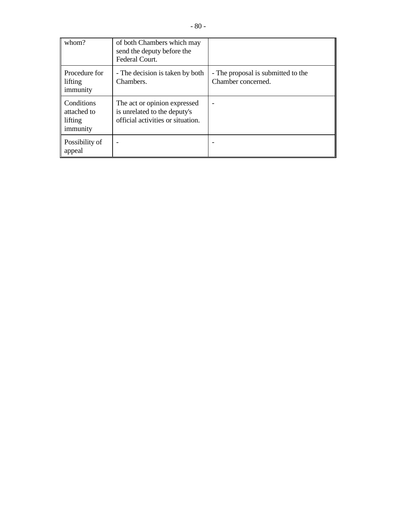| whom?                                | of both Chambers which may<br>send the deputy before the<br>Federal Court. |                                                          |
|--------------------------------------|----------------------------------------------------------------------------|----------------------------------------------------------|
| Procedure for<br>lifting<br>immunity | - The decision is taken by both<br>Chambers.                               | - The proposal is submitted to the<br>Chamber concerned. |
| Conditions                           | The act or opinion expressed                                               |                                                          |

| Conditions<br>attached to<br>lifting<br>immunity | The act or opinion expressed<br>is unrelated to the deputy's<br>official activities or situation. |  |
|--------------------------------------------------|---------------------------------------------------------------------------------------------------|--|
| Possibility of<br>appeal                         |                                                                                                   |  |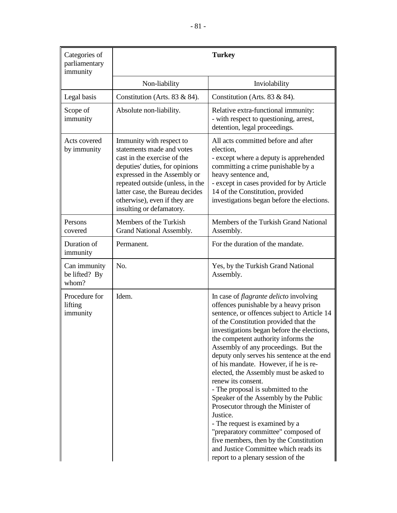| Categories of<br>parliamentary<br>immunity |                                                                                                                                                                                                                                                                                           | <b>Turkey</b>                                                                                                                                                                                                                                                                                                                                                                                                                                                                                                                                                                                                                                                                                                                                                                                         |
|--------------------------------------------|-------------------------------------------------------------------------------------------------------------------------------------------------------------------------------------------------------------------------------------------------------------------------------------------|-------------------------------------------------------------------------------------------------------------------------------------------------------------------------------------------------------------------------------------------------------------------------------------------------------------------------------------------------------------------------------------------------------------------------------------------------------------------------------------------------------------------------------------------------------------------------------------------------------------------------------------------------------------------------------------------------------------------------------------------------------------------------------------------------------|
|                                            | Non-liability                                                                                                                                                                                                                                                                             | Inviolability                                                                                                                                                                                                                                                                                                                                                                                                                                                                                                                                                                                                                                                                                                                                                                                         |
| Legal basis                                | Constitution (Arts. $83 & 84$ ).                                                                                                                                                                                                                                                          | Constitution (Arts. $83 & 84$ ).                                                                                                                                                                                                                                                                                                                                                                                                                                                                                                                                                                                                                                                                                                                                                                      |
| Scope of<br>immunity                       | Absolute non-liability.                                                                                                                                                                                                                                                                   | Relative extra-functional immunity:<br>- with respect to questioning, arrest,<br>detention, legal proceedings.                                                                                                                                                                                                                                                                                                                                                                                                                                                                                                                                                                                                                                                                                        |
| Acts covered<br>by immunity                | Immunity with respect to<br>statements made and votes<br>cast in the exercise of the<br>deputies' duties, for opinions<br>expressed in the Assembly or<br>repeated outside (unless, in the<br>latter case, the Bureau decides<br>otherwise), even if they are<br>insulting or defamatory. | All acts committed before and after<br>election.<br>- except where a deputy is apprehended<br>committing a crime punishable by a<br>heavy sentence and,<br>- except in cases provided for by Article<br>14 of the Constitution, provided<br>investigations began before the elections.                                                                                                                                                                                                                                                                                                                                                                                                                                                                                                                |
| Persons<br>covered                         | Members of the Turkish<br>Grand National Assembly.                                                                                                                                                                                                                                        | Members of the Turkish Grand National<br>Assembly.                                                                                                                                                                                                                                                                                                                                                                                                                                                                                                                                                                                                                                                                                                                                                    |
| Duration of<br>immunity                    | Permanent.                                                                                                                                                                                                                                                                                | For the duration of the mandate.                                                                                                                                                                                                                                                                                                                                                                                                                                                                                                                                                                                                                                                                                                                                                                      |
| Can immunity<br>be lifted? By<br>whom?     | No.                                                                                                                                                                                                                                                                                       | Yes, by the Turkish Grand National<br>Assembly.                                                                                                                                                                                                                                                                                                                                                                                                                                                                                                                                                                                                                                                                                                                                                       |
| Procedure for<br>lifting<br>immunity       | Idem.                                                                                                                                                                                                                                                                                     | In case of <i>flagrante delicto</i> involving<br>offences punishable by a heavy prison<br>sentence, or offences subject to Article 14<br>of the Constitution provided that the<br>investigations began before the elections,<br>the competent authority informs the<br>Assembly of any proceedings. But the<br>deputy only serves his sentence at the end<br>of his mandate. However, if he is re-<br>elected, the Assembly must be asked to<br>renew its consent.<br>- The proposal is submitted to the<br>Speaker of the Assembly by the Public<br>Prosecutor through the Minister of<br>Justice.<br>- The request is examined by a<br>"preparatory committee" composed of<br>five members, then by the Constitution<br>and Justice Committee which reads its<br>report to a plenary session of the |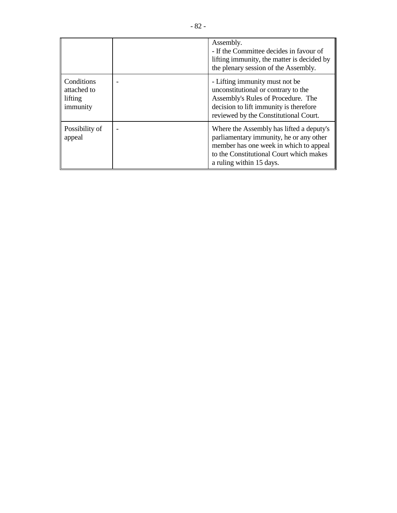|                                                  | Assembly.<br>- If the Committee decides in favour of<br>lifting immunity, the matter is decided by<br>the plenary session of the Assembly.                                                           |
|--------------------------------------------------|------------------------------------------------------------------------------------------------------------------------------------------------------------------------------------------------------|
| Conditions<br>attached to<br>lifting<br>immunity | - Lifting immunity must not be.<br>unconstitutional or contrary to the<br>Assembly's Rules of Procedure. The<br>decision to lift immunity is therefore<br>reviewed by the Constitutional Court.      |
| Possibility of<br>appeal                         | Where the Assembly has lifted a deputy's<br>parliamentary immunity, he or any other<br>member has one week in which to appeal<br>to the Constitutional Court which makes<br>a ruling within 15 days. |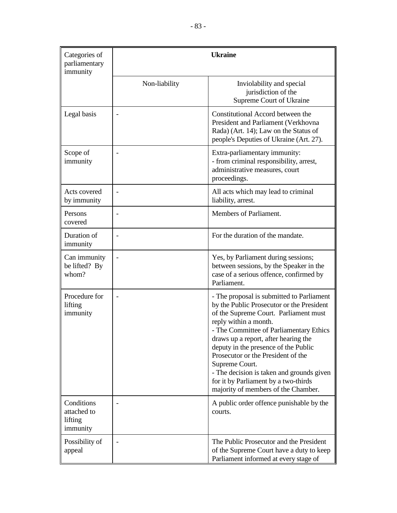| Categories of<br>parliamentary<br>immunity       |                          | <b>Ukraine</b>                                                                                                                                                                                                                                                                                                                                                                                                                                                          |
|--------------------------------------------------|--------------------------|-------------------------------------------------------------------------------------------------------------------------------------------------------------------------------------------------------------------------------------------------------------------------------------------------------------------------------------------------------------------------------------------------------------------------------------------------------------------------|
|                                                  | Non-liability            | Inviolability and special<br>jurisdiction of the<br>Supreme Court of Ukraine                                                                                                                                                                                                                                                                                                                                                                                            |
| Legal basis                                      |                          | Constitutional Accord between the<br>President and Parliament (Verkhovna<br>Rada) (Art. 14); Law on the Status of<br>people's Deputies of Ukraine (Art. 27).                                                                                                                                                                                                                                                                                                            |
| Scope of<br>immunity                             |                          | Extra-parliamentary immunity:<br>- from criminal responsibility, arrest,<br>administrative measures, court<br>proceedings.                                                                                                                                                                                                                                                                                                                                              |
| Acts covered<br>by immunity                      | $\overline{\phantom{0}}$ | All acts which may lead to criminal<br>liability, arrest.                                                                                                                                                                                                                                                                                                                                                                                                               |
| Persons<br>covered                               |                          | Members of Parliament.                                                                                                                                                                                                                                                                                                                                                                                                                                                  |
| Duration of<br>immunity                          |                          | For the duration of the mandate.                                                                                                                                                                                                                                                                                                                                                                                                                                        |
| Can immunity<br>be lifted? By<br>whom?           | $\bar{\phantom{a}}$      | Yes, by Parliament during sessions;<br>between sessions, by the Speaker in the<br>case of a serious offence, confirmed by<br>Parliament.                                                                                                                                                                                                                                                                                                                                |
| Procedure for<br>lifting<br>immunity             | $\overline{\phantom{0}}$ | - The proposal is submitted to Parliament<br>by the Public Prosecutor or the President<br>of the Supreme Court. Parliament must<br>reply within a month.<br>- The Committee of Parliamentary Ethics<br>draws up a report, after hearing the<br>deputy in the presence of the Public<br>Prosecutor or the President of the<br>Supreme Court.<br>- The decision is taken and grounds given<br>for it by Parliament by a two-thirds<br>majority of members of the Chamber. |
| Conditions<br>attached to<br>lifting<br>immunity |                          | A public order offence punishable by the<br>courts.                                                                                                                                                                                                                                                                                                                                                                                                                     |
| Possibility of<br>appeal                         |                          | The Public Prosecutor and the President<br>of the Supreme Court have a duty to keep<br>Parliament informed at every stage of                                                                                                                                                                                                                                                                                                                                            |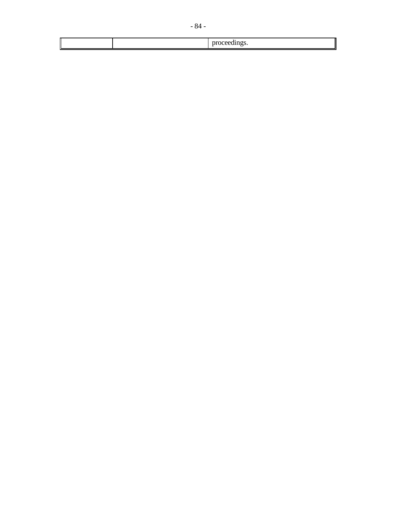|  | $\sim$ $\sim$<br>., |
|--|---------------------|

 $\begin{array}{c} \hline \end{array}$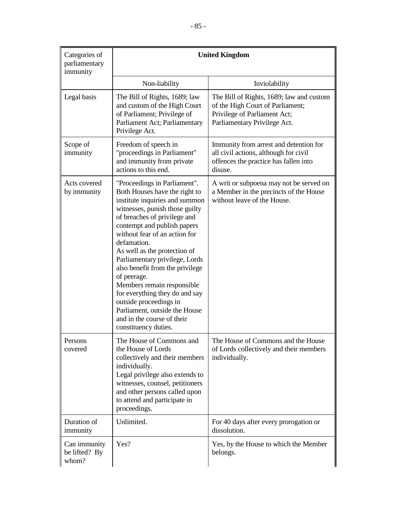| Categories of<br>parliamentary<br>immunity | <b>United Kingdom</b>                                                                                                                                                                                                                                                                                                                                                                                                                                                                                                                                 |                                                                                                                                              |  |
|--------------------------------------------|-------------------------------------------------------------------------------------------------------------------------------------------------------------------------------------------------------------------------------------------------------------------------------------------------------------------------------------------------------------------------------------------------------------------------------------------------------------------------------------------------------------------------------------------------------|----------------------------------------------------------------------------------------------------------------------------------------------|--|
|                                            | Non-liability                                                                                                                                                                                                                                                                                                                                                                                                                                                                                                                                         | Inviolability                                                                                                                                |  |
| Legal basis                                | The Bill of Rights, 1689; law<br>and custom of the High Court<br>of Parliament; Privilege of<br>Parliament Act; Parliamentary<br>Privilege Act.                                                                                                                                                                                                                                                                                                                                                                                                       | The Bill of Rights, 1689; law and custom<br>of the High Court of Parliament;<br>Privilege of Parliament Act;<br>Parliamentary Privilege Act. |  |
| Scope of<br>immunity                       | Freedom of speech in<br>"proceedings in Parliament"<br>and immunity from private<br>actions to this end.                                                                                                                                                                                                                                                                                                                                                                                                                                              | Immunity from arrest and detention for<br>all civil actions, although for civil<br>offences the practice has fallen into<br>disuse.          |  |
| Acts covered<br>by immunity                | "Proceedings in Parliament".<br>Both Houses have the right to<br>institute inquiries and summon<br>witnesses, punish those guilty<br>of breaches of privilege and<br>contempt and publish papers<br>without fear of an action for<br>defamation.<br>As well as the protection of<br>Parliamentary privilege, Lords<br>also benefit from the privilege<br>of peerage.<br>Members remain responsible<br>for everything they do and say<br>outside proceedings in<br>Parliament, outside the House<br>and in the course of their<br>constituency duties. | A writ or subpoena may not be served on<br>a Member in the precincts of the House<br>without leave of the House.                             |  |
| Persons<br>covered                         | The House of Commons and<br>the House of Lords<br>collectively and their members<br>individually.<br>Legal privilege also extends to<br>witnesses, counsel, petitioners<br>and other persons called upon<br>to attend and participate in<br>proceedings.                                                                                                                                                                                                                                                                                              | The House of Commons and the House<br>of Lords collectively and their members<br>individually.                                               |  |
| Duration of<br>immunity                    | Unlimited.                                                                                                                                                                                                                                                                                                                                                                                                                                                                                                                                            | For 40 days after every prorogation or<br>dissolution.                                                                                       |  |
| Can immunity<br>be lifted? By<br>whom?     | Yes?                                                                                                                                                                                                                                                                                                                                                                                                                                                                                                                                                  | Yes, by the House to which the Member<br>belongs.                                                                                            |  |